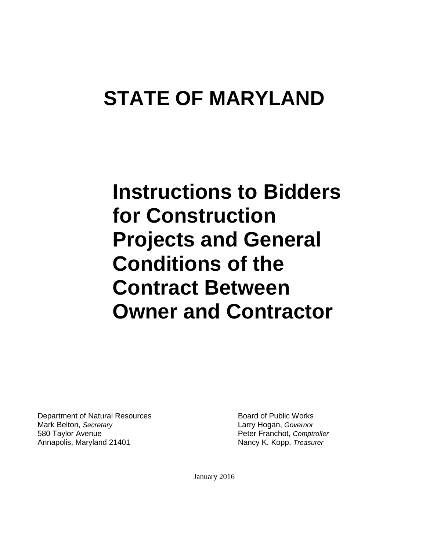# **STATE OF MARYLAND**

**Instructions to Bidders for Construction Projects and General Conditions of the Contract Between Owner and Contractor**

Department of Natural Resources **Board of Public Works** Board of Public Works Mark Belton, *Secretary* Larry Hogan, *Governor* 580 Taylor Avenue Peter Franchot, *Comptroller* Annapolis, Maryland 21401 Nancy K. Kopp, *Treasurer*

January 2016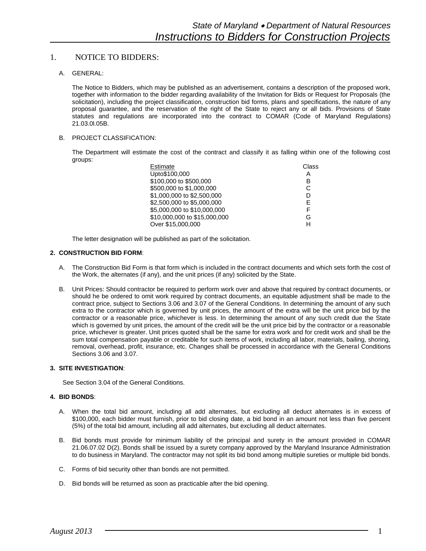# 1. NOTICE TO BIDDERS:

A. GENERAL:

The Notice to Bidders, which may be published as an advertisement, contains a description of the proposed work, together with information to the bidder regarding availability of the Invitation for Bids or Request for Proposals (the solicitation), including the project classification, construction bid forms, plans and specifications, the nature of any proposal guarantee, and the reservation of the right of the State to reject any or all bids. Provisions of State statutes and regulations are incorporated into the contract to COMAR (Code of Maryland Regulations) 21.03.0l.05B.

# B. PROJECT CLASSIFICATION:

The Department will estimate the cost of the contract and classify it as falling within one of the following cost groups:

| Estimate                     | Class |
|------------------------------|-------|
| Upto\$100,000                | А     |
| \$100,000 to \$500,000       | в     |
| \$500,000 to \$1,000,000     | С     |
| \$1,000,000 to \$2,500,000   | D     |
| \$2,500,000 to \$5,000,000   | F     |
| \$5,000,000 to \$10,000,000  | F     |
| \$10,000,000 to \$15,000,000 | G     |
| Over \$15,000,000            | н     |

The letter designation will be published as part of the solicitation.

# **2. CONSTRUCTION BID FORM**:

- A. The Construction Bid Form is that form which is included in the contract documents and which sets forth the cost of the Work, the alternates (if any), and the unit prices (if any) solicited by the State.
- B. Unit Prices: Should contractor be required to perform work over and above that required by contract documents, or should he be ordered to omit work required by contract documents, an equitable adjustment shall be made to the contract price, subject to Sections 3.06 and 3.07 of the General Conditions. In determining the amount of any such extra to the contractor which is governed by unit prices, the amount of the extra will be the unit price bid by the contractor or a reasonable price, whichever is less. In determining the amount of any such credit due the State which is governed by unit prices, the amount of the credit will be the unit price bid by the contractor or a reasonable price, whichever is greater. Unit prices quoted shall be the same for extra work and for credit work and shall be the sum total compensation payable or creditable for such items of work, including all labor, materials, bailing, shoring, removal, overhead, profit, insurance, etc. Changes shall be processed in accordance with the General Conditions Sections 3.06 and 3.07.

# **3. SITE INVESTIGATION**:

See Section 3.04 of the General Conditions.

#### **4. BID BONDS**:

- A. When the total bid amount, including all add alternates, but excluding all deduct alternates is in excess of \$100,000, each bidder must furnish, prior to bid closing date, a bid bond in an amount not less than five percent (5%) of the total bid amount, including all add alternates, but excluding all deduct alternates.
- B. Bid bonds must provide for minimum liability of the principal and surety in the amount provided in COMAR 21.06.07.02 D(2). Bonds shall be issued by a surety company approved by the Maryland Insurance Administration to do business in Maryland. The contractor may not split its bid bond among multiple sureties or multiple bid bonds.
- C. Forms of bid security other than bonds are not permitted.
- D. Bid bonds will be returned as soon as practicable after the bid opening.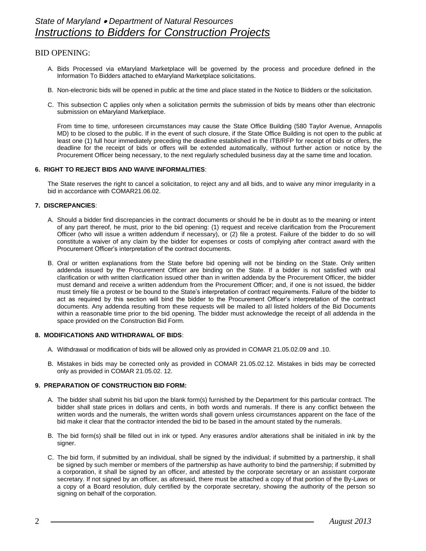# BID OPENING:

- A. Bids Processed via eMaryland Marketplace will be governed by the process and procedure defined in the Information To Bidders attached to eMaryland Marketplace solicitations.
- B. Non-electronic bids will be opened in public at the time and place stated in the Notice to Bidders or the solicitation.
- C. This subsection C applies only when a solicitation permits the submission of bids by means other than electronic submission on eMaryland Marketplace.

From time to time, unforeseen circumstances may cause the State Office Building (580 Taylor Avenue, Annapolis MD) to be closed to the public. If in the event of such closure, if the State Office Building is not open to the public at least one (1) full hour immediately preceding the deadline established in the ITB/RFP for receipt of bids or offers, the deadline for the receipt of bids or offers will be extended automatically, without further action or notice by the Procurement Officer being necessary, to the next regularly scheduled business day at the same time and location.

#### **6. RIGHT TO REJECT BIDS AND WAIVE INFORMALITIES**:

The State reserves the right to cancel a solicitation, to reject any and all bids, and to waive any minor irregularity in a bid in accordance with COMAR21.06.02.

#### **7. DISCREPANCIES**:

- A. Should a bidder find discrepancies in the contract documents or should he be in doubt as to the meaning or intent of any part thereof, he must, prior to the bid opening: (1) request and receive clarification from the Procurement Officer (who will issue a written addendum if necessary), or (2) file a protest. Failure of the bidder to do so will constitute a waiver of any claim by the bidder for expenses or costs of complying after contract award with the Procurement Officer's interpretation of the contract documents.
- B. Oral or written explanations from the State before bid opening will not be binding on the State. Only written addenda issued by the Procurement Officer are binding on the State. If a bidder is not satisfied with oral clarification or with written clarification issued other than in written addenda by the Procurement Officer, the bidder must demand and receive a written addendum from the Procurement Officer; and, if one is not issued, the bidder must timely file a protest or be bound to the State's interpretation of contract requirements. Failure of the bidder to act as required by this section will bind the bidder to the Procurement Officer's interpretation of the contract documents. Any addenda resulting from these requests will be mailed to all listed holders of the Bid Documents within a reasonable time prior to the bid opening. The bidder must acknowledge the receipt of all addenda in the space provided on the Construction Bid Form.

#### **8. MODIFICATIONS AND WITHDRAWAL OF BIDS**:

- A. Withdrawal or modification of bids will be allowed only as provided in COMAR 21.05.02.09 and .10.
- B. Mistakes in bids may be corrected only as provided in COMAR 21.05.02.12. Mistakes in bids may be corrected only as provided in COMAR 21.05.02. 12.

#### **9. PREPARATION OF CONSTRUCTION BID FORM:**

- A. The bidder shall submit his bid upon the blank form(s) furnished by the Department for this particular contract. The bidder shall state prices in dollars and cents, in both words and numerals. If there is any conflict between the written words and the numerals, the written words shall govern unless circumstances apparent on the face of the bid make it clear that the contractor intended the bid to be based in the amount stated by the numerals.
- B. The bid form(s) shall be filled out in ink or typed. Any erasures and/or alterations shall be initialed in ink by the signer.
- C. The bid form, if submitted by an individual, shall be signed by the individual; if submitted by a partnership, it shall be signed by such member or members of the partnership as have authority to bind the partnership; if submitted by a corporation, it shall be signed by an officer, and attested by the corporate secretary or an assistant corporate secretary. If not signed by an officer, as aforesaid, there must be attached a copy of that portion of the By-Laws or a copy of a Board resolution, duly certified by the corporate secretary, showing the authority of the person so signing on behalf of the corporation.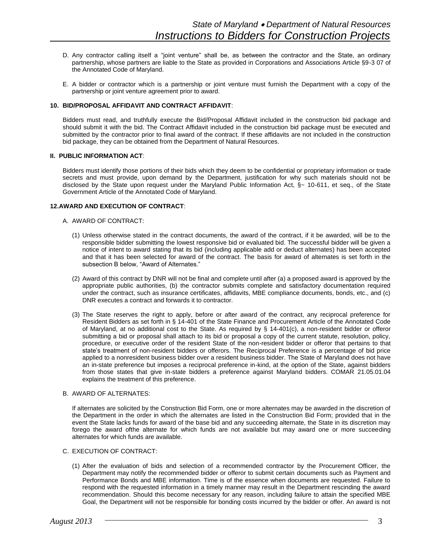- D. Any contractor calling itself a "joint venture" shall be, as between the contractor and the State, an ordinary partnership, whose partners are liable to the State as provided in Corporations and Associations Article §9-3 07 of the Annotated Code of Maryland.
- E. A bidder or contractor which is a partnership or joint venture must furnish the Department with a copy of the partnership or joint venture agreement prior to award.

#### **10. BID/PROPOSAL AFFIDAVIT AND CONTRACT AFFIDAVIT**:

Bidders must read, and truthfully execute the Bid/Proposal Affidavit included in the construction bid package and should submit it with the bid. The Contract Affidavit included in the construction bid package must be executed and submitted by the contractor prior to final award of the contract. If these affidavits are not included in the construction bid package, they can be obtained from the Department of Natural Resources.

#### **II. PUBLIC INFORMATION ACT**:

Bidders must identify those portions of their bids which they deem to be confidential or proprietary information or trade secrets and must provide, upon demand by the Department, justification for why such materials should not be disclosed by the State upon request under the Maryland Public Information Act, §~ 10-611, et seq., of the State Government Article of the Annotated Code of Maryland.

#### **12.AWARD AND EXECUTION OF CONTRACT**:

#### A. AWARD OF CONTRACT:

- (1) Unless otherwise stated in the contract documents, the award of the contract, if it be awarded, will be to the responsible bidder submitting the lowest responsive bid or evaluated bid. The successful bidder will be given a notice of intent to award stating that its bid (including applicable add or deduct alternates) has been accepted and that it has been selected for award of the contract. The basis for award of alternates is set forth in the subsection B below, "Award of Alternates."
- (2) Award of this contract by DNR will not be final and complete until after (a) a proposed award is approved by the appropriate public authorities, (b) the contractor submits complete and satisfactory documentation required under the contract, such as insurance certificates, affidavits, MBE compliance documents, bonds, etc., and (c) DNR executes a contract and forwards it to contractor.
- (3) The State reserves the right to apply, before or after award of the contract, any reciprocal preference for Resident Bidders as set forth in § 14-401 of the State Finance and Procurement Article of the Annotated Code of Maryland, at no additional cost to the State. As required by § 14-401(c), a non-resident bidder or offeror submitting a bid or proposal shall attach to its bid or proposal a copy of the current statute, resolution, policy, procedure, or executive order of the resident State of the non-resident bidder or offeror that pertains to that state's treatment of non-resident bidders or offerors. The Reciprocal Preference is a percentage of bid price applied to a nonresident business bidder over a resident business bidder. The State of Maryland does not have an in-state preference but imposes a reciprocal preference in-kind, at the option of the State, against bidders from those states that give in-state bidders a preference against Maryland bidders. COMAR 21.05.01.04 explains the treatment of this preference.

#### B. AWARD OF ALTERNATES:

If alternates are solicited by the Construction Bid Form, one or more alternates may be awarded in the discretion of the Department in the order in which the alternates are listed in the Construction Bid Form; provided that in the event the State lacks funds for award of the base bid and any succeeding alternate, the State in its discretion may forego the award ofthe alternate for which funds are not available but may award one or more succeeding alternates for which funds are available.

# C. EXECUTION OF CONTRACT:

(1) After the evaluation of bids and selection of a recommended contractor by the Procurement Officer, the Department may notify the recommended bidder or offeror to submit certain documents such as Payment and Performance Bonds and MBE information. Time is of the essence when documents are requested. Failure to respond with the requested information in a timely manner may result in the Department rescinding the award recommendation. Should this become necessary for any reason, including failure to attain the specified MBE Goal, the Department will not be responsible for bonding costs incurred by the bidder or offer. An award is not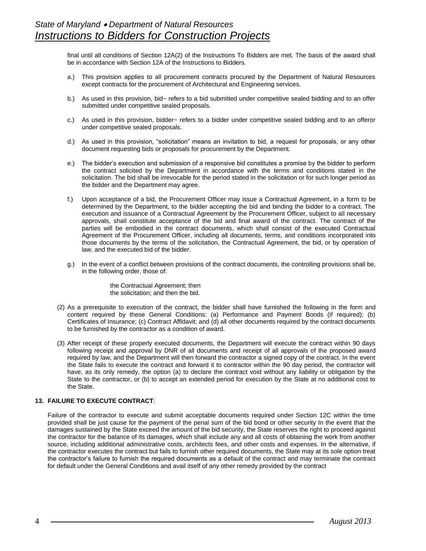final until all conditions of Section 12A(2) of the Instructions To Bidders are met. The basis of the award shall be in accordance with Section 12A of the Instructions to Bidders.

- a.) This provision applies to all procurement contracts procured by the Department of Natural Resources except contracts for the procurement of Architectural and Engineering services.
- b.) As used in this provision, bid~ refers to a bid submitted under competitive sealed bidding and to an offer submitted under competitive sealed proposals.
- c.) As used in this provision, bidder~ refers to a bidder under competitive sealed bidding and to an offeror under competitive sealed proposals.
- d.) As used in this provision, "solicitation" means an invitation to bid, a request for proposals, or any other document requesting bids or proposals for procurement by the Department.
- e.) The bidder's execution and submission of a responsive bid constitutes a promise by the bidder to perform the contract solicited by the Department in accordance with the terms and conditions stated in the solicitation. The bid shall be irrevocable for the period stated in the solicitation or for such longer period as the bidder and the Department may agree.
- f.) Upon acceptance of a bid, the Procurement Officer may issue a Contractual Agreement, in a form to be determined by the Department, to the bidder accepting the bid and binding the bidder to a contract. The execution and issuance of a Contractual Agreement by the Procurement Officer, subject to all necessary approvals, shall constitute acceptance of the bid and final award of the contract. The contract of the parties will be embodied in the contract documents, which shall consist of the executed Contractual Agreement of the Procurement Officer, including all documents, terms, and conditions incorporated into those documents by the terms of the solicitation, the Contractual Agreement, the bid, or by operation of law, and the executed bid of the bidder.
- g.) In the event of a conflict between provisions of the contract documents, the controlling provisions shall be, in the following order, those of:

the Contractual Agreement; then the solicitation; and then the bid.

- (2) As a prerequisite to execution of the contract, the bidder shall have furnished the following in the form and content required by these General Conditions: (a) Performance and Payment Bonds (if required); (b) Certificates of Insurance; (c) Contract Affidavit; and (d) all other documents required by the contract documents to be furnished by the contractor as a condition of award.
- (3) After receipt of these properly executed documents, the Department will execute the contract within 90 days following receipt and approval by DNR of all documents and receipt of all approvals of the proposed award required by law, and the Department will then forward the contractor a signed copy of the contract. In the event the State fails to execute the contract and forward it to contractor within the 90 day period, the contractor will have, as its only remedy, the option (a) to declare the contract void without any liability or obligation by the State to the contractor, or (b) to accept an extended period for execution by the State at no additional cost to the State.

# **13. FAILURE TO EXECUTE CONTRACT**:

Failure of the contractor to execute and submit acceptable documents required under Section 12C within the time provided shall be just cause for the payment of the penal sum of the bid bond or other security In the event that the damages sustained by the State exceed the amount of the bid security, the State reserves the right to proceed against the contractor for the balance of its damages, which shall include any and all costs of obtaining the work from another source, including additional administrative costs, architects fees, and other costs and expenses. In the alternative, if the contractor executes the contract but fails to furnish other required documents, the State may at its sole option treat the contractor's failure to furnish the required documents as a default of the contract and may terminate the contract for default under the General Conditions and avail itself of any other remedy provided by the contract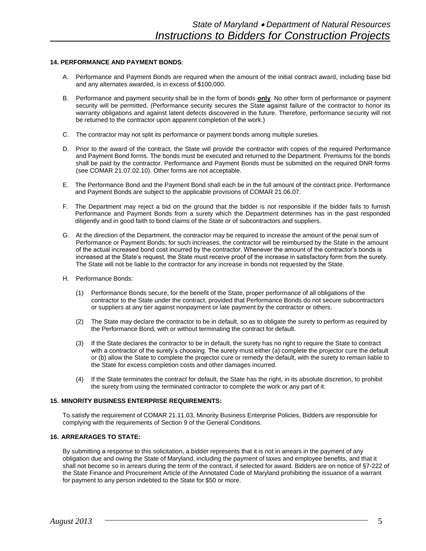#### **14. PERFORMANCE AND PAYMENT BONDS**:

- A. Performance and Payment Bonds are required when the amount of the initial contract award, including base bid and any alternates awarded, is in excess of \$100,000.
- B. Performance and payment security shall be in the form of bonds **only**. No other form of performance or payment security will be permitted. (Performance security secures the State against failure of the contractor to honor its warranty obligations and against latent defects discovered in the future. Therefore, performance security will not be returned to the contractor upon apparent completion of the work.)
- C. The contractor may not split its performance or payment bonds among multiple sureties.
- D. Prior to the award of the contract, the State will provide the contractor with copies of the required Performance and Payment Bond forms. The bonds must be executed and returned to the Department. Premiums for the bonds shall be paid by the contractor. Performance and Payment Bonds must be submitted on the required DNR forms (see COMAR 21.07.02.10). Other forms are not acceptable.
- E. The Performance Bond and the Payment Bond shall each be in the full amount of the contract price. Performance and Payment Bonds are subject to the applicable provisions of COMAR 21.06.07.
- F. The Department may reject a bid on the ground that the bidder is not responsible if the bidder fails to furnish Performance and Payment Bonds from a surety which the Department determines has in the past responded diligently and in good faith to bond claims of the State or of subcontractors and suppliers.
- G. At the direction of the Department, the contractor may be required to increase the amount of the penal sum of Performance or Payment Bonds; for such increases, the contractor will be reimbursed by the State in the amount of the actual increased bond cost incurred by the contractor. Whenever the amount of the contractor's bonds is increased at the State's request, the State must receive proof of the increase in satisfactory form from the surety. The State will not be liable to the contractor for any increase in bonds not requested by the State.
- H. Performance Bonds:
	- (1) Performance Bonds secure, for the benefit of the State, proper performance of all obligations of the contractor to the State under the contract, provided that Performance Bonds do not secure subcontractors or suppliers at any tier against nonpayment or late payment by the contractor or others.
	- (2) The State may declare the contractor to be in default, so as to obligate the surety to perform as required by the Performance Bond, with or without terminating the contract for default.
	- (3) If the State declares the contractor to be in default, the surety has no right to require the State to contract with a contractor of the surety's choosing. The surety must either (a) complete the projector cure the default or (b) allow the State to complete the projector cure or remedy the default, with the surety to remain liable to the State for excess completion costs and other damages incurred.
	- (4) If the State terminates the contract for default, the State has the right, in its absolute discretion, to prohibit the surety from using the terminated contractor to complete the work or any part of it.

#### **15. MINORITY BUSINESS ENTERPRISE REQUIREMENTS:**

To satisfy the requirement of COMAR 21.11.03, Minority Business Enterprise Policies, Bidders are responsible for complying with the requirements of Section 9 of the General Conditions.

# **16. ARREARAGES TO STATE:**

By submitting a response to this solicitation, a bidder represents that it is not in arrears in the payment of any obligation due and owing the State of Maryland, including the payment of taxes and employee benefits, and that it shall not become so in arrears during the term of the contract, if selected for award. Bidders are on notice of §7-222 of the State Finance and Procurement Article of the Annotated Code of Maryland prohibiting the issuance of a warrant for payment to any person indebted to the State for \$50 or more.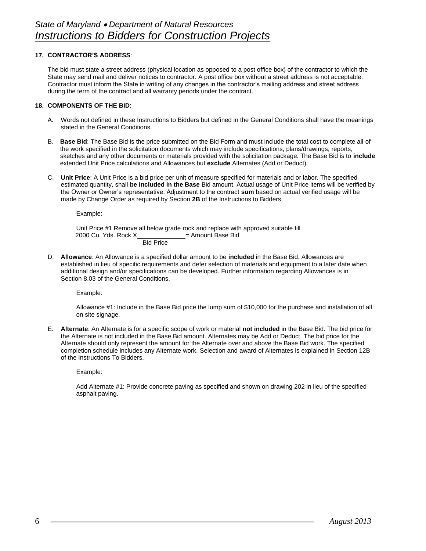# **17. CONTRACTOR'S ADDRESS**:

The bid must state a street address (physical location as opposed to a post office box) of the contractor to which the State may send mail and deliver notices to contractor. A post office box without a street address is not acceptable. Contractor must inform the State in writing of any changes in the contractor's mailing address and street address during the term of the contract and all warranty periods under the contract.

# **18. COMPONENTS OF THE BID**:

- A. Words not defined in these Instructions to Bidders but defined in the General Conditions shall have the meanings stated in the General Conditions.
- B. **Base Bid**: The Base Bid is the price submitted on the Bid Form and must include the total cost to complete all of the work specified in the solicitation documents which may include specifications, plans/drawings, reports, sketches and any other documents or materials provided with the solicitation package. The Base Bid is to **include**  extended Unit Price calculations and Allowances but **exclude** Alternates (Add or Deduct).
- C. **Unit Price**: A Unit Price is a bid price per unit of measure specified for materials and or labor. The specified estimated quantity, shall **be included in the Base** Bid amount. Actual usage of Unit Price items will be verified by the Owner or Owner's representative. Adjustment to the contract **sum** based on actual verified usage will be made by Change Order as required by Section **2B** of the Instructions to Bidders.

Example:

Unit Price #1 Remove all below grade rock and replace with approved suitable fill  $2000$  Cu. Yds. Rock X = Amount Base Bid Bid Price

D. **Allowance**: An Allowance is a specified dollar amount to be **included** in the Base Bid. Allowances are established in lieu of specific requirements and defer selection of materials and equipment to a later date when additional design and/or specifications can be developed. Further information regarding Allowances is in Section 8.03 of the General Conditions.

Example:

Allowance #1: Include in the Base Bid price the lump sum of \$10,000 for the purchase and installation of all on site signage.

E. **Alternate**: An Alternate is for a specific scope of work or material **not included** in the Base Bid. The bid price for the Alternate is not included in the Base Bid amount. Alternates may be Add or Deduct. The bid price for the Alternate should only represent the amount for the Alternate over and above the Base Bid work. The specified completion schedule includes any Alternate work. Selection and award of Alternates is explained in Section 12B of the Instructions To Bidders.

Example:

Add Alternate #1: Provide concrete paving as specified and shown on drawing 202 in lieu of the specified asphalt paving.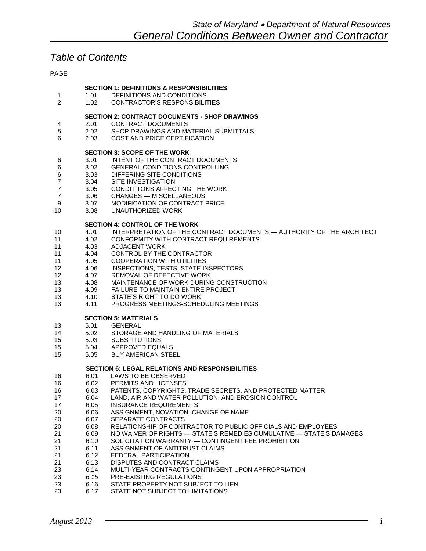# *Table of Contents*

PAGE

|                |              | <b>SECTION 1: DEFINITIONS &amp; RESPONSIBILITIES</b>                     |
|----------------|--------------|--------------------------------------------------------------------------|
| 1              | 1.01         | DEFINITIONS AND CONDITIONS                                               |
| $\overline{2}$ | 1.02         | <b>CONTRACTOR'S RESPONSIBILITIES</b>                                     |
|                |              | <b>SECTION 2: CONTRACT DOCUMENTS - SHOP DRAWINGS</b>                     |
| 4              | 2.01         | <b>CONTRACT DOCUMENTS</b>                                                |
| 5              | 2.02         | SHOP DRAWINGS AND MATERIAL SUBMITTALS                                    |
| 6              | 2.03         | <b>COST AND PRICE CERTIFICATION</b>                                      |
|                |              |                                                                          |
|                | 3.01         | <b>SECTION 3: SCOPE OF THE WORK</b><br>INTENT OF THE CONTRACT DOCUMENTS  |
| 6              | 3.02         | <b>GENERAL CONDITIONS CONTROLLING</b>                                    |
| 6<br>6         | 3.03         | DIFFERING SITE CONDITIONS                                                |
| $\overline{7}$ | 3.04         | SITE INVESTIGATION                                                       |
| 7              | 3.05         | CONDITITONS AFFECTING THE WORK                                           |
| 7              | 3.06         | <b>CHANGES - MISCELLANEOUS</b>                                           |
| 9              | 3.07         | MODIFICATION OF CONTRACT PRICE                                           |
| 10             | 3.08         | UNAUTHORIZED WORK                                                        |
|                |              |                                                                          |
|                |              | <b>SECTION 4: CONTROL OF THE WORK</b>                                    |
| 10             | 4.01         | INTERPRETATION OF THE CONTRACT DOCUMENTS - AUTHORITY OF THE ARCHITECT    |
| 11             | 4.02         | CONFORMITY WITH CONTRACT REQUIREMENTS                                    |
| 11             | 4.03         | <b>ADJACENT WORK</b>                                                     |
| 11             | 4.04         | CONTROL BY THE CONTRACTOR                                                |
| 11             | 4.05<br>4.06 | <b>COOPERATION WITH UTILITIES</b>                                        |
| 12             |              | <b>INSPECTIONS, TESTS, STATE INSPECTORS</b><br>REMOVAL OF DEFECTIVE WORK |
| 12<br>13       | 4.07<br>4.08 | MAINTENANCE OF WORK DURING CONSTRUCTION                                  |
| 13             | 4.09         | FAILURE TO MAINTAIN ENTIRE PROJECT                                       |
| 13             | 4.10         | STATE'S RIGHT TO DO WORK                                                 |
| 13             | 4.11         | PROGRESS MEETINGS-SCHEDULING MEETINGS                                    |
|                |              |                                                                          |
|                |              | <b>SECTION 5: MATERIALS</b>                                              |
| 13             | 5.01         | <b>GENERAL</b>                                                           |
| 14             | 5.02         | STORAGE AND HANDLING OF MATERIALS                                        |
| 15             | 5.03         | <b>SUBSTITUTIONS</b>                                                     |
| 15             | 5.04         | APPROVED EQUALS                                                          |
| 15             | 5.05         | <b>BUY AMERICAN STEEL</b>                                                |
|                |              | <b>SECTION 6: LEGAL RELATIONS AND RESPONSIBILITIES</b>                   |
| 16             | 6.01         | <b>LAWS TO BE OBSERVED</b>                                               |
| 16             | 6.02         | PERMITS AND LICENSES                                                     |
| 16             | 6.03         | PATENTS, COPYRIGHTS, TRADE SECRETS, AND PROTECTED MATTER                 |
| 17             | 6.04         | LAND, AIR AND WATER POLLUTION, AND EROSION CONTROL                       |
| 17             | 6.05         | <b>INSURANCE REQUREMENTS</b>                                             |
| 20             | 6.06         | ASSIGNMENT, NOVATION, CHANGE OF NAME                                     |
| 20             | 6.07         | SEPARATE CONTRACTS                                                       |
| 20             | 6.08         | RELATIONSHIP OF CONTRACTOR TO PUBLIC OFFICIALS AND EMPLOYEES             |
| 21             | 6.09         | NO WAIVER OF RIGHTS - STATE'S REMEDIES CUMULATIVE - STATE'S DAMAGES      |
| 21             | 6.10         | SOLICITATION WARRANTY - CONTINGENT FEE PROHIBITION                       |
| 21             | 6.11         | ASSIGNMENT OF ANTITRUST CLAIMS                                           |
| 21             | 6.12         | FEDERAL PARTICIPATION                                                    |
| 21             | 6.13         | DISPUTES AND CONTRACT CLAIMS                                             |
| 23             | 6.14         | MULTI-YEAR CONTRACTS CONTINGENT UPON APPROPRIATION                       |
| 23             | 6.15         | PRE-EXISTING REGULATIONS                                                 |
| 23             | 6.16         | STATE PROPERTY NOT SUBJECT TO LIEN                                       |
| 23             | 6.17         | STATE NOT SUBJECT TO LIMITATIONS                                         |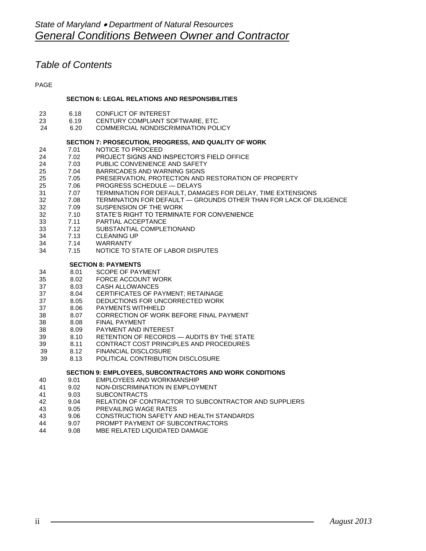# *Table of Contents*

PAGE

# **SECTION 6: LEGAL RELATIONS AND RESPONSIBILITIES**

- 6.18 CONFLICT OF INTEREST
- 23 6.19 CENTURY COMPLIANT SOFTWARE, ETC.
- 24 6.20 COMMERCIAL NONDISCRIMINATION POLICY

# **SECTION 7: PROSECUTION, PROGRESS, AND QUALITY OF WORK**

- 24 7.01 NOTICE TO PROCEED<br>24 7.02 PROJECT SIGNS AND
- 24 7.02 PROJECT SIGNS AND INSPECTOR'S FIELD OFFICE<br>24 7.03 PUBLIC CONVENIENCE AND SAFETY
- 24 7.03 PUBLIC CONVENIENCE AND SAFETY<br>25 7.04 BARRICADES AND WARNING SIGNS
- BARRICADES AND WARNING SIGNS
- 7.05 PRESERVATION, PROTECTION AND RESTORATION OF PROPERTY
- 7.06 PROGRESS SCHEDULE DELAYS
- 7.07 TERMINATION FOR DEFAULT, DAMAGES FOR DELAY, TIME EXTENSIONS
- 7.08 TERMINATION FOR DEFAULT GROUNDS OTHER THAN FOR LACK OF DILIGENCE
- 7.09 SUSPENSION OF THE WORK
- 7.10 STATE'S RIGHT TO TERMINATE FOR CONVENIENCE
- 7.11 PARTIAL ACCEPTANCE
- 7.12 SUBSTANTIAL COMPLETIONAND
- 7.13 CLEANING UP
- 7.14 WARRANTY
- 7.15 NOTICE TO STATE OF LABOR DISPUTES

**SECTION 8: PAYMENTS**

- 8.01 SCOPE OF PAYMENT
- 8.02 FORCE ACCOUNT WORK
- 8.03 CASH ALLOWANCES
- 8.04 CERTIFICATES OF PAYMENT; RETAINAGE
- 8.05 DEDUCTIONS FOR UNCORRECTED WORK
- 8.06 PAYMENTS WITHHELD
- 8.07 CORRECTION OF WORK BEFORE FINAL PAYMENT
- 8.08 FINAL PAYMENT
- 8.09 PAYMENT AND INTEREST
- 8.10 RETENTION OF RECORDS AUDITS BY THE STATE
- 8.11 CONTRACT COST PRINCIPLES AND PROCEDURES
- 39 8.12 FINANCIAL DISCLOSURE
- 39 8.13 POLITICAL CONTRIBUTION DISCLOSURE

# **SECTION 9: EMPLOYEES, SUBCONTRACTORS AND WORK CONDITIONS**

- 9.01 EMPLOYEES AND WORKMANSHIP
- 9.02 NON-DISCRIMINATION IN EMPLOYMENT
- 9.03 SUBCONTRACTS
- 42 9.04 RELATION OF CONTRACTOR TO SUBCONTRACTOR AND SUPPLIERS<br>43 9.05 PREVAILING WAGE RATES
- 9.05 PREVAILING WAGE RATES
- 9.06 CONSTRUCTION SAFETY AND HEALTH STANDARDS
- 9.07 PROMPT PAYMENT OF SUBCONTRACTORS
- 9.08 MBE RELATED LIQUIDATED DAMAGE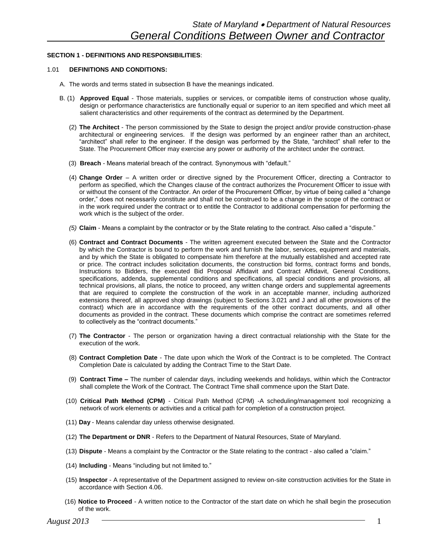# **SECTION 1 - DEFINITIONS AND RESPONSIBILITIES**:

#### 1.01 **DEFINITIONS AND CONDITIONS:**

- A. The words and terms stated in subsection B have the meanings indicated.
- B. (1) **Approved Equal** Those materials, supplies or services, or compatible items of construction whose quality, design or performance characteristics are functionally equal or superior to an item specified and which meet all salient characteristics and other requirements of the contract as determined by the Department.
	- (2) **The Architect** The person commissioned by the State to design the project and/or provide construction-phase architectural or engineering services. If the design was performed by an engineer rather than an architect, "architect" shall refer to the engineer. If the design was performed by the State, "architect" shall refer to the State. The Procurement Officer may exercise any power or authority of the architect under the contract.
	- (3) **Breach** Means material breach of the contract. Synonymous with "default."
	- (4) **Change Order** A written order or directive signed by the Procurement Officer, directing a Contractor to perform as specified, which the Changes clause of the contract authorizes the Procurement Officer to issue with or without the consent of the Contractor. An order of the Procurement Officer, by virtue of being called a "change order," does not necessarily constitute and shall not be construed to be a change in the scope of the contract or in the work required under the contract or to entitle the Contractor to additional compensation for performing the work which is the subject of the order.
	- *(5)* **Claim** Means a complaint by the contractor or by the State relating to the contract. Also called a "dispute."
	- (6) **Contract and Contract Documents** The written agreement executed between the State and the Contractor by which the Contractor is bound to perform the work and furnish the labor, services, equipment and materials, and by which the State is obligated to compensate him therefore at the mutually established and accepted rate or price. The contract includes solicitation documents, the construction bid forms, contract forms and bonds, Instructions to Bidders, the executed Bid Proposal Affidavit and Contract Affidavit, General Conditions, specifications, addenda, supplemental conditions and specifications, all special conditions and provisions, all technical provisions, all plans, the notice to proceed, any written change orders and supplemental agreements that are required to complete the construction of the work in an acceptable manner, including authorized extensions thereof, all approved shop drawings (subject to Sections 3.021 and J and all other provisions of the contract) which are in accordance with the requirements of the other contract documents, and all other documents as provided in the contract. These documents which comprise the contract are sometimes referred to collectively as the "contract documents."
	- (7) **The Contractor** The person or organization having a direct contractual relationship with the State for the execution of the work.
	- (8) **Contract Completion Date** The date upon which the Work of the Contract is to be completed. The Contract Completion Date is calculated by adding the Contract Time to the Start Date.
	- (9) **Contract Time –** The number of calendar days, including weekends and holidays, within which the Contractor shall complete the Work of the Contract. The Contract Time shall commence upon the Start Date.
	- (10) **Critical Path Method (CPM)** Critical Path Method (CPM) -A scheduling/management tool recognizing a network of work elements or activities and a critical path for completion of a construction project.
	- (11) **Day** Means calendar day unless otherwise designated.
	- (12) **The Department or DNR** Refers to the Department of Natural Resources, State of Maryland.
	- (13) **Dispute** Means a complaint by the Contractor or the State relating to the contract also called a "claim."
	- (14) **Including** Means "including but not limited to."
	- (15) **Inspector** A representative of the Department assigned to review on-site construction activities for the State in accordance with Section 4.06.
	- (16) **Notice to Proceed** A written notice to the Contractor of the start date on which he shall begin the prosecution of the work.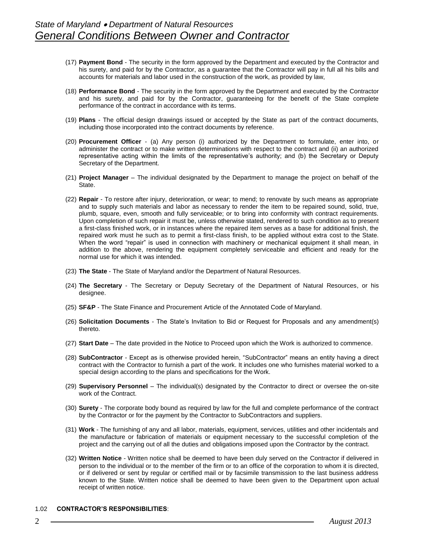- (17) **Payment Bond** The security in the form approved by the Department and executed by the Contractor and his surety, and paid for by the Contractor, as a guarantee that the Contractor will pay in full all his bills and accounts for materials and labor used in the construction of the work, as provided by law,
- (18) **Performance Bond** The security in the form approved by the Department and executed by the Contractor and his surety, and paid for by the Contractor, guaranteeing for the benefit of the State complete performance of the contract in accordance with its terms.
- (19) **Plans** The official design drawings issued or accepted by the State as part of the contract documents, including those incorporated into the contract documents by reference.
- (20) **Procurement Officer** (a) Any person (i) authorized by the Department to formulate, enter into, or administer the contract or to make written determinations with respect to the contract and (ii) an authorized representative acting within the limits of the representative's authority; and (b) the Secretary or Deputy Secretary of the Department.
- (21) **Project Manager**  The individual designated by the Department to manage the project on behalf of the State.
- (22) **Repair** To restore after injury, deterioration, or wear; to mend; to renovate by such means as appropriate and to supply such materials and labor as necessary to render the item to be repaired sound, solid, true, plumb, square, even, smooth and fully serviceable; or to bring into conformity with contract requirements. Upon completion of such repair it must be, unless otherwise stated, rendered to such condition as to present a first-class finished work, or in instances where the repaired item serves as a base for additional finish, the repaired work must he such as to permit a first-class finish, to be applied without extra cost to the State. When the word "repair" is used in connection with machinery or mechanical equipment it shall mean, in addition to the above, rendering the equipment completely serviceable and efficient and ready for the normal use for which it was intended.
- (23) **The State** The State of Maryland and/or the Department of Natural Resources.
- (24) **The Secretary** The Secretary or Deputy Secretary of the Department of Natural Resources, or his designee.
- (25) **SF&P** The State Finance and Procurement Article of the Annotated Code of Maryland.
- (26) **Solicitation Documents** The State's Invitation to Bid or Request for Proposals and any amendment(s) thereto.
- (27) **Start Date**  The date provided in the Notice to Proceed upon which the Work is authorized to commence.
- (28) **SubContractor** Except as is otherwise provided herein, "SubContractor" means an entity having a direct contract with the Contractor to furnish a part of the work. It includes one who furnishes material worked to a special design according to the plans and specifications for the Work.
- (29) **Supervisory Personnel**  The individual(s) designated by the Contractor to direct or oversee the on-site work of the Contract.
- (30) **Surety** The corporate body bound as required by law for the full and complete performance of the contract by the Contractor or for the payment by the Contractor to SubContractors and suppliers.
- (31) **Work** The furnishing of any and all labor, materials, equipment, services, utilities and other incidentals and the manufacture or fabrication of materials or equipment necessary to the successful completion of the project and the carrying out of all the duties and obligations imposed upon the Contractor by the contract.
- (32) **Written Notice** Written notice shall be deemed to have been duly served on the Contractor if delivered in person to the individual or to the member of the firm or to an office of the corporation to whom it is directed, or if delivered or sent by regular or certified mail or by facsimile transmission to the last business address known to the State. Written notice shall be deemed to have been given to the Department upon actual receipt of written notice.

#### 1.02 **CONTRACTOR'S RESPONSIBILITIES**: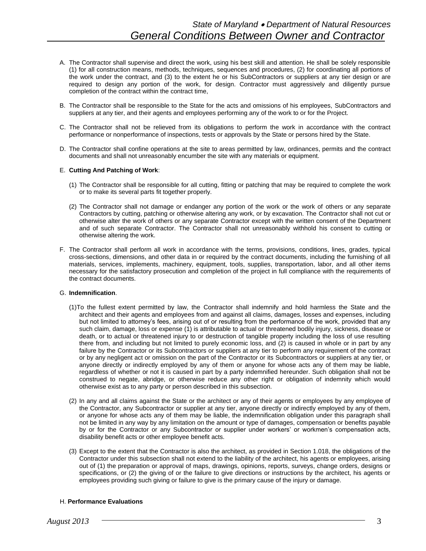- A. The Contractor shall supervise and direct the work, using his best skill and attention. He shall be solely responsible (1) for all construction means, methods, techniques, sequences and procedures, (2) for coordinating all portions of the work under the contract, and (3) to the extent he or his SubContractors or suppliers at any tier design or are required to design any portion of the work, for design. Contractor must aggressively and diligently pursue completion of the contract within the contract time,
- B. The Contractor shall be responsible to the State for the acts and omissions of his employees, SubContractors and suppliers at any tier, and their agents and employees performing any of the work to or for the Project.
- C. The Contractor shall not be relieved from its obligations to perform the work in accordance with the contract performance or nonperformance of inspections, tests or approvals by the State or persons hired by the State.
- D. The Contractor shall confine operations at the site to areas permitted by law, ordinances, permits and the contract documents and shall not unreasonably encumber the site with any materials or equipment.

# E. **Cutting And Patching of Work**:

- (1) The Contractor shall be responsible for all cutting, fitting or patching that may be required to complete the work or to make its several parts fit together properly.
- (2) The Contractor shall not damage or endanger any portion of the work or the work of others or any separate Contractors by cutting, patching or otherwise altering any work, or by excavation. The Contractor shall not cut or otherwise alter the work of others or any separate Contractor except with the written consent of the Department and of such separate Contractor. The Contractor shall not unreasonably withhold his consent to cutting or otherwise altering the work.
- F. The Contractor shall perform all work in accordance with the terms, provisions, conditions, lines, grades, typical cross-sections, dimensions, and other data in or required by the contract documents, including the furnishing of all materials, services, implements, machinery, equipment, tools, supplies, transportation, labor, and all other items necessary for the satisfactory prosecution and completion of the project in full compliance with the requirements of the contract documents.

#### G. **Indemnification**.

- (1)To the fullest extent permitted by law, the Contractor shall indemnify and hold harmless the State and the architect and their agents and employees from and against all claims, damages, losses and expenses, including but not limited to attorney's fees, arising out of or resulting from the performance of the work, provided that any such claim, damage, loss or expense (1) is attributable to actual or threatened bodily injury, sickness, disease or death, or to actual or threatened injury to or destruction of tangible property including the loss of use resulting there from, and including but not limited to purely economic loss, and (2) is caused in whole or in part by any failure by the Contractor or its Subcontractors or suppliers at any tier to perform any requirement of the contract or by any negligent act or omission on the part of the Contractor or its Subcontractors or suppliers at any tier, or anyone directly or indirectly employed by any of them or anyone for whose acts any of them may be liable, regardless of whether or not it is caused in part by a party indemnified hereunder. Such obligation shall not be construed to negate, abridge, or otherwise reduce any other right or obligation of indemnity which would otherwise exist as to any party or person described in this subsection.
- (2) In any and all claims against the State or the architect or any of their agents or employees by any employee of the Contractor, any Subcontractor or supplier at any tier, anyone directly or indirectly employed by any of them, or anyone for whose acts any of them may be liable, the indemnification obligation under this paragraph shall not be limited in any way by any limitation on the amount or type of damages, compensation or benefits payable by or for the Contractor or any Subcontractor or supplier under workers' or workmen's compensation acts, disability benefit acts or other employee benefit acts.
- (3) Except to the extent that the Contractor is also the architect, as provided in Section 1.018, the obligations of the Contractor under this subsection shall not extend to the liability of the architect, his agents or employees, arising out of (1) the preparation or approval of maps, drawings, opinions, reports, surveys, change orders, designs or specifications, or (2) the giving of or the failure to give directions or instructions by the architect, his agents or employees providing such giving or failure to give is the primary cause of the injury or damage.

# H. **Performance Evaluations**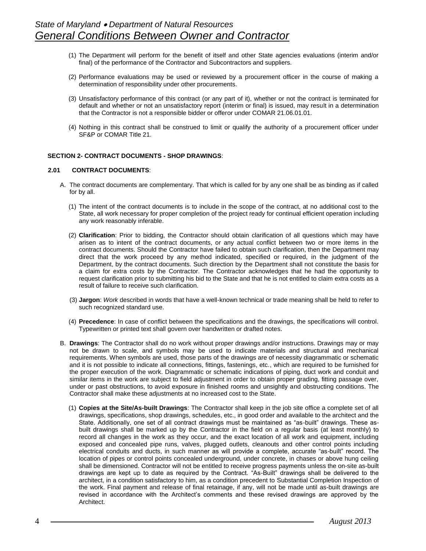- (1) The Department will perform for the benefit of itself and other State agencies evaluations (interim and/or final) of the performance of the Contractor and Subcontractors and suppliers.
- (2) Performance evaluations may be used or reviewed by a procurement officer in the course of making a determination of responsibility under other procurements.
- (3) Unsatisfactory performance of this contract (or any part of it), whether or not the contract is terminated for default and whether or not an unsatisfactory report (interim or final) is issued, may result in a determination that the Contractor is not a responsible bidder or offeror under COMAR 21.06.01.01.
- (4) Nothing in this contract shall be construed to limit or qualify the authority of a procurement officer under SF&P or COMAR Title 21.

#### **SECTION 2- CONTRACT DOCUMENTS - SHOP DRAWINGS**:

#### **2.01 CONTRACT DOCUMENTS**:

- A. The contract documents are complementary. That which is called for by any one shall be as binding as if called for by all.
	- (1) The intent of the contract documents is to include in the scope of the contract, at no additional cost to the State, all work necessary for proper completion of the project ready for continual efficient operation including any work reasonably inferable.
	- (2) **Clarification**: Prior to bidding, the Contractor should obtain clarification of all questions which may have arisen as to intent of the contract documents, or any actual conflict between two or more items in the contract documents. Should the Contractor have failed to obtain such clarification, then the Department may direct that the work proceed by any method indicated, specified or required, in the judgment of the Department, by the contract documents. Such direction by the Department shall not constitute the basis for a claim for extra costs by the Contractor. The Contractor acknowledges that he had the opportunity to request clarification prior to submitting his bid to the State and that he is not entitled to claim extra costs as a result of failure to receive such clarification.
	- (3) **Jargon**: *Work* described in words that have a well-known technical or trade meaning shall be held to refer to such recognized standard use.
	- (4) **Precedence**: In case of conflict between the specifications and the drawings, the specifications will control. Typewritten or printed text shall govern over handwritten or drafted notes.
- B. **Drawings**: The Contractor shall do no work without proper drawings and/or instructions. Drawings may or may not be drawn to scale, and symbols may be used to indicate materials and structural and mechanical requirements. When symbols are used, those parts of the drawings are of necessity diagrammatic or schematic and it is not possible to indicate all connections, fittings, fastenings, etc., which are required to be furnished for the proper execution of the work. Diagrammatic or schematic indications of piping, duct work and conduit and similar items in the work are subject to field adjustment in order to obtain proper grading, fitting passage over, under or past obstructions, to avoid exposure in finished rooms and unsightly and obstructing conditions. The Contractor shall make these adjustments at no increased cost to the State.
	- (1) **Copies at the Site/As-built Drawings**: The Contractor shall keep in the job site office a complete set of all drawings, specifications, shop drawings, schedules, etc., in good order and available to the architect and the State. Additionally, one set of all contract drawings must be maintained as "as-built" drawings. These asbuilt drawings shall be marked up by the Contractor in the field on a regular basis (at least monthly) to record all changes in the work as they occur, and the exact location of all work and equipment, including exposed and concealed pipe runs, valves, plugged outlets, cleanouts and other control points including electrical conduits and ducts, in such manner as will provide a complete, accurate "as-built" record. The location of pipes or control points concealed underground, under concrete, in chases or above hung ceiling shall be dimensioned. Contractor will not be entitled to receive progress payments unless the on-site as-built drawings are kept up to date as required by the Contract. "As-Built" drawings shall be delivered to the architect, in a condition satisfactory to him, as a condition precedent to Substantial Completion Inspection of the work. Final payment and release of final retainage, if any, will not be made until as-built drawings are revised in accordance with the Architect's comments and these revised drawings are approved by the Architect.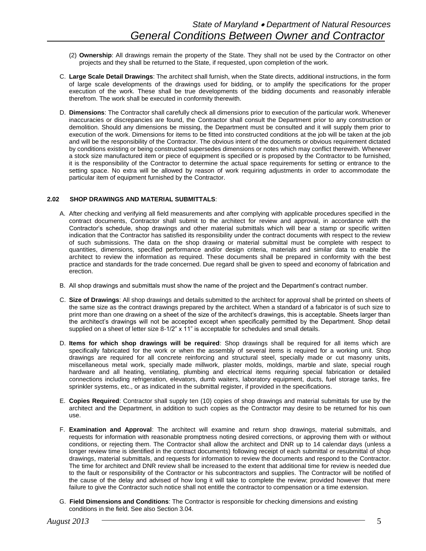- (2) **Ownership**: All drawings remain the property of the State. They shall not be used by the Contractor on other projects and they shall be returned to the State, if requested, upon completion of the work.
- C. **Large Scale Detail Drawings**: The architect shall furnish, when the State directs, additional instructions, in the form of large scale developments of the drawings used for bidding, or to amplify the specifications for the proper execution of the work. These shall be true developments of the bidding documents and reasonably inferable therefrom. The work shall be executed in conformity therewith.
- D. **Dimensions**: The Contractor shall carefully check all dimensions prior to execution of the particular work. Whenever inaccuracies or discrepancies are found, the Contractor shall consult the Department prior to any construction or demolition. Should any dimensions be missing, the Department must be consulted and it will supply them prior to execution of the work. Dimensions for items to be fitted into constructed conditions at the job will be taken at the job and will be the responsibility of the Contractor. The obvious intent of the documents or obvious requirement dictated by conditions existing or being constructed supersedes dimensions or notes which may conflict therewith. Whenever a stock size manufactured item or piece of equipment is specified or is proposed by the Contractor to be furnished, it is the responsibility of the Contractor to determine the actual space requirements for setting or entrance to the setting space. No extra will be allowed by reason of work requiring adjustments in order to accommodate the particular item of equipment furnished by the Contractor.

# **2.02 SHOP DRAWINGS AND MATERIAL SUBMITTALS**:

- A. After checking and verifying all field measurements and after complying with applicable procedures specified in the contract documents, Contractor shall submit to the architect for review and approval, in accordance with the Contractor's schedule, shop drawings and other material submittals which will bear a stamp or specific written indication that the Contractor has satisfied its responsibility under the contract documents with respect to the review of such submissions. The data on the shop drawing or material submittal must be complete with respect to quantities, dimensions, specified performance and/or design criteria, materials and similar data to enable the architect to review the information as required. These documents shall be prepared in conformity with the best practice and standards for the trade concerned. Due regard shall be given to speed and economy of fabrication and erection.
- B. All shop drawings and submittals must show the name of the project and the Department's contract number.
- C. **Size of Drawings**: All shop drawings and details submitted to the architect for approval shall be printed on sheets of the same size as the contract drawings prepared by the architect. When a standard of a fabricator is of such size to print more than one drawing on a sheet of the size of the architect's drawings, this is acceptable. Sheets larger than the architect's drawings will not be accepted except when specifically permitted by the Department. Shop detail supplied on a sheet of letter size 8-1/2" x 11" is acceptable for schedules and small details.
- D. **Items for which shop drawings will be required**: Shop drawings shall be required for all items which are specifically fabricated for the work or when the assembly of several items is required for a working unit. Shop drawings are required for all concrete reinforcing and structural steel, specially made or cut masonry units, miscellaneous metal work, specially made millwork, plaster molds, moldings, marble and slate, special rough hardware and all heating, ventilating, plumbing and electrical items requiring special fabrication or detailed connections including refrigeration, elevators, dumb waiters, laboratory equipment, ducts, fuel storage tanks, fire sprinkler systems, etc., or as indicated in the submittal register, if provided in the specifications.
- E. **Copies Required**: Contractor shall supply ten (10) copies of shop drawings and material submittals for use by the architect and the Department, in addition to such copies as the Contractor may desire to be returned for his own use.
- F. **Examination and Approval**: The architect will examine and return shop drawings, material submittals, and requests for information with reasonable promptness noting desired corrections, or approving them with or without conditions, or rejecting them. The Contractor shall allow the architect and DNR up to 14 calendar days (unless a longer review time is identified in the contract documents) following receipt of each submittal or resubmittal of shop drawings, material submittals, and requests for information to review the documents and respond to the Contractor. The time for architect and DNR review shall be increased to the extent that additional time for review is needed due to the fault or responsibility of the Contractor or his subcontractors and supplies. The Contractor will be notified of the cause of the delay and advised of how long it will take to complete the review; provided however that mere failure to give the Contractor such notice shall not entitle the contractor to compensation or a time extension.
- G. **Field Dimensions and Conditions**: The Contractor is responsible for checking dimensions and existing conditions in the field. See also Section 3.04.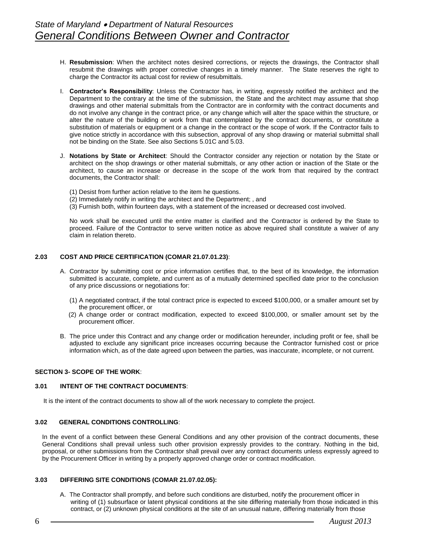- H. **Resubmission**: When the architect notes desired corrections, or rejects the drawings, the Contractor shall resubmit the drawings with proper corrective changes in a timely manner. The State reserves the right to charge the Contractor its actual cost for review of resubmittals.
- I. **Contractor's Responsibility**: Unless the Contractor has, in writing, expressly notified the architect and the Department to the contrary at the time of the submission, the State and the architect may assume that shop drawings and other material submittals from the Contractor are in conformity with the contract documents and do not involve any change in the contract price, or any change which will alter the space within the structure, or alter the nature of the building or work from that contemplated by the contract documents, or constitute a substitution of materials or equipment or a change in the contract or the scope of work. If the Contractor fails to give notice strictly in accordance with this subsection, approval of any shop drawing or material submittal shall not be binding on the State. See also Sections 5.01C and 5.03.
- J. **Notations by State or Architect**: Should the Contractor consider any rejection or notation by the State or architect on the shop drawings or other material submittals, or any other action or inaction of the State or the architect, to cause an increase or decrease in the scope of the work from that required by the contract documents, the Contractor shall:
	- (1) Desist from further action relative to the item he questions.
	- (2) Immediately notify in writing the architect and the Department; , and
	- (3) Furnish both, within fourteen days, with a statement of the increased or decreased cost involved.

No work shall be executed until the entire matter is clarified and the Contractor is ordered by the State to proceed. Failure of the Contractor to serve written notice as above required shall constitute a waiver of any claim in relation thereto.

# **2.03 COST AND PRICE CERTIFICATION (COMAR 21.07.01.23)**:

- A. Contractor by submitting cost or price information certifies that, to the best of its knowledge, the information submitted is accurate, complete, and current as of a mutually determined specified date prior to the conclusion of any price discussions or negotiations for:
	- (1) A negotiated contract, if the total contract price is expected to exceed \$100,000, or a smaller amount set by the procurement officer, or
	- (2) A change order or contract modification, expected to exceed \$100,000, or smaller amount set by the procurement officer.
- B. The price under this Contract and any change order or modification hereunder, including profit or fee, shall be adjusted to exclude any significant price increases occurring because the Contractor furnished cost or price information which, as of the date agreed upon between the parties, was inaccurate, incomplete, or not current.

# **SECTION 3- SCOPE OF THE WORK**:

#### **3.01 INTENT OF THE CONTRACT DOCUMENTS**:

It is the intent of the contract documents to show all of the work necessary to complete the project.

#### **3.02 GENERAL CONDITIONS CONTROLLING**:

In the event of a conflict between these General Conditions and any other provision of the contract documents, these General Conditions shall prevail unless such other provision expressly provides to the contrary. Nothing in the bid, proposal, or other submissions from the Contractor shall prevail over any contract documents unless expressly agreed to by the Procurement Officer in writing by a properly approved change order or contract modification.

# **3.03 DIFFERING SITE CONDITIONS (COMAR 21.07.02.05):**

A. The Contractor shall promptly, and before such conditions are disturbed, notify the procurement officer in writing of (1) subsurface or latent physical conditions at the site differing materially from those indicated in this contract, or (2) unknown physical conditions at the site of an unusual nature, differing materially from those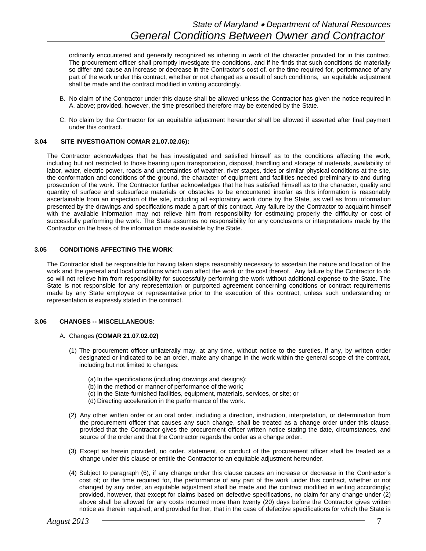ordinarily encountered and generally recognized as inhering in work of the character provided for in this contract. The procurement officer shall promptly investigate the conditions, and if he finds that such conditions do materially so differ and cause an increase or decrease in the Contractor's cost of, or the time required for, performance of any part of the work under this contract, whether or not changed as a result of such conditions, an equitable adjustment shall be made and the contract modified in writing accordingly.

- B. No claim of the Contractor under this clause shall be allowed unless the Contractor has given the notice required in A. above; provided, however, the time prescribed therefore may be extended by the State.
- C. No claim by the Contractor for an equitable adjustment hereunder shall be allowed if asserted after final payment under this contract.

#### **3.04 SITE INVESTIGATION COMAR 21.07.02.06):**

The Contractor acknowledges that he has investigated and satisfied himself as to the conditions affecting the work, including but not restricted to those bearing upon transportation, disposal, handling and storage of materials, availability of labor, water, electric power, roads and uncertainties of weather, river stages, tides or similar physical conditions at the site, the conformation and conditions of the ground, the character of equipment and facilities needed preliminary to and during prosecution of the work. The Contractor further acknowledges that he has satisfied himself as to the character, quality and quantity of surface and subsurface materials or obstacles to be encountered insofar as this information is reasonably ascertainable from an inspection of the site, including all exploratory work done by the State, as well as from information presented by the drawings and specifications made a part of this contract. Any failure by the Contractor to acquaint himself with the available information may not relieve him from responsibility for estimating properly the difficulty or cost of successfully performing the work. The State assumes no responsibility for any conclusions or interpretations made by the Contractor on the basis of the information made available by the State.

#### **3.05 CONDITIONS AFFECTING THE WORK**:

The Contractor shall be responsible for having taken steps reasonably necessary to ascertain the nature and location of the work and the general and local conditions which can affect the work or the cost thereof. Any failure by the Contractor to do so will not relieve him from responsibility for successfully performing the work without additional expense to the State. The State is not responsible for any representation or purported agreement concerning conditions or contract requirements made by any State employee or representative prior to the execution of this contract, unless such understanding or representation is expressly stated in the contract.

#### **3.06 CHANGES -- MISCELLANEOUS**:

#### A. Changes **(COMAR 21.07.02.02)**

- (1) The procurement officer unilaterally may, at any time, without notice to the sureties, if any, by written order designated or indicated to be an order, make any change in the work within the general scope of the contract, including but not limited to changes:
	- (a) In the specifications (including drawings and designs);
	- (b) In the method or manner of performance of the work;
	- (c) In the State-furnished facilities, equipment, materials, services, or site; or
	- (d) Directing acceleration in the performance of the work.
- (2) Any other written order or an oral order, including a direction, instruction, interpretation, or determination from the procurement officer that causes any such change, shall be treated as a change order under this clause, provided that the Contractor gives the procurement officer written notice stating the date, circumstances, and source of the order and that the Contractor regards the order as a change order.
- (3) Except as herein provided, no order, statement, or conduct of the procurement officer shall be treated as a change under this clause or entitle the Contractor to an equitable adjustment hereunder.
- (4) Subject to paragraph (6), if any change under this clause causes an increase or decrease in the Contractor's cost of; or the time required for, the performance of any part of the work under this contract, whether or not changed by any order, an equitable adjustment shall be made and the contract modified in writing accordingly; provided, however, that except for claims based on defective specifications, no claim for any change under (2) above shall be allowed for any costs incurred more than twenty (20) days before the Contractor gives written notice as therein required; and provided further, that in the case of defective specifications for which the State is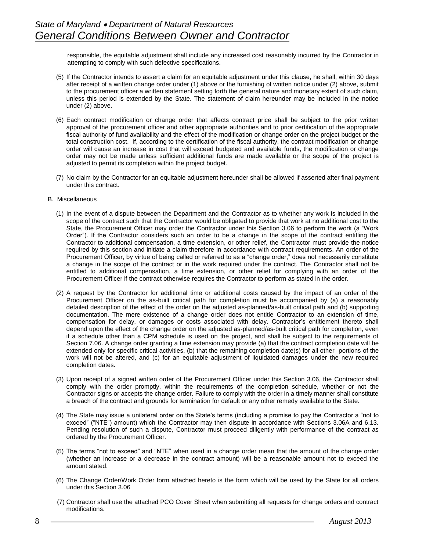responsible, the equitable adjustment shall include any increased cost reasonably incurred by the Contractor in attempting to comply with such defective specifications.

- (5) If the Contractor intends to assert a claim for an equitable adjustment under this clause, he shall, within 30 days after receipt of a written change order under (1) above or the furnishing of written notice under (2) above, submit to the procurement officer a written statement setting forth the general nature and monetary extent of such claim, unless this period is extended by the State. The statement of claim hereunder may be included in the notice under (2) above.
- (6) Each contract modification or change order that affects contract price shall be subject to the prior written approval of the procurement officer and other appropriate authorities and to prior certification of the appropriate fiscal authority of fund availability and the effect of the modification or change order on the project budget or the total construction cost. If, according to the certification of the fiscal authority, the contract modification or change order will cause an increase in cost that will exceed budgeted and available funds, the modification or change order may not be made unless sufficient additional funds are made available or the scope of the project is adjusted to permit its completion within the project budget.
- (7) No claim by the Contractor for an equitable adjustment hereunder shall be allowed if asserted after final payment under this contract.
- B. Miscellaneous
	- (1) In the event of a dispute between the Department and the Contractor as to whether any work is included in the scope of the contract such that the Contractor would be obligated to provide that work at no additional cost to the State, the Procurement Officer may order the Contractor under this Section 3.06 to perform the work (a "Work Order"). If the Contractor considers such an order to be a change in the scope of the contract entitling the Contractor to additional compensation, a time extension, or other relief, the Contractor must provide the notice required by this section and initiate a claim therefore in accordance with contract requirements. An order of the Procurement Officer, by virtue of being called or referred to as a "change order," does not necessarily constitute a change in the scope of the contract or in the work required under the contract. The Contractor shall not be entitled to additional compensation, a time extension, or other relief for complying with an order of the Procurement Officer if the contract otherwise requires the Contractor to perform as stated in the order.
	- (2) A request by the Contractor for additional time or additional costs caused by the impact of an order of the Procurement Officer on the as-built critical path for completion must be accompanied by (a) a reasonably detailed description of the effect of the order on the adjusted as-planned/as-built critical path and (b) supporting documentation. The mere existence of a change order does not entitle Contractor to an extension of time, compensation for delay, or damages or costs associated with delay. Contractor's entitlement thereto shall depend upon the effect of the change order on the adjusted as-planned/as-built critical path for completion, even if a schedule other than a CPM schedule is used on the project, and shall be subject to the requirements of Section 7.06. A change order granting a time extension may provide (a) that the contract completion date will he extended only for specific critical activities, (b) that the remaining completion date(s) for all other portions of the work will not be altered, and (c) for an equitable adjustment of liquidated damages under the new required completion dates.
	- (3) Upon receipt of a signed written order of the Procurement Officer under this Section 3.06, the Contractor shall comply with the order promptly, within the requirements of the completion schedule, whether or not the Contractor signs or accepts the change order. Failure to comply with the order in a timely manner shall constitute a breach of the contract and grounds for termination for default or any other remedy available to the State.
	- (4) The State may issue a unilateral order on the State's terms (including a promise to pay the Contractor a "not to exceed" ("NTE") amount) which the Contractor may then dispute in accordance with Sections 3.06A and 6.13. Pending resolution of such a dispute, Contractor must proceed diligently with performance of the contract as ordered by the Procurement Officer.
	- (5) The terms "not to exceed" and "NTE" when used in a change order mean that the amount of the change order (whether an increase or a decrease in the contract amount) will be a reasonable amount not to exceed the amount stated.
	- (6) The Change Order/Work Order form attached hereto is the form which will be used by the State for all orders under this Section 3.06
	- (7) Contractor shall use the attached PCO Cover Sheet when submitting all requests for change orders and contract modifications.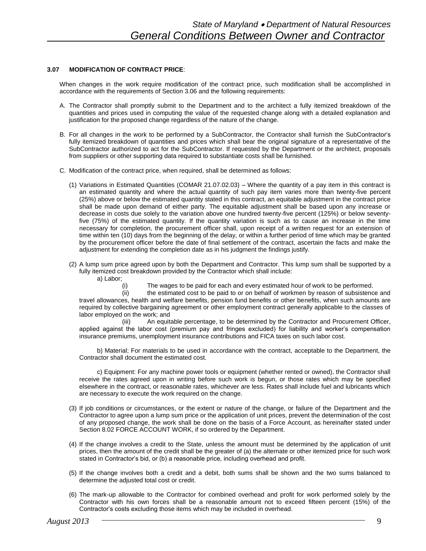# **3.07 MODIFICATION OF CONTRACT PRICE**:

When changes in the work require modification of the contract price, such modification shall be accomplished in accordance with the requirements of Section 3.06 and the following requirements:

- A. The Contractor shall promptly submit to the Department and to the architect a fully itemized breakdown of the quantities and prices used in computing the value of the requested change along with a detailed explanation and justification for the proposed change regardless of the nature of the change.
- B. For all changes in the work to be performed by a SubContractor, the Contractor shall furnish the SubContractor's fully itemized breakdown of quantities and prices which shall bear the original signature of a representative of the SubContractor authorized to act for the SubContractor. If requested by the Department or the architect, proposals from suppliers or other supporting data required to substantiate costs shall be furnished.
- C. Modification of the contract price, when required, shall be determined as follows:
	- (1) Variations in Estimated Quantities (COMAR 21.07.02.03) Where the quantity of a pay item in this contract is an estimated quantity and where the actual quantity of such pay item varies more than twenty-five percent (25%) above or below the estimated quantity stated in this contract, an equitable adjustment in the contract price shall be made upon demand of either party. The equitable adjustment shall be based upon any increase or decrease in costs due solely to the variation above one hundred twenty-five percent (125%) or below seventyfive (75%) of the estimated quantity. If the quantity variation is such as to cause an increase in the time necessary for completion, the procurement officer shall, upon receipt of a written request for an extension of time within ten (10) days from the beginning of the delay, or within a further period of time which may be granted by the procurement officer before the date of final settlement of the contract, ascertain the facts and make the adjustment for extending the completion date as in his judgment the findings justify.
	- (2) A lump sum price agreed upon by both the Department and Contractor. This lump sum shall be supported by a fully itemized cost breakdown provided by the Contractor which shall include: a) Labor;
		- (i) The wages to be paid for each and every estimated hour of work to be performed.

(ii) the estimated cost to be paid to or on behalf of workmen by reason of subsistence and travel allowances, health and welfare benefits, pension fund benefits or other benefits, when such amounts are required by collective bargaining agreement or other employment contract generally applicable to the classes of labor employed on the work; and

(iii) An equitable percentage, to be determined by the Contractor and Procurement Officer, applied against the labor cost (premium pay and fringes excluded) for liability and worker's compensation insurance premiums, unemployment insurance contributions and FICA taxes on such labor cost.

b) Material; For materials to be used in accordance with the contract, acceptable to the Department, the Contractor shall document the estimated cost.

c) Equipment: For any machine power tools or equipment (whether rented or owned), the Contractor shall receive the rates agreed upon in writing before such work is begun, or those rates which may be specified elsewhere in the contract, or reasonable rates, whichever are less. Rates shall include fuel and lubricants which are necessary to execute the work required on the change.

- (3) If job conditions or circumstances, or the extent or nature of the change, or failure of the Department and the Contractor to agree upon a lump sum price or the application of unit prices, prevent the determination of the cost of any proposed change, the work shall be done on the basis of a Force Account, as hereinafter stated under Section 8.02 FORCE ACCOUNT WORK, if so ordered by the Department.
- (4) If the change involves a credit to the State, unless the amount must be determined by the application of unit prices, then the amount of the credit shall be the greater of (a) the alternate or other itemized price for such work stated in Contractor's bid, or (b) a reasonable price, including overhead and profit.
- (5) If the change involves both a credit and a debit, both sums shall be shown and the two sums balanced to determine the adjusted total cost or credit.
- (6) The mark-up allowable to the Contractor for combined overhead and profit for work performed solely by the Contractor with his own forces shall be a reasonable amount not to exceed fifteen percent (15%) of the Contractor's costs excluding those items which may be included in overhead.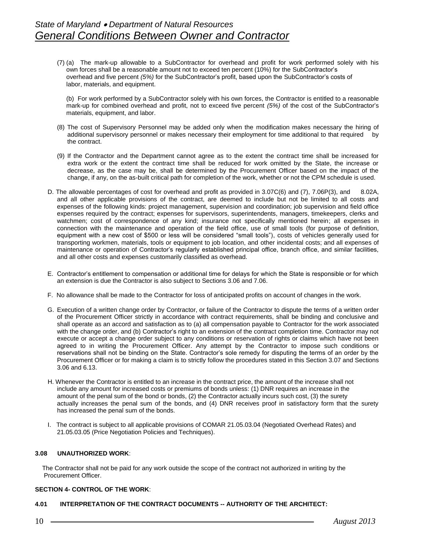(7) (a) The mark-up allowable to a SubContractor for overhead and profit for work performed solely with his own forces shall be a reasonable amount not to exceed ten percent (10%) for the SubContractor's overhead and five percent *(5%)* for the SubContractor's profit, based upon the SubContractor's costs of labor, materials, and equipment.

(b) For work performed by a SubContractor solely with his own forces, the Contractor is entitled to a reasonable mark-up for combined overhead and profit, not to exceed five percent *(5%)* of the cost of the SubContractor's materials, equipment, and labor.

- (8) The cost of Supervisory Personnel may be added only when the modification makes necessary the hiring of additional supervisory personnel or makes necessary their employment for time additional to that required by the contract.
- (9) If the Contractor and the Department cannot agree as to the extent the contract time shall be increased for extra work or the extent the contract time shall be reduced for work omitted by the State, the increase or decrease, as the case may be, shall be determined by the Procurement Officer based on the impact of the change, if any, on the as-built critical path for completion of the work, whether or not the CPM schedule is used.
- D. The allowable percentages of cost for overhead and profit as provided in 3.07C(6) and (7), 7.06P(3), and 8.02A, and all other applicable provisions of the contract, are deemed to include but not be limited to all costs and expenses of the following kinds: project management, supervision and coordination; job supervision and field office expenses required by the contract; expenses for supervisors, superintendents, managers, timekeepers, clerks and watchmen; cost of correspondence of any kind; insurance not specifically mentioned herein; all expenses in connection with the maintenance and operation of the field office, use of small tools (for purpose of definition, equipment with a new cost of \$500 or less will be considered "small tools"), costs of vehicles generally used for transporting workmen, materials, tools or equipment to job location, and other incidental costs; and all expenses of maintenance or operation of Contractor's regularly established principal office, branch office, and similar facilities, and all other costs and expenses customarily classified as overhead.
- E. Contractor's entitlement to compensation or additional time for delays for which the State is responsible or for which an extension is due the Contractor is also subject to Sections 3.06 and 7.06.
- F. No allowance shall be made to the Contractor for loss of anticipated profits on account of changes in the work.
- G. Execution of a written change order by Contractor, or failure of the Contractor to dispute the terms of a written order of the Procurement Officer strictly in accordance with contract requirements, shall be binding and conclusive and shall operate as an accord and satisfaction as to (a) all compensation payable to Contractor for the work associated with the change order, and (b) Contractor's right to an extension of the contract completion time. Contractor may not execute or accept a change order subject to any conditions or reservation of rights or claims which have not been agreed to in writing the Procurement Officer. Any attempt by the Contractor to impose such conditions or reservations shall not be binding on the State. Contractor's sole remedy for disputing the terms of an order by the Procurement Officer or for making a claim is to strictly follow the procedures stated in this Section 3.07 and Sections 3.06 and 6.13.
- H. Whenever the Contractor is entitled to an increase in the contract price, the amount of the increase shall not include any amount for increased costs or premiums of bonds unless: (1) DNR requires an increase in the amount of the penal sum of the bond or bonds, (2) the Contractor actually incurs such cost, (3) the surety actually increases the penal sum of the bonds, and (4) DNR receives proof in satisfactory form that the surety has increased the penal sum of the bonds.
- I. The contract is subject to all applicable provisions of COMAR 21.05.03.04 (Negotiated Overhead Rates) and 21.05.03.05 (Price Negotiation Policies and Techniques).

#### **3.08 UNAUTHORIZED WORK**:

The Contractor shall not be paid for any work outside the scope of the contract not authorized in writing by the Procurement Officer.

# **SECTION 4- CONTROL OF THE WORK**:

#### **4.01 INTERPRETATION OF THE CONTRACT DOCUMENTS -- AUTHORITY OF THE ARCHITECT:**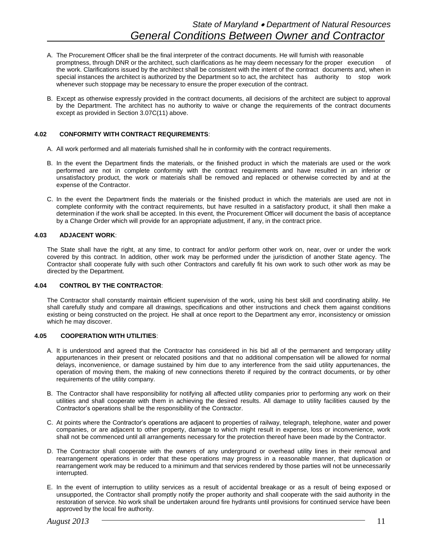- A. The Procurement Officer shall be the final interpreter of the contract documents. He will furnish with reasonable promptness, through DNR or the architect, such clarifications as he may deem necessary for the proper execution of the work. Clarifications issued by the architect shall be consistent with the intent of the contract documents and, when in special instances the architect is authorized by the Department so to act, the architect has authority to stop work whenever such stoppage may be necessary to ensure the proper execution of the contract.
- B. Except as otherwise expressly provided in the contract documents, all decisions of the architect are subject to approval by the Department. The architect has no authority to waive or change the requirements of the contract documents except as provided in Section 3.07C(11) above.

# **4.02 CONFORMITY WITH CONTRACT REQUIREMENTS**:

- A. All work performed and all materials furnished shall he in conformity with the contract requirements.
- B. In the event the Department finds the materials, or the finished product in which the materials are used or the work performed are not in complete conformity with the contract requirements and have resulted in an inferior or unsatisfactory product, the work or materials shall be removed and replaced or otherwise corrected by and at the expense of the Contractor.
- C. In the event the Department finds the materials or the finished product in which the materials are used are not in complete conformity with the contract requirements, but have resulted in a satisfactory product, it shall then make a determination if the work shall be accepted. In this event, the Procurement Officer will document the basis of acceptance by a Change Order which will provide for an appropriate adjustment, if any, in the contract price.

#### **4.03 ADJACENT WORK**:

The State shall have the right, at any time, to contract for and/or perform other work on, near, over or under the work covered by this contract. In addition, other work may be performed under the jurisdiction of another State agency. The Contractor shall cooperate fully with such other Contractors and carefully fit his own work to such other work as may be directed by the Department.

#### **4.04 CONTROL BY THE CONTRACTOR**:

The Contractor shall constantly maintain efficient supervision of the work, using his best skill and coordinating ability. He shall carefully study and compare all drawings, specifications and other instructions and check them against conditions existing or being constructed on the project. He shall at once report to the Department any error, inconsistency or omission which he may discover.

#### **4.05 COOPERATION WITH UTILITIES**:

- A. It is understood and agreed that the Contractor has considered in his bid all of the permanent and temporary utility appurtenances in their present or relocated positions and that no additional compensation will be allowed for normal delays, inconvenience, or damage sustained by him due to any interference from the said utility appurtenances, the operation of moving them, the making of new connections thereto if required by the contract documents, or by other requirements of the utility company.
- B. The Contractor shall have responsibility for notifying all affected utility companies prior to performing any work on their utilities and shall cooperate with them in achieving the desired results. All damage to utility facilities caused by the Contractor's operations shall be the responsibility of the Contractor.
- C. At points where the Contractor's operations are adjacent to properties of railway, telegraph, telephone, water and power companies, or are adjacent to other property, damage to which might result in expense, loss or inconvenience, work shall not be commenced until all arrangements necessary for the protection thereof have been made by the Contractor.
- D. The Contractor shall cooperate with the owners of any underground or overhead utility lines in their removal and rearrangement operations in order that these operations may progress in a reasonable manner, that duplication or rearrangement work may be reduced to a minimum and that services rendered by those parties will not be unnecessarily interrupted.
- E. In the event of interruption to utility services as a result of accidental breakage or as a result of being exposed or unsupported, the Contractor shall promptly notify the proper authority and shall cooperate with the said authority in the restoration of service. No work shall be undertaken around fire hydrants until provisions for continued service have been approved by the local fire authority.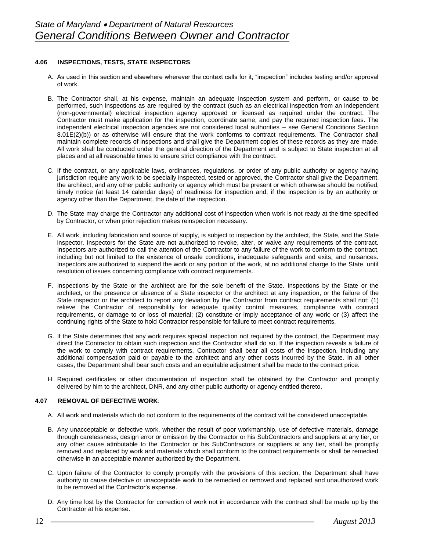# **4.06 INSPECTIONS, TESTS, STATE INSPECTORS**:

- A. As used in this section and elsewhere wherever the context calls for it, "inspection" includes testing and/or approval of work.
- B. The Contractor shall, at his expense, maintain an adequate inspection system and perform, or cause to be performed, such inspections as are required by the contract (such as an electrical inspection from an independent (non-governmental) electrical inspection agency approved or licensed as required under the contract. The Contractor must make application for the inspection, coordinate same, and pay the required inspection fees. The independent electrical inspection agencies are not considered local authorities – see General Conditions Section 8.01E(2)(b)) or as otherwise will ensure that the work conforms to contract requirements. The Contractor shall maintain complete records of inspections and shall give the Department copies of these records as they are made. All work shall be conducted under the general direction of the Department and is subject to State inspection at all places and at all reasonable times to ensure strict compliance with the contract.
- C. If the contract, or any applicable laws, ordinances, regulations, or order of any public authority or agency having jurisdiction require any work to be specially inspected, tested or approved, the Contractor shall give the Department, the architect, and any other public authority or agency which must be present or which otherwise should be notified, timely notice (at least 14 calendar days) of readiness for inspection and, if the inspection is by an authority or agency other than the Department, the date of the inspection.
- D. The State may charge the Contractor any additional cost of inspection when work is not ready at the time specified by Contractor, or when prior rejection makes reinspection necessary.
- E. All work, including fabrication and source of supply, is subject to inspection by the architect, the State, and the State inspector. Inspectors for the State are not authorized to revoke, alter, or waive any requirements of the contract. Inspectors are authorized to call the attention of the Contractor to any failure of the work to conform to the contract, including but not limited to the existence of unsafe conditions, inadequate safeguards and exits, and nuisances. Inspectors are authorized to suspend the work or any portion of the work, at no additional charge to the State, until resolution of issues concerning compliance with contract requirements.
- F. Inspections by the State or the architect are for the sole benefit of the State. Inspections by the State or the architect, or the presence or absence of a State inspector or the architect at any inspection, or the failure of the State inspector or the architect to report any deviation by the Contractor from contract requirements shall not: (1) relieve the Contractor of responsibility for adequate quality control measures, compliance with contract requirements, or damage to or loss of material; (2) constitute or imply acceptance of any work; or (3) affect the continuing rights of the State to hold Contractor responsible for failure to meet contract requirements.
- G. If the State determines that any work requires special inspection not required by the contract, the Department may direct the Contractor to obtain such inspection and the Contractor shall do so. If the inspection reveals a failure of the work to comply with contract requirements, Contractor shall bear all costs of the inspection, including any additional compensation paid or payable to the architect and any other costs incurred by the State. In all other cases, the Department shall bear such costs and an equitable adjustment shall be made to the contract price.
- H. Required certificates or other documentation of inspection shall be obtained by the Contractor and promptly delivered by him to the architect, DNR, and any other public authority or agency entitled thereto.

# **4.07 REMOVAL OF DEFECTIVE WORK**:

- A. All work and materials which do not conform to the requirements of the contract will be considered unacceptable.
- B. Any unacceptable or defective work, whether the result of poor workmanship, use of defective materials, damage through carelessness, design error or omission by the Contractor or his SubContractors and suppliers at any tier, or any other cause attributable to the Contractor or his SubContractors or suppliers at any tier, shall be promptly removed and replaced by work and materials which shall conform to the contract requirements or shall be remedied otherwise in an acceptable manner authorized by the Department.
- C. Upon failure of the Contractor to comply promptly with the provisions of this section, the Department shall have authority to cause defective or unacceptable work to be remedied or removed and replaced and unauthorized work to be removed at the Contractor's expense.
- D. Any time lost by the Contractor for correction of work not in accordance with the contract shall be made up by the Contractor at his expense.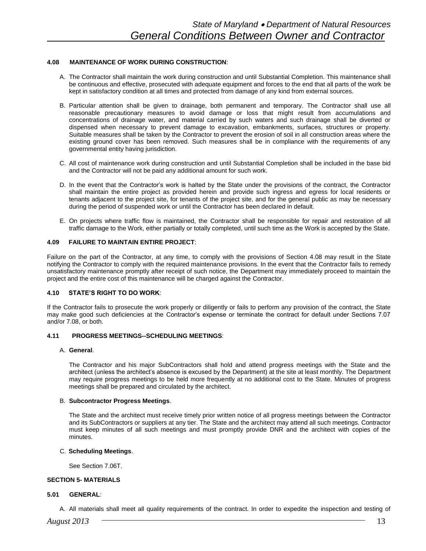# **4.08 MAINTENANCE OF WORK DURING CONSTRUCTION**:

- A. The Contractor shall maintain the work during construction and until Substantial Completion. This maintenance shall be continuous and effective, prosecuted with adequate equipment and forces to the end that all parts of the work be kept in satisfactory condition at all times and protected from damage of any kind from external sources.
- B. Particular attention shall be given to drainage, both permanent and temporary. The Contractor shall use all reasonable precautionary measures to avoid damage or loss that might result from accumulations and concentrations of drainage water, and material carried by such waters and such drainage shall be diverted or dispensed when necessary to prevent damage to excavation, embankments, surfaces, structures or property. Suitable measures shall be taken by the Contractor to prevent the erosion of soil in all construction areas where the existing ground cover has been removed. Such measures shall be in compliance with the requirements of any governmental entity having jurisdiction.
- C. All cost of maintenance work during construction and until Substantial Completion shall be included in the base bid and the Contractor will not be paid any additional amount for such work.
- D. In the event that the Contractor's work is halted by the State under the provisions of the contract, the Contractor shall maintain the entire project as provided herein and provide such ingress and egress for local residents or tenants adjacent to the project site, for tenants of the project site, and for the general public as may be necessary during the period of suspended work or until the Contractor has been declared in default.
- E. On projects where traffic flow is maintained, the Contractor shall be responsible for repair and restoration of all traffic damage to the Work, either partially or totally completed, until such time as the Work is accepted by the State.

#### **4.09 FAILURE TO MAINTAIN ENTIRE PROJECT**:

Failure on the part of the Contractor, at any time, to comply with the provisions of Section 4.08 may result in the State notifying the Contractor to comply with the required maintenance provisions. In the event that the Contractor fails to remedy unsatisfactory maintenance promptly after receipt of such notice, the Department may immediately proceed to maintain the project and the entire cost of this maintenance will be charged against the Contractor.

# **4.10 STATE'S RIGHT TO DO WORK**:

If the Contractor fails to prosecute the work properly or diligently or fails to perform any provision of the contract, the State may make good such deficiencies at the Contractor's expense or terminate the contract for default under Sections 7.07 and/or 7.08, or both.

#### **4.11 PROGRESS MEETINGS--SCHEDULING MEETINGS**:

#### A. **General**.

The Contractor and his major SubContractors shall hold and attend progress meetings with the State and the architect (unless the architect's absence is excused by the Department) at the site at least monthly. The Department may require progress meetings to be held more frequently at no additional cost to the State. Minutes of progress meetings shall be prepared and circulated by the architect.

#### B. **Subcontractor Progress Meetings**.

The State and the architect must receive timely prior written notice of all progress meetings between the Contractor and its SubContractors or suppliers at any tier. The State and the architect may attend all such meetings. Contractor must keep minutes of all such meetings and must promptly provide DNR and the architect with copies of the minutes.

#### C. **Scheduling Meetings**.

See Section 7.06T.

# **SECTION 5- MATERIALS**

# **5.01 GENERAL**:

A. All materials shall meet all quality requirements of the contract. In order to expedite the inspection and testing of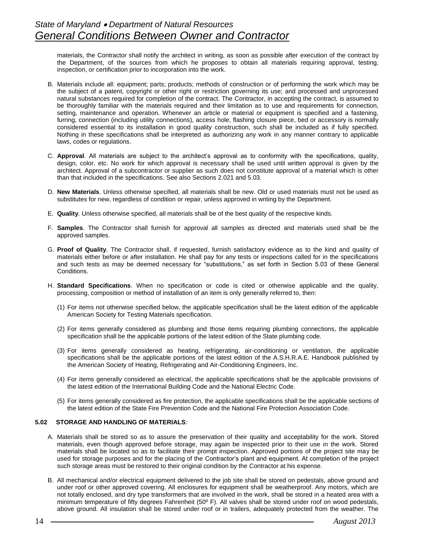materials, the Contractor shall notify the architect in writing, as soon as possible after execution of the contract by the Department, of the sources from which he proposes to obtain all materials requiring approval, testing, inspection, or certification prior to incorporation into the work.

- B. Materials include all: equipment; parts; products; methods of construction or of performing the work which may be the subject of a patent, copyright or other right or restriction governing its use; and processed and unprocessed natural substances required for completion of the contract. The Contractor, in accepting the contract, is assumed to be thoroughly familiar with the materials required and their limitation as to use and requirements for connection, setting, maintenance and operation. Whenever an article or material or equipment is specified and a fastening, furring, connection (including utility connections), access hole, flashing closure piece, bed or accessory is normally considered essential to its installation in good quality construction, such shall be included as if fully specified. Nothing in these specifications shall be interpreted as authorizing any work in any manner contrary to applicable laws, codes or regulations.
- C. **Approval**. All materials are subject to the architect's approval as to conformity with the specifications, quality, design, color, etc. No work for which approval is necessary shall be used until written approval is given by the architect. Approval of a subcontractor or supplier as such does not constitute approval of a material which is other than that included in the specifications. See also Sections 2.021 and 5.03.
- D. **New Materials**. Unless otherwise specified, all materials shall be new. Old or used materials must not be used as substitutes for new, regardless of condition or repair, unless approved in writing by the Department.
- E. **Quality**. Unless otherwise specified, all materials shall be of the best quality of the respective kinds.
- F. **Samples**. The Contractor shall furnish for approval all samples as directed and materials used shall be the approved samples.
- G. **Proof of Quality**. The Contractor shall, if requested, furnish satisfactory evidence as to the kind and quality of materials either before or after installation. He shall pay for any tests or inspections called for in the specifications and such tests as may be deemed necessary for "substitutions," as set forth in Section 5.03 of these General Conditions.
- H. **Standard Specifications**. When no specification or code is cited or otherwise applicable and the quality, processing, composition or method of installation of an item is only generally referred to, then:
	- (1) For items not otherwise specified below, the applicable specification shall be the latest edition of the applicable American Society for Testing Materials specification.
	- (2) For items generally considered as plumbing and those items requiring plumbing connections, the applicable specification shall be the applicable portions of the latest edition of the State plumbing code.
	- (3) For items generally considered as heating, refrigerating, air-conditioning or ventilation, the applicable specifications shall be the applicable portions of the latest edition of the A.S.H.R.A.E. Handbook published by the American Society of Heating, Refrigerating and Air-Conditioning Engineers, Inc.
	- (4) For items generally considered as electrical, the applicable specifications shall be the applicable provisions of the latest edition of the International Building Code and the National Electric Code.
	- (5) For items generally considered as fire protection, the applicable specifications shall be the applicable sections of the latest edition of the State Fire Prevention Code and the National Fire Protection Association Code.

#### **5.02 STORAGE AND HANDLING OF MATERIALS**:

- A. Materials shall be stored so as to assure the preservation of their quality and acceptability for the work. Stored materials, even though approved before storage, may again be inspected prior to their use in the work. Stored materials shall be located so as to facilitate their prompt inspection. Approved portions of the project site may be used for storage purposes and for the placing of the Contractor's plant and equipment. At completion of the project such storage areas must be restored to their original condition by the Contractor at his expense.
- B. All mechanical and/or electrical equipment delivered to the job site shall be stored on pedestals, above ground and under roof or other approved covering. All enclosures for equipment shall be weatherproof. Any motors, which are not totally enclosed, and dry type transformers that are involved in the work, shall be stored in a heated area with a minimum temperature of fifty degrees Fahrenheit (50º F). All valves shall be stored under roof on wood pedestals, above ground. All insulation shall be stored under roof or in trailers, adequately protected from the weather. The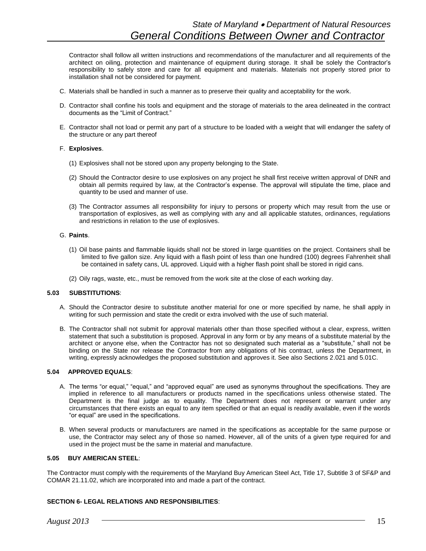Contractor shall follow all written instructions and recommendations of the manufacturer and all requirements of the architect on oiling, protection and maintenance of equipment during storage. It shall be solely the Contractor's responsibility to safely store and care for all equipment and materials. Materials not properly stored prior to installation shall not be considered for payment.

- C. Materials shall be handled in such a manner as to preserve their quality and acceptability for the work.
- D. Contractor shall confine his tools and equipment and the storage of materials to the area delineated in the contract documents as the "Limit of Contract."
- E. Contractor shall not load or permit any part of a structure to be loaded with a weight that will endanger the safety of the structure or any part thereof

#### F. **Explosives**.

- (1) Explosives shall not be stored upon any property belonging to the State.
- (2) Should the Contractor desire to use explosives on any project he shall first receive written approval of DNR and obtain all permits required by law, at the Contractor's expense. The approval will stipulate the time, place and quantity to be used and manner of use.
- (3) The Contractor assumes all responsibility for injury to persons or property which may result from the use or transportation of explosives, as well as complying with any and all applicable statutes, ordinances, regulations and restrictions in relation to the use of explosives.

#### G. **Paints**.

- (1) Oil base paints and flammable liquids shall not be stored in large quantities on the project. Containers shall be limited to five gallon size. Any liquid with a flash point of less than one hundred (100) degrees Fahrenheit shall be contained in safety cans, UL approved. Liquid with a higher flash point shall be stored in rigid cans.
- (2) Oily rags, waste, etc., must be removed from the work site at the close of each working day.

#### **5.03 SUBSTITUTIONS**:

- A. Should the Contractor desire to substitute another material for one or more specified by name, he shall apply in writing for such permission and state the credit or extra involved with the use of such material.
- B. The Contractor shall not submit for approval materials other than those specified without a clear, express, written statement that such a substitution is proposed. Approval in any form or by any means of a substitute material by the architect or anyone else, when the Contractor has not so designated such material as a "substitute," shall not be binding on the State nor release the Contractor from any obligations of his contract, unless the Department, in writing, expressly acknowledges the proposed substitution and approves it. See also Sections 2.021 and 5.01C.

# **5.04 APPROVED EQUALS**:

- A. The terms "or equal," "equal," and "approved equal" are used as synonyms throughout the specifications. They are implied in reference to all manufacturers or products named in the specifications unless otherwise stated. The Department is the final judge as to equality. The Department does not represent or warrant under any circumstances that there exists an equal to any item specified or that an equal is readily available, even if the words "or equal" are used in the specifications.
- B. When several products or manufacturers are named in the specifications as acceptable for the same purpose or use, the Contractor may select any of those so named. However, all of the units of a given type required for and used in the project must be the same in material and manufacture.

# **5.05 BUY AMERICAN STEEL**:

The Contractor must comply with the requirements of the Maryland Buy American Steel Act, Title 17, Subtitle 3 of SF&P and COMAR 21.11.02, which are incorporated into and made a part of the contract.

# **SECTION 6- LEGAL RELATIONS AND RESPONSIBILITIES**: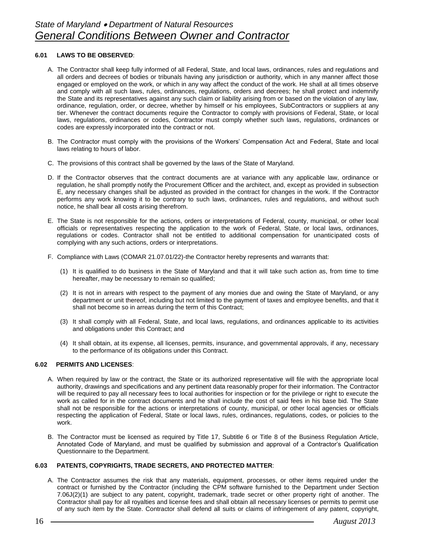# **6.01 LAWS TO BE OBSERVED**:

- A. The Contractor shall keep fully informed of all Federal, State, and local laws, ordinances, rules and regulations and all orders and decrees of bodies or tribunals having any jurisdiction or authority, which in any manner affect those engaged or employed on the work, or which in any way affect the conduct of the work. He shall at all times observe and comply with all such laws, rules, ordinances, regulations, orders and decrees; he shall protect and indemnify the State and its representatives against any such claim or liability arising from or based on the violation of any law, ordinance, regulation, order, or decree, whether by himself or his employees, SubContractors or suppliers at any tier. Whenever the contract documents require the Contractor to comply with provisions of Federal, State, or local laws, regulations, ordinances or codes, Contractor must comply whether such laws, regulations, ordinances or codes are expressly incorporated into the contract or not.
- B. The Contractor must comply with the provisions of the Workers' Compensation Act and Federal, State and local laws relating to hours of labor.
- C. The provisions of this contract shall be governed by the laws of the State of Maryland.
- D. If the Contractor observes that the contract documents are at variance with any applicable law, ordinance or regulation, he shall promptly notify the Procurement Officer and the architect, and, except as provided in subsection E, any necessary changes shall be adjusted as provided in the contract for changes in the work. If the Contractor performs any work knowing it to be contrary to such laws, ordinances, rules and regulations, and without such notice, he shall bear all costs arising therefrom.
- E. The State is not responsible for the actions, orders or interpretations of Federal, county, municipal, or other local officials or representatives respecting the application to the work of Federal, State, or local laws, ordinances, regulations or codes. Contractor shall not be entitled to additional compensation for unanticipated costs of complying with any such actions, orders or interpretations.
- F. Compliance with Laws (COMAR 21.07.01/22)-the Contractor hereby represents and warrants that:
	- (1) It is qualified to do business in the State of Maryland and that it will take such action as, from time to time hereafter, may be necessary to remain so qualified;
	- (2) It is not in arrears with respect to the payment of any monies due and owing the State of Maryland, or any department or unit thereof, including but not limited to the payment of taxes and employee benefits, and that it shall not become so in arreas during the term of this Contract;
	- (3) It shall comply with all Federal, State, and local laws, regulations, and ordinances applicable to its activities and obligations under this Contract; and
	- (4) It shall obtain, at its expense, all licenses, permits, insurance, and governmental approvals, if any, necessary to the performance of its obligations under this Contract.

# **6.02 PERMITS AND LICENSES**:

- A. When required by law or the contract, the State or its authorized representative will file with the appropriate local authority, drawings and specifications and any pertinent data reasonably proper for their information. The Contractor will be required to pay all necessary fees to local authorities for inspection or for the privilege or right to execute the work as called for in the contract documents and he shall include the cost of said fees in his base bid. The State shall not be responsible for the actions or interpretations of county, municipal, or other local agencies or officials respecting the application of Federal, State or local laws, rules, ordinances, regulations, codes, or policies to the work.
- B. The Contractor must be licensed as required by Title 17, Subtitle 6 or Title 8 of the Business Regulation Article, Annotated Code of Maryland, and must be qualified by submission and approval of a Contractor's Qualification Questionnaire to the Department.

# **6.03 PATENTS, COPYRIGHTS, TRADE SECRETS, AND PROTECTED MATTER**:

A. The Contractor assumes the risk that any materials, equipment, processes, or other items required under the contract or furnished by the Contractor (including the CPM software furnished to the Department under Section 7.06J(2)(1) are subject to any patent, copyright, trademark, trade secret or other property right of another. The Contractor shall pay for all royalties and license fees and shall obtain all necessary licenses or permits to permit use of any such item by the State. Contractor shall defend all suits or claims of infringement of any patent, copyright,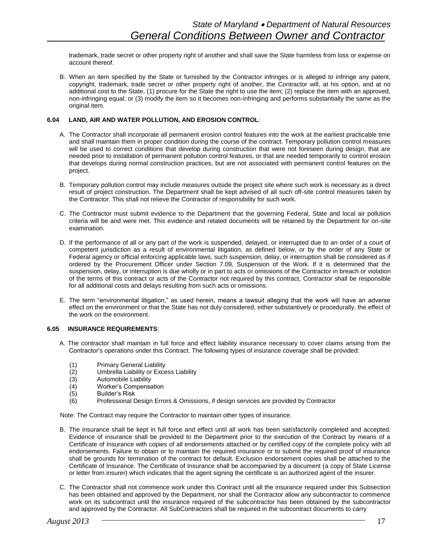trademark, trade secret or other property right of another and shall save the State harmless from loss or expense on account thereof.

B. When an item specified by the State or furnished by the Contractor infringes or is alleged to infringe any patent, copyright, trademark, trade secret or other property right of another, the Contractor will, at his option, and at no additional cost to the State, (1) procure for the State the right to use the item; (2) replace the item with an approved, non-infringing equal; or (3) modify the item so it becomes non-infringing and performs substantially the same as the original item.

# **6.04 LAND, AIR AND WATER POLLUTION, AND EROSION CONTROL**:

- A. The Contractor shall incorporate all permanent erosion control features into the work at the earliest practicable time and shall maintain them in proper condition during the course of the contract. Temporary pollution control measures will be used to correct conditions that develop during construction that were not foreseen during design, that are needed prior to installation of permanent pollution control features, or that are needed temporarily to control erosion that develops during normal construction practices, but are not associated with permanent control features on the project.
- B. Temporary pollution control may include measures outside the project site where such work is necessary as a direct result of project construction. The Department shall be kept advised of all such off-site control measures taken by the Contractor. This shall not relieve the Contractor of responsibility for such work.
- C. The Contractor must submit evidence to the Department that the governing Federal, State and local air pollution criteria will be and were met. This evidence and related documents will be retained by the Department for on-site examination.
- D. If the performance of all or any part of the work is suspended, delayed, or interrupted due to an order of a court of competent jurisdiction as a result of environmental litigation, as defined below, or by the order of any State or Federal agency or official enforcing applicable laws, such suspension, delay, or interruption shall be considered as if ordered by the Procurement Officer under Section 7.09, Suspension of the Work. If it is determined that the suspension, delay, or interruption is due wholly or in part to acts or omissions of the Contractor in breach or violation of the terms of this contract or acts of the Contractor not required by this contract, Contractor shall be responsible for all additional costs and delays resulting from such acts or omissions.
- E. The term "environmental litigation," as used herein, means a lawsuit alleging that the work will have an adverse effect on the environment or that the State has not duly considered, either substantively or procedurally, the effect of the work on the environment.

# **6.05 INSURANCE REQUIREMENTS**:

- A. The contractor shall maintain in full force and effect liability insurance necessary to cover claims arising from the Contractor's operations under this Contract. The following types of insurance coverage shall be provided:
	- (1) Primary General Liability
	- (2) Umbrella Liability or Excess Liability
	- (3) Automobile Liability
	- (4) Worker's Compensation
	- (5) Builder's Risk
	- (6) Professional Design Errors & Omissions, if design services are provided by Contractor

Note: The Contract may require the Contractor to maintain other types of insurance.

- B. The insurance shall be kept in full force and effect until all work has been satisfactorily completed and accepted. Evidence of insurance shall be provided to the Department prior to the execution of the Contract by means of a Certificate of Insurance with copies of all endorsements attached or by certified copy of the complete policy with all endorsements. Failure to obtain or to maintain the required insurance or to submit the required proof of insurance shall be grounds for termination of the contract for default. Exclusion endorsement copies shall be attached to the Certificate of Insurance. The Certificate of Insurance shall be accompanied by a document (a copy of State License or letter from insurer) which indicates that the agent signing the certificate is an authorized agent of the insurer.
- C. The Contractor shall not commence work under this Contract until all the insurance required under this Subsection has been obtained and approved by the Department, nor shall the Contractor allow any subcontractor to commence work on its subcontract until the insurance required of the subcontractor has been obtained by the subcontractor and approved by the Contractor. All SubContractors shall be required in the subcontract documents to carry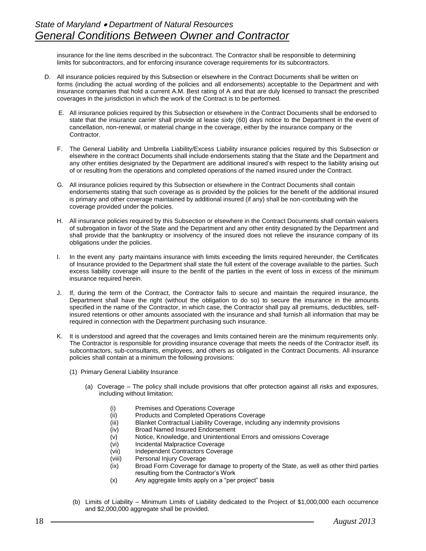insurance for the line items described in the subcontract. The Contractor shall be responsible to determining limits for subcontractors, and for enforcing insurance coverage requirements for its subcontractors.

- D. All insurance policies required by this Subsection or elsewhere in the Contract Documents shall be written on forms (including the actual wording of the policies and all endorsements) acceptable to the Department and with insurance companies that hold a current A.M. Best rating of A and that are duly licensed to transact the prescribed coverages in the jurisdiction in which the work of the Contract is to be performed.
	- E. All insurance policies required by this Subsection or elsewhere in the Contract Documents shall be endorsed to state that the insurance carrier shall provide at lease sixty (60) days notice to the Department in the event of cancellation, non-renewal, or material change in the coverage, either by the insurance company or the Contractor.
	- F. The General Liability and Umbrella Liability/Excess Liability insurance policies required by this Subsection or elsewhere in the contract Documents shall include endorsements stating that the State and the Department and any other entities designated by the Department are additional insured's with respect to the liability arising out of or resulting from the operations and completed operations of the named insured under the Contract.
	- G. All insurance policies required by this Subsection or elsewhere in the Contract Documents shall contain endorsements stating that such coverage as is provided by the policies for the benefit of the additional insured is primary and other coverage maintained by additional insured (if any) shall be non-contributing with the coverage provided under the policies.
	- H. All insurance policies required by this Subsection or elsewhere in the Contract Documents shall contain waivers of subrogation in favor of the State and the Department and any other entity designated by the Department and shall provide that the bankruptcy or insolvency of the insured does not relieve the insurance company of its obligations under the policies.
	- I. In the event any party maintains insurance with limits exceeding the limits required hereunder, the Certificates of Insurance provided to the Department shall state the full extent of the coverage available to the parties. Such excess liability coverage will insure to the benfit of the parties in the event of loss in excess of the minimum insurance required herein.
	- J. If, during the term of the Contract, the Contractor fails to secure and maintain the required insurance, the Department shall have the right (without the obligation to do so) to secure the insurance in the amounts specified in the name of the Contractor, in which case, the Contractor shall pay all premiums, deductibles, selfinsured retentions or other amounts associated with the insurance and shall furnish all information that may be required in connection with the Department purchasing such insurance.
	- K. It is understood and agreed that the coverages and limits contained herein are the minimum requirements only. The Contractor is responsible for providing insurance coverage that meets the needs of the Contractor itself, its subcontractors, sub-consultants, employees, and others as obligated in the Contract Documents. All insurance policies shall contain at a minimum the following provisions:
		- (1) Primary General Liability Insurance
			- (a) Coverage The policy shall include provisions that offer protection against all risks and exposures, including without limitation:
				- (i) Premises and Operations Coverage
				- (ii) Products and Completed Operations Coverage
				- (iii) Blanket Contractual Liability Coverage, including any indemnity provisions
				- (iv) Broad Named Insured Endorsement
				- (v) Notice, Knowledge, and Unintentional Errors and omissions Coverage
				- (vi) Incidental Malpractice Coverage
				- (vii) Independent Contractors Coverage
				- (viii) Personal Injury Coverage
				- (ix) Broad Form Coverage for damage to property of the State, as well as other third parties resulting from the Contractor's Work
				- (x) Any aggregate limits apply on a "per project" basis
		- (b) Limits of Liability Minimum Limits of Liability dedicated to the Project of \$1,000,000 each occurrence and \$2,000,000 aggregate shall be provided.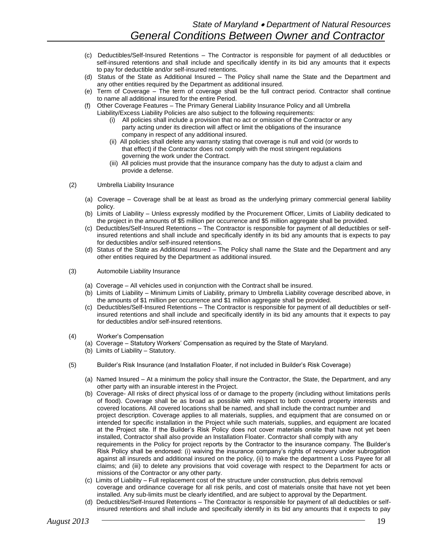- (c) Deductibles/Self-Insured Retentions The Contractor is responsible for payment of all deductibles or self-insured retentions and shall include and specifically identify in its bid any amounts that it expects to pay for deductible and/or self-insured retentions.
- (d) Status of the State as Additional Insured The Policy shall name the State and the Department and any other entities required by the Department as additional insured.
- (e) Term of Coverage The term of coverage shall be the full contract period. Contractor shall continue to name all additional insured for the entire Period.
- (f) Other Coverage Features The Primary General Liability Insurance Policy and all Umbrella Liability/Excess Liability Policies are also subject to the following requirements:
	- (i) All policies shall include a provision that no act or omission of the Contractor or any party acting under its direction will affect or limit the obligations of the insurance company in respect of any additional insured.
	- (ii) All policies shall delete any warranty stating that coverage is null and void (or words to that effect) if the Contractor does not comply with the most stringent regulations governing the work under the Contract.
	- (iii) All policies must provide that the insurance company has the duty to adjust a claim and provide a defense.
- (2) Umbrella Liability Insurance
	- (a) Coverage Coverage shall be at least as broad as the underlying primary commercial general liability policy.
	- (b) Limits of Liability Unless expressly modified by the Procurement Officer, Limits of Liability dedicated to the project in the amounts of \$5 million per occurrence and \$5 million aggregate shall be provided.
	- (c) Deductibles/Self-Insured Retentions The Contractor is responsible for payment of all deductibles or selfinsured retentions and shall include and specifically identify in its bid any amounts that is expects to pay for deductibles and/or self-insured retentions.
	- (d) Status of the State as Additional Insured The Policy shall name the State and the Department and any other entities required by the Department as additional insured.
- (3) Automobile Liability Insurance
	- (a) Coverage All vehicles used in conjunction with the Contract shall be insured.
	- (b) Limits of Liability Minimum Limits of Liability, primary to Umbrella Liability coverage described above, in the amounts of \$1 million per occurrence and \$1 million aggregate shall be provided.
	- (c) Deductibles/Self-Insured Retentions The Contractor is responsible for payment of all deductibles or selfinsured retentions and shall include and specifically identify in its bid any amounts that it expects to pay for deductibles and/or self-insured retentions.
- (4) Worker's Compensation
	- (a) Coverage Statutory Workers' Compensation as required by the State of Maryland.
	- (b) Limits of Liability Statutory.
- (5) Builder's Risk Insurance (and Installation Floater, if not included in Builder's Risk Coverage)
	- (a) Named Insured At a minimum the policy shall insure the Contractor, the State, the Department, and any other party with an insurable interest in the Project.
	- (b) Coverage- All risks of direct physical loss of or damage to the property (including without limitations perils of flood). Coverage shall be as broad as possible with respect to both covered property interests and covered locations. All covered locations shall be named, and shall include the contract number and project description. Coverage applies to all materials, supplies, and equipment that are consumed on or intended for specific installation in the Project while such materials, supplies, and equipment are located at the Project site. If the Builder's Risk Policy does not cover materials onsite that have not yet been installed, Contractor shall also provide an Installation Floater. Contractor shall comply with any requirements in the Policy for project reports by the Contractor to the insurance company. The Builder's Risk Policy shall be endorsed: (i) waiving the insurance company's rights of recovery under subrogation against all insureds and additional insured on the policy, (ii) to make the department a Loss Payee for all claims; and (iii) to delete any provisions that void coverage with respect to the Department for acts or missions of the Contractor or any other party.
	- (c) Limits of Liability Full replacement cost of the structure under construction, plus debris removal coverage and ordinance coverage for all risk perils, and cost of materials onsite that have not yet been installed. Any sub-limits must be clearly identified, and are subject to approval by the Department.
	- (d) Deductibles/Self-Insured Retentions The Contractor is responsible for payment of all deductibles or selfinsured retentions and shall include and specifically identify in its bid any amounts that it expects to pay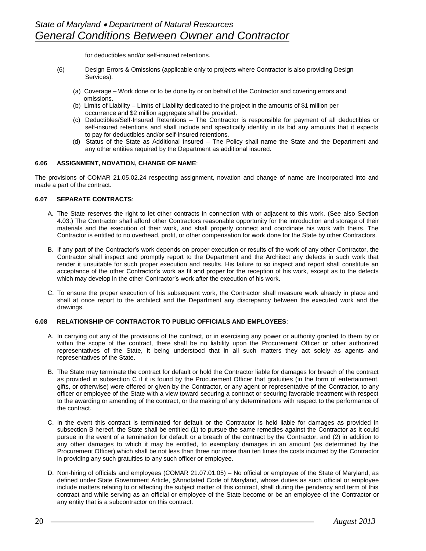for deductibles and/or self-insured retentions.

- (6) Design Errors & Omissions (applicable only to projects where Contractor is also providing Design Services).
	- (a) Coverage Work done or to be done by or on behalf of the Contractor and covering errors and omissions.
	- (b) Limits of Liability Limits of Liability dedicated to the project in the amounts of \$1 million per occurrence and \$2 million aggregate shall be provided.
	- (c) Deductibles/Self-Insured Retentions The Contractor is responsible for payment of all deductibles or self-insured retentions and shall include and specifically identify in its bid any amounts that it expects to pay for deductibles and/or self-insured retentions.
	- (d) Status of the State as Additional Insured The Policy shall name the State and the Department and any other entities required by the Department as additional insured.

#### **6.06 ASSIGNMENT, NOVATION, CHANGE OF NAME**:

The provisions of COMAR 21.05.02.24 respecting assignment, novation and change of name are incorporated into and made a part of the contract.

# **6.07 SEPARATE CONTRACTS**:

- A. The State reserves the right to let other contracts in connection with or adjacent to this work. (See also Section 4.03.) The Contractor shall afford other Contractors reasonable opportunity for the introduction and storage of their materials and the execution of their work, and shall properly connect and coordinate his work with theirs. The Contractor is entitled to no overhead, profit, or other compensation for work done for the State by other Contractors.
- B. If any part of the Contractor's work depends on proper execution or results of the work of any other Contractor, the Contractor shall inspect and promptly report to the Department and the Architect any defects in such work that render it unsuitable for such proper execution and results. His failure to so inspect and report shall constitute an acceptance of the other Contractor's work as fit and proper for the reception of his work, except as to the defects which may develop in the other Contractor's work after the execution of his work.
- C. To ensure the proper execution of his subsequent work, the Contractor shall measure work already in place and shall at once report to the architect and the Department any discrepancy between the executed work and the drawings.

# **6.08 RELATIONSHIP OF CONTRACTOR TO PUBLIC OFFICIALS AND EMPLOYEES**:

- A. In carrying out any of the provisions of the contract, or in exercising any power or authority granted to them by or within the scope of the contract, there shall be no liability upon the Procurement Officer or other authorized representatives of the State, it being understood that in all such matters they act solely as agents and representatives of the State.
- B. The State may terminate the contract for default or hold the Contractor liable for damages for breach of the contract as provided in subsection C if it is found by the Procurement Officer that gratuities (in the form of entertainment, gifts, or otherwise) were offered or given by the Contractor, or any agent or representative of the Contractor, to any officer or employee of the State with a view toward securing a contract or securing favorable treatment with respect to the awarding or amending of the contract, or the making of any determinations with respect to the performance of the contract.
- C. In the event this contract is terminated for default or the Contractor is held liable for damages as provided in subsection B hereof, the State shall be entitled (1) to pursue the same remedies against the Contractor as it could pursue in the event of a termination for default or a breach of the contract by the Contractor, and (2) in addition to any other damages to which it may be entitled, to exemplary damages in an amount (as determined by the Procurement Officer) which shall be not less than three nor more than ten times the costs incurred by the Contractor in providing any such gratuities to any such officer or employee.
- D. Non-hiring of officials and employees (COMAR 21.07.01.05) No official or employee of the State of Maryland, as defined under State Government Article, §Annotated Code of Maryland, whose duties as such official or employee include matters relating to or affecting the subject matter of this contract, shall during the pendency and term of this contract and while serving as an official or employee of the State become or be an employee of the Contractor or any entity that is a subcontractor on this contract.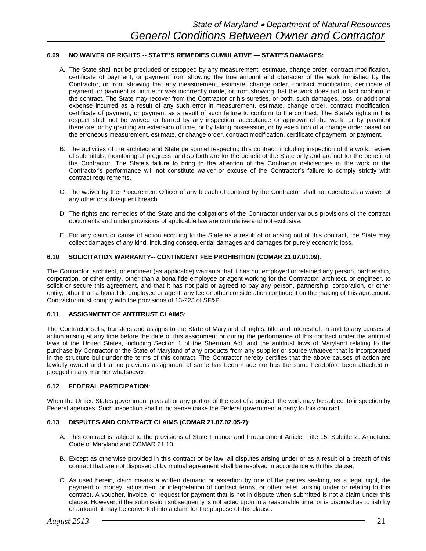# **6.09 NO WAIVER OF RIGHTS -- STATE'S REMEDIES CUMULATIVE — STATE'S DAMAGES:**

- A. The State shall not be precluded or estopped by any measurement, estimate, change order, contract modification, certificate of payment, or payment from showing the true amount and character of the work furnished by the Contractor, or from showing that any measurement, estimate, change order, contract modification, certificate of payment, or payment is untrue or was incorrectly made, or from showing that the work does not in fact conform to the contract. The State may recover from the Contractor or his sureties, or both, such damages, loss, or additional expense incurred as a result of any such error in measurement, estimate, change order, contract modification, certificate of payment, or payment as a result of such failure to conform to the contract. The State's rights in this respect shall not be waived or barred by any inspection, acceptance or approval of the work, or by payment therefore, or by granting an extension of time, or by taking possession, or by execution of a change order based on the erroneous measurement, estimate, or change order, contract modification, certificate of payment, or payment.
- B. The activities of the architect and State personnel respecting this contract, including inspection of the work, review of submittals, monitoring of progress, and so forth are for the benefit of the State only and are not for the benefit of the Contractor. The State's failure to bring to the attention of the Contractor deficiencies in the work or the Contractor's performance will not constitute waiver or excuse of the Contractor's failure to comply strictly with contract requirements.
- C. The waiver by the Procurement Officer of any breach of contract by the Contractor shall not operate as a waiver of any other or subsequent breach.
- D. The rights and remedies of the State and the obligations of the Contractor under various provisions of the contract documents and under provisions of applicable law are cumulative and not exclusive.
- E. For any claim or cause of action accruing to the State as a result of or arising out of this contract, the State may collect damages of any kind, including consequential damages and damages for purely economic loss.

#### **6.10 SOLICITATION WARRANTY-- CONTINGENT FEE PROHIBITION (COMAR 21.07.01.09)**:

The Contractor, architect, or engineer (as applicable) warrants that it has not employed or retained any person, partnership, corporation, or other entity, other than a bona fide employee or agent working for the Contractor, architect, or engineer, to solicit or secure this agreement, and that it has not paid or agreed to pay any person, partnership, corporation, or other entity, other than a bona fide employee or agent, any fee or other consideration contingent on the making of this agreement. Contractor must comply with the provisions of 13-223 of SF&P.

#### **6.11 ASSIGNMENT OF ANTITRUST CLAIMS**:

The Contractor sells, transfers and assigns to the State of Maryland all rights, title and interest of, in and to any causes of action arising at any time before the date of this assignment or during the performance of this contract under the antitrust laws of the United States, including Section 1 of the Sherman Act, and the antitrust laws of Maryland relating to the purchase by Contractor or the State of Maryland of any products from any supplier or source whatever that is incorporated in the structure built under the terms of this contract. The Contractor hereby certifies that the above causes of action are lawfully owned and that no previous assignment of same has been made nor has the same heretofore been attached or pledged in any manner whatsoever.

#### **6.12 FEDERAL PARTICIPATION**:

When the United States government pays all or any portion of the cost of a project, the work may be subject to inspection by Federal agencies. Such inspection shall in no sense make the Federal government a party to this contract.

#### **6.13 DISPUTES AND CONTRACT CLAIMS (COMAR 21.07.02.05-7)**:

- A. This contract is subject to the provisions of State Finance and Procurement Article, Title 15, Subtitle 2, Annotated Code of Maryland and COMAR 21.10.
- B. Except as otherwise provided in this contract or by law, all disputes arising under or as a result of a breach of this contract that are not disposed of by mutual agreement shall be resolved in accordance with this clause.
- C. As used herein, claim means a written demand or assertion by one of the parties seeking, as a legal right, the payment of money, adjustment or interpretation of contract terms, or other relief, arising under or relating to this contract. A voucher, invoice, or request for payment that is not in dispute when submitted is not a claim under this clause. However, if the submission subsequently is not acted upon in a reasonable time, or is disputed as to liability or amount, it may be converted into a claim for the purpose of this clause.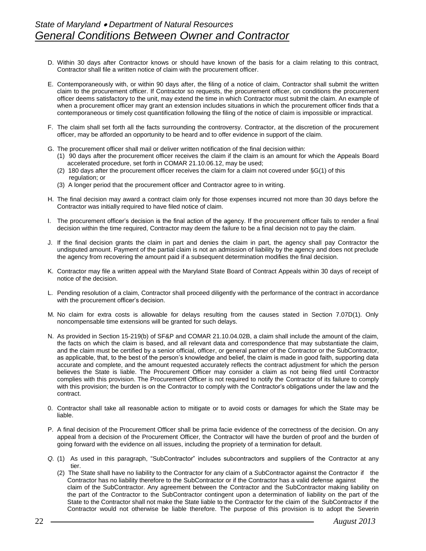- D. Within 30 days after Contractor knows or should have known of the basis for a claim relating to this contract, Contractor shall file a written notice of claim with the procurement officer.
- E. Contemporaneously with, or within 90 days after, the filing of a notice of claim, Contractor shall submit the written claim to the procurement officer. If Contractor so requests, the procurement officer, on conditions the procurement officer deems satisfactory to the unit, may extend the time in which Contractor must submit the claim. An example of when a procurement officer may grant an extension includes situations in which the procurement officer finds that a contemporaneous or timely cost quantification following the filing of the notice of claim is impossible or impractical.
- F. The claim shall set forth all the facts surrounding the controversy. Contractor, at the discretion of the procurement officer, may be afforded an opportunity to be heard and to offer evidence in support of the claim.
- G. The procurement officer shall mail or deliver written notification of the final decision within:
	- (1) 90 days after the procurement officer receives the claim if the claim is an amount for which the Appeals Board accelerated procedure, set forth in COMAR 21.10.06.12, may be used;
	- (2) 180 days after the procurement officer receives the claim for a claim not covered under §G(1) of this regulation; or
	- (3) A longer period that the procurement officer and Contractor agree to in writing.
- H. The final decision may award a contract claim only for those expenses incurred not more than 30 days before the Contractor was initially required to have filed notice of claim.
- I. The procurement officer's decision is the final action of the agency. If the procurement officer fails to render a final decision within the time required, Contractor may deem the failure to be a final decision not to pay the claim.
- J. If the final decision grants the claim in part and denies the claim in part, the agency shall pay Contractor the undisputed amount. Payment of the partial claim is not an admission of liability by the agency and does not preclude the agency from recovering the amount paid if a subsequent determination modifies the final decision.
- K. Contractor may file a written appeal with the Maryland State Board of Contract Appeals within 30 days of receipt of notice of the decision.
- L. Pending resolution of a claim, Contractor shall proceed diligently with the performance of the contract in accordance with the procurement officer's decision.
- M. No claim for extra costs is allowable for delays resulting from the causes stated in Section 7.07D(1). Only noncompensable time extensions will be granted for such delays.
- N. As provided in Section 15-219(b) of SF&P and COMAR 21.10.04.02B, a claim shall include the amount of the claim, the facts on which the claim is based, and all relevant data and correspondence that may substantiate the claim, and the claim must be certified by a senior official, officer, or general partner of the Contractor or the SubContractor, as applicable, that, to the best of the person's knowledge and belief, the claim is made in good faith, supporting data accurate and complete, and the amount requested accurately reflects the contract adjustment for which the person believes the State is liable. The Procurement Officer may consider a claim as not being filed until Contractor complies with this provision. The Procurement Officer is not required to notify the Contractor of its failure to comply with this provision; the burden is on the Contractor to comply with the Contractor's obligations under the law and the contract.
- 0. Contractor shall take all reasonable action to mitigate or to avoid costs or damages for which the State may be liable.
- P. A final decision of the Procurement Officer shall be prima facie evidence of the correctness of the decision. On any appeal from a decision of the Procurement Officer, the Contractor will have the burden of proof and the burden of going forward with the evidence on all issues, including the propriety of a termination for default.
- *Q.* (1) As used in this paragraph, "SubContractor" includes subcontractors and suppliers of the Contractor at any tier.
	- (2) The State shall have no liability to the Contractor for any claim of a *S*ubContractor against the Contractor if the Contractor has no liability therefore to the SubContractor or if the Contractor has a valid defense against the claim of the SubContractor. Any agreement between the Contractor and the SubContractor making liability on the part of the Contractor to the SubContractor contingent upon a determination of liability on the part of the State to the Contractor shall not make the State liable to the Contractor for the claim of the SubContractor if the Contractor would not otherwise be liable therefore. The purpose of this provision is to adopt the Severin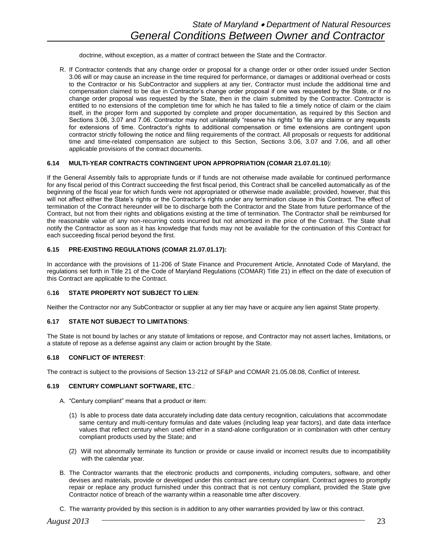doctrine, without exception, as *a* matter of contract between the State and the Contractor.

R. If Contractor contends that any change order or proposal for a change order or other order issued under Section 3.06 will or may cause an increase in the time required for performance, or damages or additional overhead or costs to the Contractor or his SubContractor and suppliers at any tier, Contractor must include the additional time and compensation claimed to be due in Contractor's change order proposal if one was requested by the State, or if no change order proposal was requested by the State, then in the claim submitted by the Contractor. Contractor is entitled to no extensions of the completion time for which he has failed to file *a* timely notice of claim or the claim itself, in the proper form and supported by complete and proper documentation, as required by this Section and Sections 3.06, 3.07 and 7.06. Contractor may not unilaterally "reserve his rights" to file any claims or any requests for extensions of time. Contractor's rights to additional compensation or time extensions are contingent upon contractor strictly following the notice and filing requirements of the contract. All proposals or requests for additional time and time-related compensation are subject to this Section, Sections 3.06, 3.07 and 7.06, and all other applicable provisions of the contract documents.

#### **6.14 MULTI-YEAR CONTRACTS CONTINGENT UPON APPROPRIATION (COMAR 21.07.01.10**):

If the General Assembly fails to appropriate funds or if funds are not otherwise made available for continued performance for any fiscal period of this Contract succeeding the first fiscal period, this Contract shall be cancelled automatically as of the beginning of the fiscal year for which funds were not appropriated or otherwise made available; provided, however, that this will not affect either the State's rights or the Contractor's rights under any termination clause in this Contract. The effect of termination of the Contract hereunder will be to discharge both the Contractor and the State from future performance of the Contract, but not from their rights and obligations existing at the time of termination. The Contractor shall be reimbursed for the reasonable value of any non-recurring costs incurred but not amortized in the price of the Contract. The State shall notify the Contractor as soon as it has knowledge that funds may not be available for the continuation of this Contract for each succeeding fiscal period beyond the first.

# **6.15 PRE-EXISTING REGULATIONS (COMAR 21.07.01.17):**

In accordance with the provisions of 11-206 of State Finance and Procurement Article, Annotated Code of Maryland, the regulations set forth in Title 21 of the Code of Maryland Regulations (COMAR) Title 21) in effect on the date of execution of this Contract are applicable to the Contract.

#### 6**.16 STATE PROPERTY NOT SUBJECT TO LIEN**:

Neither the Contractor nor any SubContractor or supplier at any tier may have or acquire any lien against State property.

#### **6.17 STATE NOT SUBJECT TO LIMITATIONS**:

The State is not bound by laches or any statute of limitations or repose, and Contractor may not assert laches, limitations, or a statute of repose as a defense against any claim or action brought by the State.

#### **6.18 CONFLICT OF INTEREST**:

The contract is subject to the provisions of Section 13-212 of SF&P and COMAR 21.05.08.08, Conflict of Interest.

#### **6.19 CENTURY COMPLIANT SOFTWARE, ETC**.:

- A. "Century compliant" means that a product or item:
	- (1) Is able to process date data accurately including date data century recognition, calculations that accommodate same century and multi-century formulas and date values (including leap year factors), and date data interface values that reflect century when used either in a stand-alone configuration or in combination with other century compliant products used by the State; and
	- (2) Will not abnormally terminate its function or provide or cause invalid or incorrect results due to incompatibility with the calendar year.
- B. The Contractor warrants that the electronic products and components, including computers, software, and other devises and materials, provide or developed under this contract are century compliant. Contract agrees to promptly repair or replace any product furnished under this contract that is not century compliant, provided the State give Contractor notice of breach of the warranty within a reasonable time after discovery.
- C. The warranty provided by this section is in addition to any other warranties provided by law or this contract.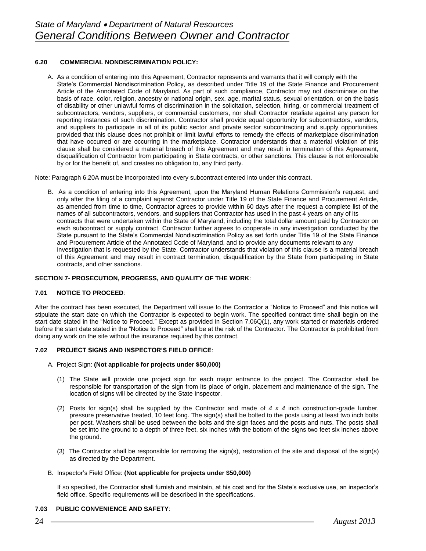# **6.20 COMMERCIAL NONDISCRIMINATION POLICY:**

A. As a condition of entering into this Agreement, Contractor represents and warrants that it will comply with the State's Commercial Nondiscrimination Policy, as described under Title 19 of the State Finance and Procurement Article of the Annotated Code of Maryland. As part of such compliance, Contractor may not discriminate on the basis of race, color, religion, ancestry or national origin, sex, age, marital status, sexual orientation, or on the basis of disability or other unlawful forms of discrimination in the solicitation, selection, hiring, or commercial treatment of subcontractors, vendors, suppliers, or commercial customers, nor shall Contractor retaliate against any person for reporting instances of such discrimination. Contractor shall provide equal opportunity for subcontractors, vendors, and suppliers to participate in all of its public sector and private sector subcontracting and supply opportunities, provided that this clause does not prohibit or limit lawful efforts to remedy the effects of marketplace discrimination that have occurred or are occurring in the marketplace. Contractor understands that a material violation of this clause shall be considered a material breach of this Agreement and may result in termination of this Agreement, disqualification of Contractor from participating in State contracts, or other sanctions. This clause is not enforceable by or for the benefit of, and creates no obligation to, any third party.

Note: Paragraph 6.20A must be incorporated into every subcontract entered into under this contract.

B. As a condition of entering into this Agreement, upon the Maryland Human Relations Commission's request, and only after the filing of a complaint against Contractor under Title 19 of the State Finance and Procurement Article, as amended from time to time, Contractor agrees to provide within 60 days after the request a complete list of the names of all subcontractors, vendors, and suppliers that Contractor has used in the past 4 years on any of its contracts that were undertaken within the State of Maryland, including the total dollar amount paid by Contractor on each subcontract or supply contract. Contractor further agrees to cooperate in any investigation conducted by the State pursuant to the State's Commercial Nondiscrimination Policy as set forth under Title 19 of the State Finance and Procurement Article of the Annotated Code of Maryland, and to provide any documents relevant to any investigation that is requested by the State. Contractor understands that violation of this clause is a material breach of this Agreement and may result in contract termination, disqualification by the State from participating in State contracts, and other sanctions.

#### **SECTION 7- PROSECUTION, PROGRESS, AND QUALITY OF THE WORK**:

#### **7.01 NOTICE TO PROCEED**:

After the contract has been executed, the Department will issue to the Contractor a "Notice to Proceed" and this notice will stipulate the start date on which the Contractor is expected to begin work. The specified contract time shall begin on the start date stated in the "Notice to Proceed." Except as provided in Section 7.06Q(1), any work started or materials ordered before the start date stated in the "Notice to Proceed" shall be at the risk of the Contractor. The Contractor is prohibited from doing any work on the site without the insurance required by this contract.

#### **7.02 PROJECT SIGNS AND INSPECTOR'S FIELD OFFICE**:

- A. Project Sign: **(Not applicable for projects under \$50,000)**
	- (1) The State will provide one project sign for each major entrance to the project. The Contractor shall be responsible for transportation of the sign from its place of origin, placement and maintenance of the sign. The location of signs will be directed by the State Inspector.
	- (2) Posts for sign(s) shall be supplied by the Contractor and made of *4 x 4* inch construction-grade lumber, pressure preservative treated, 10 feet long. The sign(s) shall be bolted to the posts using at least two inch bolts per post. Washers shall be used between the bolts and the sign faces and the posts and nuts. The posts shall be set into the ground to a depth of three feet, six inches with the bottom of the signs two feet six inches above the ground.
	- (3) The Contractor shall be responsible for removing the sign(s), restoration of the site and disposal of the sign(s) as directed by the Department.

#### B. Inspector's Field Office: **(Not applicable for projects under \$50,000)**

If so specified, the Contractor shall furnish and maintain, at his cost and for the State's exclusive use, an inspector's field office. Specific requirements will be described in the specifications.

#### **7.03 PUBLIC CONVENIENCE AND SAFETY**: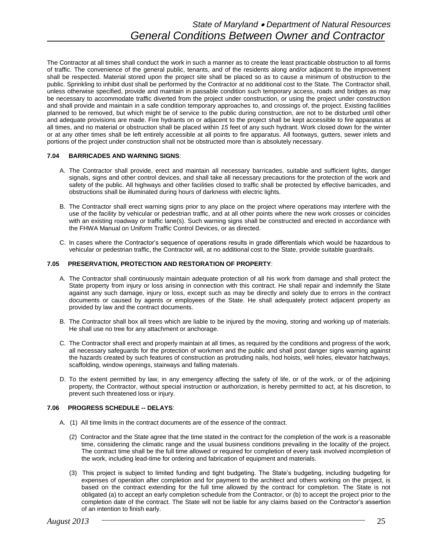The Contractor at all times shall conduct the work in such a manner as to create the least practicable obstruction to all forms of traffic. The convenience of the general public, tenants, and of the residents along and/or adjacent to the improvement shall be respected. Material stored upon the project site shall be placed so as to cause a minimum of obstruction to the public. Sprinkling to inhibit dust shall be performed by the Contractor at no additional cost to the State. The Contractor shall, unless otherwise specified, provide and maintain in passable condition such temporary access, roads and bridges as may be necessary to accommodate traffic diverted from the project under construction, or using the project under construction and shall provide and maintain in a safe condition temporary approaches to, and crossings of, the project. Existing facilities planned to be removed, but which might be of service to the public during construction, are not to be disturbed until other and adequate provisions are made. Fire hydrants on or adjacent to the project shall be kept accessible to fire apparatus at all times, and no material or obstruction shall be placed within *15* feet of any such hydrant. Work closed down for the winter or at any other times shall be left entirely accessible at all points to fire apparatus. All footways, gutters, sewer inlets and portions of the project under construction shall not be obstructed more than is absolutely necessary.

# **7.04 BARRICADES AND WARNING SIGNS**:

- A. The Contractor shall provide, erect and maintain all necessary barricades, suitable and sufficient lights, danger signals, signs and other control devices, and shall take all necessary precautions for the protection of the work and safety of the public. All highways and other facilities closed to traffic shall be protected by effective barricades, and obstructions shall be illuminated during hours of darkness with electric lights.
- B. The Contractor shall erect warning signs prior to any place on the project where operations may interfere with the use of the facility by vehicular or pedestrian traffic, and at all other points where the new work crosses or coincides with an existing roadway or traffic lane(s). Such warning signs shall be constructed and erected in accordance with the FHWA Manual on Uniform Traffic Control Devices, or as directed.
- C. In cases where the Contractor's sequence of operations results in grade differentials which would be hazardous to vehicular or pedestrian traffic, the Contractor will, at no additional cost to the State, provide suitable guardrails.

# **7.05 PRESERVATION, PROTECTION AND RESTORATION OF PROPERTY**:

- A. The Contractor shall continuously maintain adequate protection of all his work from damage and shall protect the State property from injury or loss arising in connection with this contract. He shall repair and indemnify the State against any such damage, injury or loss, except such as may be directly and solely due to errors in the contract documents or caused by agents or employees of the State. He shall adequately protect adjacent property as provided by law and the contract documents.
- B. The Contractor shall box all trees which are liable to be injured by the moving, storing and working up of materials. He shall use no tree for any attachment or anchorage.
- C. The Contractor shall erect and properly maintain at all times, as required by the conditions and progress of the work, all necessary safeguards for the protection of workmen and the public and shall post danger signs warning against the hazards created by such features of construction as protruding nails, hod hoists, well holes, elevator hatchways, scaffolding, window openings, stairways and falling materials.
- D. To the extent permitted by law, in any emergency affecting the safety of life, or of the work, or of the adjoining property, the Contractor, without special instruction or authorization, is hereby permitted to act, at his discretion, to prevent such threatened loss or injury.

# **7.06 PROGRESS SCHEDULE -- DELAYS**:

- A. (1) All time limits in the contract documents are of the essence of the contract.
	- (2) Contractor and the State agree that the time stated in the contract for the completion of the work is a reasonable time, considering the climatic range and the usual business conditions prevailing in the locality of the project. The contract time shall be the full time allowed or required for completion of every task involved incompletion of the work, including lead-time for ordering and fabrication of equipment and materials.
	- (3) This project is subject to limited funding and tight budgeting. The State's budgeting, including budgeting for expenses of operation after completion and for payment to the architect and others working on the project, is based on the contract extending for the full time allowed by the contract for completion. The State is not obligated (a) to accept an early completion schedule from the Contractor, or (b) to accept the project prior to the completion date of the contract. The State will not be liable for any claims based on the Contractor's assertion of an intention to finish early.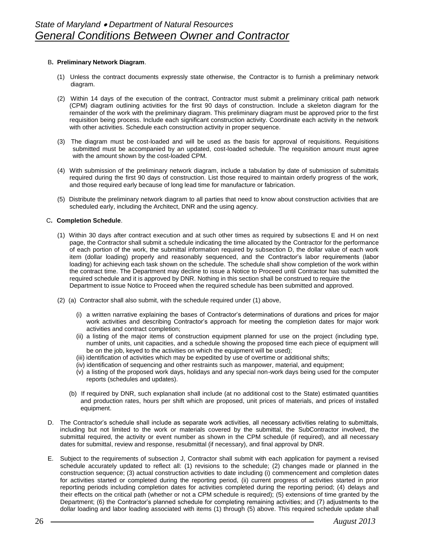# B**. Preliminary Network Diagram**.

- (1) Unless the contract documents expressly state otherwise, the Contractor is to furnish a preliminary network diagram.
- (2) Within 14 days of the execution of the contract, Contractor must submit a preliminary critical path network (CPM) diagram outlining activities for the first 90 days of construction. Include a skeleton diagram for the remainder of the work with the preliminary diagram. This preliminary diagram must be approved prior to the first requisition being process. Include each significant construction activity. Coordinate each activity in the network with other activities. Schedule each construction activity in proper sequence.
- (3) The diagram must be cost-loaded and will be used as the basis for approval of requisitions. Requisitions submitted must be accompanied by an updated, cost-loaded schedule. The requisition amount must agree with the amount shown by the cost-loaded CPM.
- (4) With submission of the preliminary network diagram, include a tabulation by date of submission of submittals required during the first 90 days of construction. List those required to maintain orderly progress of the work, and those required early because of long lead time for manufacture or fabrication.
- (5) Distribute the preliminary network diagram to all parties that need to know about construction activities that are scheduled early, including the Architect, DNR and the using agency.

# C**. Completion Schedule**.

- (1) Within 30 days after contract execution and at such other times as required by subsections E and H on next page, the Contractor shall submit a schedule indicating the time allocated by the Contractor for the performance of each portion of the work, the submittal information required by subsection D, the dollar value of each work item (dollar loading) properly and reasonably sequenced, and the Contractor's labor requirements (labor loading) for achieving each task shown on the schedule. The schedule shall show completion of the work within the contract time. The Department may decline to issue a Notice to Proceed until Contractor has submitted the required schedule and it is approved by DNR. Nothing in this section shall be construed to require the Department to issue Notice to Proceed when the required schedule has been submitted and approved.
- (2) (a) Contractor shall also submit, with the schedule required under (1) above,
	- (i) a written narrative explaining the bases of Contractor's determinations of durations and prices for major work activities and describing Contractor's approach for meeting the completion dates for major work activities and contract completion;
	- (ii) a listing of the major items of construction equipment planned for use on the project (including type, number of units, unit capacities, and a schedule showing the proposed time each piece of equipment will be on the job, keyed to the activities on which the equipment will be used);
	- (iii) identification of activities which may be expedited by use of overtime or additional shifts;
	- (iv) identification of sequencing and other restraints such as manpower, material, and equipment;
	- (v) a listing of the proposed work days, holidays and any special non-work days being used for the computer reports (schedules and updates).
	- (b) If required by DNR, such explanation shall include (at no additional cost to the State) estimated quantities and production rates, hours per shift which are proposed, unit prices of materials, and prices of installed equipment.
- D. The Contractor's schedule shall include as separate work activities, all necessary activities relating to submittals, including but not limited to the work or materials covered by the submittal, the SubContractor involved, the submittal required, the activity or event number as shown in the CPM schedule (if required), and all necessary dates for submittal, review and response, resubmittal (if necessary), and final approval by DNR.
- E. Subject to the requirements of subsection J, Contractor shall submit with each application for payment a revised schedule accurately updated to reflect all: (1) revisions to the schedule; (2) changes made or planned in the construction sequence; (3) actual construction activities to date including (i) commencement and completion dates for activities started or completed during the reporting period, (ii) current progress of activities started in prior reporting periods including completion dates for activities completed during the reporting period; (4) delays and their effects on the critical path (whether or not a CPM schedule is required); (5) extensions of time granted by the Department; (6) the Contractor's planned schedule for completing remaining activities; and (7) adjustments to the dollar loading and labor loading associated with items (1) through (5) above. This required schedule update shall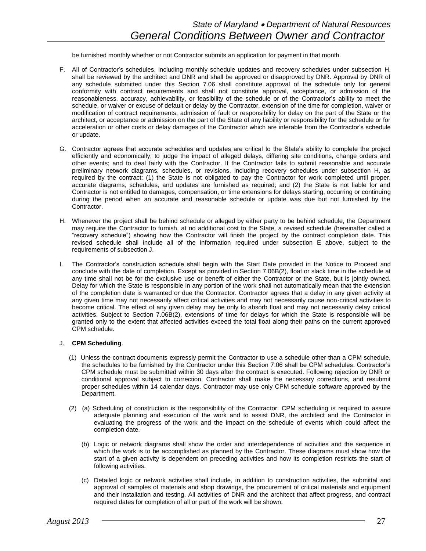be furnished monthly whether or not Contractor submits an application for payment in that month.

- F. All of Contractor's schedules, including monthly schedule updates and recovery schedules under subsection H, shall be reviewed by the architect and DNR and shall be approved or disapproved by DNR. Approval by DNR of any schedule submitted under this Section 7.06 shall constitute approval of the schedule only for general conformity with contract requirements and shall not constitute approval, acceptance, or admission of the reasonableness, accuracy, achievability, or feasibility of the schedule or of the Contractor's ability to meet the schedule, or waiver or excuse of default or delay by the Contractor, extension of the time for completion, waiver or modification of contract requirements, admission of fault or responsibility for delay on the part of the State or the architect, or acceptance or admission on the part of the State of any liability or responsibility for the schedule or for acceleration or other costs or delay damages of the Contractor which are inferable from the Contractor's schedule or update.
- G. Contractor agrees that accurate schedules and updates are critical to the State's ability to complete the project efficiently and economically; to judge the impact of alleged delays, differing site conditions, change orders and other events; and to deal fairly with the Contractor. If the Contractor fails to submit reasonable and accurate preliminary network diagrams, schedules, or revisions, including recovery schedules under subsection H, as required by the contract: (1) the State is not obligated to pay the Contractor for work completed until proper, accurate diagrams, schedules, and updates are furnished as required; and (2) the State is not liable for and Contractor is not entitled to damages, compensation, or time extensions for delays starting, occurring or continuing during the period when an accurate and reasonable schedule or update was due but not furnished by the Contractor.
- H. Whenever the project shall be behind schedule or alleged by either party to be behind schedule, the Department may require the Contractor to furnish, at no additional cost to the State, a revised schedule (hereinafter called a "recovery schedule") showing how the Contractor will finish the project by the contract completion date. This revised schedule shall include all of the information required under subsection E above, subject to the requirements of subsection J.
- I. The Contractor's construction schedule shall begin with the Start Date provided in the Notice to Proceed and conclude with the date of completion. Except as provided in Section 7.06B(2), float or slack time in the schedule at any time shall not be for the exclusive use or benefit of either the Contractor or the State, but is jointly owned. Delay for which the State is responsible in any portion of the work shall not automatically mean that the extension of the completion date is warranted or due the Contractor. Contractor agrees that a delay in any given activity at any given time may not necessarily affect critical activities and may not necessarily cause non-critical activities to become critical. The effect of any given delay may be only to absorb float and may not necessarily delay critical activities. Subject to Section 7.06B(2), extensions of time for delays for which the State is responsible will be granted only to the extent that affected activities exceed the total float along their paths on the current approved CPM schedule.

#### J. **CPM Scheduling**.

- (1) Unless the contract documents expressly permit the Contractor to use a schedule other than a CPM schedule, the schedules to be furnished by the Contractor under this Section 7.06 shall be CPM schedules. Contractor's CPM schedule must be submitted within 30 days after the contract is executed. Following rejection by DNR or conditional approval subject to correction, Contractor shall make the necessary corrections, and resubmit proper schedules within 14 calendar days. Contractor may use only CPM schedule software approved by the Department.
- (2) (a) Scheduling of construction is the responsibility of the Contractor. CPM scheduling is required to assure adequate planning and execution of the work and to assist DNR, the architect and the Contractor in evaluating the progress of the work and the impact on the schedule of events which could affect the completion date.
	- (b) Logic or network diagrams shall show the order and interdependence of activities and the sequence in which the work is to be accomplished as planned by the Contractor. These diagrams must show how the start of a given activity is dependent on preceding activities and how its completion restricts the start of following activities.
	- (c) Detailed logic or network activities shall include, in addition to construction activities, the submittal and approval of samples of materials and shop drawings, the procurement of critical materials and equipment and their installation and testing. All activities of DNR and the architect that affect progress, and contract required dates for completion of all or part of the work will be shown.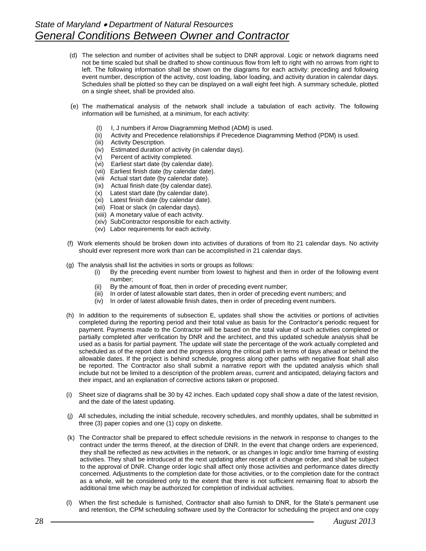- (d) The selection and number of activities shall be subject to DNR approval. Logic or network diagrams need not be time scaled but shall be drafted to show continuous flow from left to right with no arrows from right to left. The following information shall be shown on the diagrams for each activity: preceding and following event number, description of the activity, cost loading, labor loading, and activity duration in calendar days. Schedules shall be plotted so they can be displayed on a wall eight feet high. A summary schedule, plotted on a single sheet, shall be provided also.
- (e) The mathematical analysis of the network shall include a tabulation of each activity. The following information will be furnished, at a minimum, for each activity:
	- (I) I, J numbers if Arrow Diagramming Method (ADM) is used.
	- (ii) Activity and Precedence relationships if Precedence Diagramming Method (PDM) is used.
	- (iii) Activity Description.
	- (iv) Estimated duration of activity (in calendar days).
	- (v) Percent of activity completed.
	- (vi) Earliest start date (by calendar date).
	- (vii) Earliest finish date (by calendar date).
	- (viii Actual start date (by calendar date).
	- (ix) Actual finish date (by calendar date).
	- (x) Latest start date (by calendar date).
	- (xi) Latest finish date (by calendar date).
	- (xii) Float or slack (in calendar days).
	- (xiii) A monetary value of each activity.
	- (xiv) SubContractor responsible for each activity.
	- (xv) Labor requirements for each activity.
- (f) Work elements should be broken down into activities of durations of from Ito 21 calendar days. No activity should ever represent more work than can be accomplished in 21 calendar days.
- (g) The analysis shall list the activities in sorts or groups as follows:
	- (i) By the preceding event number from lowest to highest and then in order of the following event number;
	- (ii) By the amount of float, then in order of preceding event number;
	- (iii) In order of latest allowable start dates, then in order of preceding event numbers; and
	- (iv) In order of latest allowable finish dates, then in order of preceding event numbers.
- (h) In addition to the requirements of subsection E, updates shall show the activities or portions of activities completed during the reporting period and their total value as basis for the Contractor's periodic request for payment. Payments made to the Contractor will be based on the total value of such activities completed or partially completed after verification by DNR and the architect, and this updated schedule analysis shall be used as a basis for partial payment. The update will state the percentage of the work actually completed and scheduled as of the report date and the progress along the critical path in terms of days ahead or behind the allowable dates. If the project is behind schedule, progress along other paths with negative float shall also be reported. The Contractor also shall submit a narrative report with the updated analysis which shall include but not be limited to a description of the problem areas, current and anticipated, delaying factors and their impact, and an explanation of corrective actions taken or proposed.
- (i) Sheet size of diagrams shall be 30 by 42 inches. Each updated copy shall show a date of the latest revision, and the date of the latest updating.
- (j) All schedules, including the initial schedule, recovery schedules, and monthly updates, shall be submitted in three (3) paper copies and one (1) copy on diskette.
- (k) The Contractor shall be prepared to effect schedule revisions in the network in response to changes to the contract under the terms thereof, at the direction of DNR. In the event that change orders are experienced, they shall be reflected as new activities in the network, or as changes in logic and/or time framing of existing activities. They shall be introduced at the next updating after receipt of a change order, and shall be subject to the approval of DNR. Change order logic shall affect only those activities and performance dates directly concerned. Adjustments to the completion date for those activities, or to the completion date for the contract as a whole, will be considered only to the extent that there is not sufficient remaining float to absorb the additional time which may be authorized for completion of individual activities.
- (l) When the first schedule is furnished, Contractor shall also furnish to DNR, for the State's permanent use and retention, the CPM scheduling software used by the Contractor for scheduling the project and one copy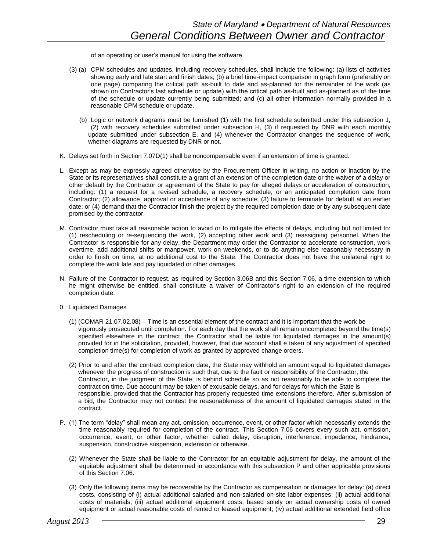of an operating or user's manual for using the software.

- (3) (a) CPM schedules and updates, including recovery schedules, shall include the following: (a) lists of activities showing early and late start and finish dates; (b) a brief time-impact comparison in graph form (preferably on one page) comparing the critical path as-built to date and as-planned for the remainder of the work (as shown on Contractor's last schedule or update) with the critical path as-built and as-planned as of the time of the schedule or update currently being submitted; and (c) all other information normally provided in a reasonable CPM schedule or update.
	- (b) Logic or network diagrams must be furnished (1) with the first schedule submitted under this subsection J, (2) with recovery schedules submitted under subsection H, (3) if requested by DNR with each monthly update submitted under subsection E, and (4) whenever the Contractor changes the sequence of work, whether diagrams are requested by DNR or not.
- K. Delays set forth in Section 7.07D(1) shall be noncompensable even if an extension of time is granted.
- L. Except as may be expressly agreed otherwise by the Procurement Officer in writing, no action or inaction by the State or its representatives shall constitute a grant of an extension of the completion date or the waiver of a delay or other default by the Contractor or agreement of the State to pay for alleged delays or acceleration of construction, including: (1) a request for a revised schedule, a recovery schedule, or an anticipated completion date from Contractor; (2) allowance, approval or acceptance of any schedule; (3) failure to terminate for default at an earlier date; or (4) demand that the Contractor finish the project by the required completion date or by any subsequent date promised by the contractor.
- M. Contractor must take all reasonable action to avoid or to mitigate the effects of delays, including but not limited to: (1) rescheduling or re-sequencing the work, (2) accepting other work and (3) reassigning personnel. When the Contractor is responsible for any delay, the Department may order the Contractor to accelerate construction, work overtime, add additional shifts or manpower, work on weekends, or to do anything else reasonably necessary in order to finish on time, at no additional cost to the State. The Contractor does not have the unilateral right to complete the work late and pay liquidated or other damages.
- N. Failure of the Contractor to request, as required by Section 3.06B and this Section 7.06, a time extension to which he might otherwise be entitled, shall constitute a waiver of Contractor's right to an extension of the required completion date.
- 0. Liquidated Damages
	- (1) (COMAR 21.07.02.08) Time is an essential element of the contract and it is important that the work be vigorously prosecuted until completion. For each day that the work shall remain uncompleted beyond the time(s) specified elsewhere in the contract, the Contractor shall be liable for liquidated damages in the amount(s) provided for in the solicitation, provided, however, that due account shall e taken of any adjustment of specified completion time(s) for completion of work as granted by approved change orders.
	- (2) Prior to and after the contract completion date, the State may withhold an amount equal to liquidated damages whenever the progress of construction is such that, due to the fault or responsibility of the Contractor, the Contractor, in the judgment of the State, is behind schedule so as not reasonably to be able to complete the contract on time. Due account may be taken of excusable delays, and for delays for which the State is responsible, provided that the Contractor has properly requested time extensions therefore. After submission of a bid, the Contractor may not contest the reasonableness of the amount of liquidated damages stated in the contract.
- P. (1) The term "delay" shall mean any act, omission, occurrence, event, or other factor which necessarily extends the time reasonably required for completion of the contract. This Section 7.06 covers every such act, omission, occurrence, event, or other factor, whether called delay, disruption, interference, impedance, hindrance, suspension, constructive suspension, extension or otherwise.
	- (2) Whenever the State shall be liable to the Contractor for an equitable adjustment for delay, the amount of the equitable adjustment shall be determined in accordance with this subsection P and other applicable provisions of this Section 7.06.
	- (3) Only the following items may be recoverable by the Contractor as compensation or damages for delay: (a) direct costs, consisting of (i) actual additional salaried and non-salaried on-site labor expenses; (ii) actual additional costs of materials; (iii) actual additional equipment costs, based solely on actual ownership costs of owned equipment or actual reasonable costs of rented or leased equipment; (iv) actual additional extended field office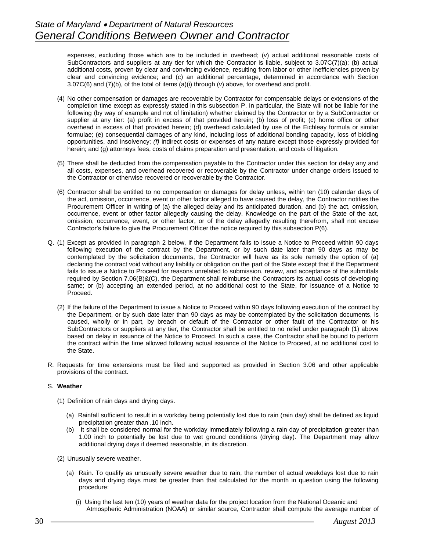expenses, excluding those which are to be included in overhead; (v) actual additional reasonable costs of SubContractors and suppliers at any tier for which the Contractor is liable, subject to 3.07C(7)(a); (b) actual additional costs, proven by clear and convincing evidence, resulting from labor or other inefficiencies proven by clear and convincing evidence; and (c) an additional percentage, determined in accordance with Section 3.07C(6) and (7)(b), of the total of items (a)(i) through (v) above, for overhead and profit.

- (4) No other compensation or damages are recoverable by Contractor for compensable delays or extensions of the completion time except as expressly stated in this subsection P. In particular, the State will not be liable for the following (by way of example and not of limitation) whether claimed by the Contractor or by a SubContractor or supplier at any tier: (a) profit in excess of that provided herein; (b) loss of profit; (c) home office or other overhead in excess of that provided herein; (d) overhead calculated by use of the Eichleay formula or similar formulae; (e) consequential damages of any kind, including loss of additional bonding capacity, loss of bidding opportunities, and insolvency; *(f)* indirect costs or expenses of any nature except those expressly provided for herein; and (g) attorneys fees, costs of claims preparation and presentation, and costs of litigation.
- (5) There shall be deducted from the compensation payable to the Contractor under this section for delay any and all costs, expenses, and overhead recovered or recoverable by the Contractor under change orders issued to the Contractor or otherwise recovered or recoverable by the Contractor.
- (6) Contractor shall be entitled to no compensation or damages for delay unless, within ten (10) calendar days of the act, omission, occurrence, event or other factor alleged to have caused the delay, the Contractor notifies the Procurement Officer in writing of (a) the alleged delay and its anticipated duration, and (b) the act, omission, occurrence, event or other factor allegedly causing the delay. Knowledge on the part of the State of the act, omission, occurrence, event, or other factor, or of the delay allegedly resulting therefrom, shall not excuse Contractor's failure to give the Procurement Officer the notice required by this subsection P(6).
- Q. (1) Except as provided in paragraph 2 below, if the Department fails to issue a Notice to Proceed within 90 days following execution of the contract by the Department, or by such date later than 90 days as may be contemplated by the solicitation documents, the Contractor will have as its sole remedy the option of (a) declaring the contract void without any liability or obligation on the part of the State except that if the Department fails to issue a Notice to Proceed for reasons unrelated to submission, review, and acceptance of the submittals required by Section 7.06(B)&(C), the Department shall reimburse the Contractors its actual costs of developing same; or (b) accepting an extended period, at no additional cost to the State, for issuance of a Notice to Proceed.
	- (2) If the failure of the Department to issue a Notice to Proceed within 90 days following execution of the contract by the Department, or by such date later than 90 days as may be contemplated by the solicitation documents, is caused, wholly or in part, by breach or default of the Contractor or other fault of the Contractor or his SubContractors or suppliers at any tier, the Contractor shall be entitled to no relief under paragraph (1) above based on delay in issuance of the Notice to Proceed. In such a case, the Contractor shall be bound to perform the contract within the time allowed following actual issuance of the Notice to Proceed, at no additional cost to the State.
- R. Requests for time extensions must be filed and supported as provided in Section 3.06 and other applicable provisions of the contract.

# S. **Weather**

- (1) Definition of rain days and drying days.
	- (a) Rainfall sufficient to result in a workday being potentially lost due to rain (rain day) shall be defined as liquid precipitation greater than .10 inch.
	- (b) It shall be considered normal for the workday immediately following a rain day of precipitation greater than 1.00 inch to potentially be lost due to wet ground conditions (drying day). The Department may allow additional drying days if deemed reasonable, in its discretion.
- (2) Unusually severe weather.
	- (a) Rain. To qualify as unusually severe weather due to rain, the number of actual weekdays lost due to rain days and drying days must be greater than that calculated for the month in question using the following procedure:
		- (i) Using the last ten (10) years of weather data for the project location from the National Oceanic and Atmospheric Administration (NOAA) or similar source, Contractor shall compute the average number of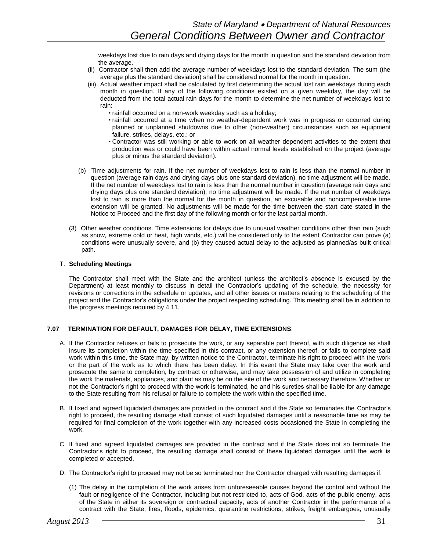weekdays lost due to rain days and drying days for the month in question and the standard deviation from the average.

- (ii) Contractor shall then add the average number of weekdays lost to the standard deviation. The sum (the average plus the standard deviation) shall be considered normal for the month in question.
- (iii) Actual weather impact shall be calculated by first determining the actual lost rain weekdays during each month in question. If any of the following conditions existed on a given weekday, the day will be deducted from the total actual rain days for the month to determine the net number of weekdays lost to rain:
	- rainfall occurred on a non-work weekday such as a holiday;
	- rainfall occurred at a time when no weather-dependent work was in progress or occurred during planned or unplanned shutdowns due to other (non-weather) circumstances such as equipment failure, strikes, delays, etc.; or
	- Contractor was still working or able to work on all weather dependent activities to the extent that production was or could have been within actual normal levels established on the project (average plus or minus the standard deviation).
- (b) Time adjustments for rain. If the net number of weekdays lost to rain is less than the normal number in question (average rain days and drying days plus one standard deviation), no time adjustment will be made. If the net number of weekdays lost to rain is less than the normal number in question (average rain days and drying days plus one standard deviation), no time adjustment will be made. If the net number of weekdays lost to rain is more than the normal for the month in question, an excusable and noncompensable time extension will be granted. No adjustments will be made for the time between the start date stated in the Notice to Proceed and the first day of the following month or for the last partial month.
- (3) Other weather conditions. Time extensions for delays due to unusual weather conditions other than rain (such as snow, extreme cold or heat, high winds, etc.) will be considered only to the extent Contractor can prove (a) conditions were unusually severe, and (b) they caused actual delay to the adjusted as-planned/as-built critical path.

#### T. **Scheduling Meetings**

The Contractor shall meet with the State and the architect (unless the architect's absence is excused by the Department) at least monthly to discuss in detail the Contractor's updating of the schedule, the necessity for revisions or corrections in the schedule or updates, and all other issues or matters relating to the scheduling of the project and the Contractor's obligations under the project respecting scheduling. This meeting shall be in addition to the progress meetings required by 4.11.

#### **7.07 TERMINATION FOR DEFAULT, DAMAGES FOR DELAY, TIME EXTENSIONS**:

- A. If the Contractor refuses or fails to prosecute the work, or any separable part thereof, with such diligence as shall insure its completion within the time specified in this contract, or any extension thereof, or fails to complete said work within this time, the State may, by written notice to the Contractor, terminate his right to proceed with the work or the part of the work as to which there has been delay. In this event the State may take over the work and prosecute the same to completion, by contract or otherwise, and may take possession of and utilize in completing the work the materials, appliances, and plant as may be on the site of the work and necessary therefore. Whether or not the Contractor's right to proceed with the work is terminated, he and his sureties shall be liable for any damage to the State resulting from his refusal or failure to complete the work within the specified time.
- B. If fixed and agreed liquidated damages are provided in the contract and if the State so terminates the Contractor's right to proceed, the resulting damage shall consist of such liquidated damages until a reasonable time as may be required for final completion of the work together with any increased costs occasioned the State in completing the work.
- C. If fixed and agreed liquidated damages are provided in the contract and if the State does not so terminate the Contractor's right to proceed, the resulting damage shall consist of these liquidated damages until the work is completed or accepted.
- D. The Contractor's right to proceed may not be so terminated nor the Contractor charged with resulting damages if:
	- (1) The delay in the completion of the work arises from unforeseeable causes beyond the control and without the fault or negligence of the Contractor, including but not restricted to, acts of God, acts of the public enemy, acts of the State in either its sovereign or contractual capacity, acts of another Contractor in the performance of a contract with the State, fires, floods, epidemics, quarantine restrictions, strikes, freight embargoes, unusually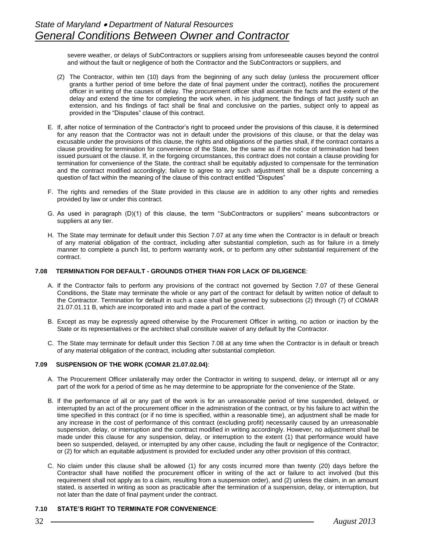severe weather, or delays of SubContractors or suppliers arising from unforeseeable causes beyond the control and without the fault or negligence of both the Contractor and the SubContractors or suppliers, and

- (2) The Contractor, within ten (10) days from the beginning of any such delay (unless the procurement officer grants a further period of time before the date of final payment under the contract), notifies the procurement officer in writing of the causes of delay. The procurement officer shall ascertain the facts and the extent of the delay and extend the time for completing the work when, in his judgment, the findings of fact justify such an extension, and his findings of fact shall be final and conclusive on the parties, subject only to appeal as provided in the "Disputes" clause of this contract.
- E. If, after notice of termination of the Contractor's right to proceed under the provisions of this clause, it is determined for any reason that the Contractor was not in default under the provisions of this clause, or that the delay was excusable under the provisions of this clause, the rights and obligations of the parties shall, if the contract contains a clause providing for termination for convenience of the State, be the same as if the notice of termination had been issued pursuant ot the clause. If, in the forgoing circumstances, this contract does not contain a clause providing for termination for convenience of the State, the contract shall be equitably adjusted to compensate for the termination and the contract modified accordingly; failure to agree to any such adjustment shall be a dispute concerning a question of fact within the meaning of the clause of this contract entitled "Disputes"
- F. The rights and remedies of the State provided in this clause are in addition to any other rights and remedies provided by law or under this contract.
- G. As used in paragraph (D)(1) of this clause, the term "SubContractors or suppliers" means subcontractors or suppliers at any tier.
- H. The State may terminate for default under this Section 7.07 at any time when the Contractor is in default or breach of any material obligation of the contract, including after substantial completion, such as for failure in a timely manner to complete a punch list, to perform warranty work, or to perform any other substantial requirement of the contract.

#### **7.08 TERMINATION FOR DEFAULT - GROUNDS OTHER THAN FOR LACK OF DILIGENCE**:

- A. If the Contractor fails to perform any provisions of the contract not governed by Section 7.07 of these General Conditions, the State may terminate the whole or any part of the contract for default by written notice of default to the Contractor. Termination for default in such a case shall be governed by subsections (2) through (7) of COMAR 21.07.01.11 B, which are incorporated into and made a part of the contract.
- B. Except as may be expressly agreed otherwise by the Procurement Officer in writing, no action or inaction by the State or its representatives or the architect shall constitute waiver of any default by the Contractor.
- C. The State may terminate for default under this Section 7.08 at any time when the Contractor is in default or breach of any material obligation of the contract, including after substantial completion.

#### **7.09 SUSPENSION OF THE WORK (COMAR 21.07.02.04)**:

- A. The Procurement Officer unilaterally may order the Contractor in writing to suspend, delay, or interrupt all or any part of the work for a period of time as he may determine to be appropriate for the convenience of the State.
- B. If the performance of all or any part of the work is for an unreasonable period of time suspended, delayed, or interrupted by an act of the procurement officer in the administration of the contract, or by his failure to act within the time specified in this contract (or if no time is specified, within a reasonable time), an adjustment shall be made for any increase in the cost of performance of this contract (excluding profit) necessarily caused by an unreasonable suspension, delay, or interruption and the contract modified in writing accordingly. However, no adjustment shall be made under this clause for any suspension, delay, or interruption to the extent (1) that performance would have been so suspended, delayed, or interrupted by any other cause, including the fault or negligence of the Contractor; or (2) for which an equitable adjustment is provided for excluded under any other provision of this contract.
- C. No claim under this clause shall be allowed (1) for any costs incurred more than twenty (20) days before the Contractor shall have notified the procurement officer in writing of the act or failure to act involved (but this requirement shall not apply as to a claim, resulting from a suspension order), and (2) unless the claim, in an amount stated, is asserted in writing as soon as practicable after the termination of a suspension, delay, or interruption, but not later than the date of final payment under the contract.

#### **7.10 STATE'S RIGHT TO TERMINATE FOR CONVENIENCE**: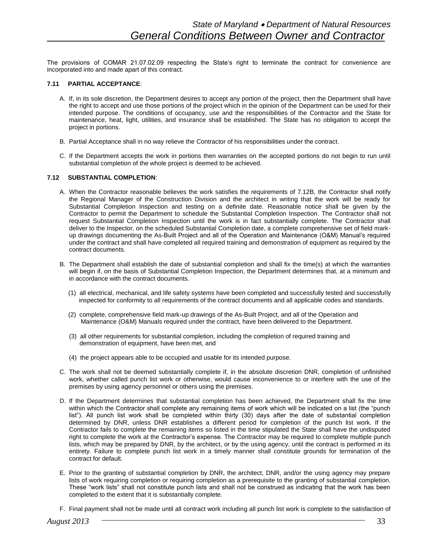The provisions of COMAR 21.07.02.09 respecting the State's right to terminate the contract for convenience are incorporated into and made apart of this contract.

#### **7.11 PARTIAL ACCEPTANCE**:

- A. If, in its sole discretion, the Department desires to accept any portion of the project, then the Department shall have the right to accept and use those portions of the project which in the opinion of the Department can be used for their intended purpose. The conditions of occupancy, use and the responsibilities of the Contractor and the State for maintenance, heat, light, utilities, and insurance shall be established. The State has no obligation to accept the project in portions.
- B. Partial Acceptance shall in no way relieve the Contractor of his responsibilities under the contract.
- C. If the Department accepts the work in portions then warranties on the accepted portions do not begin to run until substantial completion of the whole project is deemed to be achieved.

# **7.12 SUBSTANTIAL COMPLETION**:

- A. When the Contractor reasonable believes the work satisfies the requirements of 7.12B, the Contractor shall notify the Regional Manager of the Construction Division and the architect in writing that the work will be ready for Substantial Completion Inspection and testing on a definite date. Reasonable notice shall be given by the Contractor to permit the Department to schedule the Substantial Completion Inspection. The Contractor shall not request Substantial Completion Inspection until the work is in fact substantially complete. The Contractor shall deliver to the Inspector, on the scheduled Substantial Completion date, a complete comprehensive set of field markup drawings documenting the As-Built Project and all of the Operation and Maintenance (O&M) Manual's required under the contract and shall have completed all required training and demonstration of equipment as required by the contract documents.
- B. The Department shall establish the date of substantial completion and shall fix the time(s) at which the warranties will begin if, on the basis of Substantial Completion Inspection, the Department determines that, at a minimum and in accordance with the contract documents.
	- (1) all electrical, mechanical, and life safety systems have been completed and successfully tested and successfully inspected for conformity to all requirements of the contract documents and all applicable codes and standards.
	- (2) complete, comprehensive field mark-up drawings of the As-Built Project, and all of the Operation and Maintenance (O&M) Manuals required under the contract, have been delivered to the Department.
	- (3) all other requirements for substantial completion, including the completion of required training and demonstration of equipment, have been met, and
	- (4) the project appears able to be occupied and usable for its intended purpose.
- C. The work shall not be deemed substantially complete if, in the absolute discretion DNR, completion of unfinished work, whether called punch list work or otherwise, would cause inconvenience to or interfere with the use of the premises by using agency personnel or others using the premises.
- D. If the Department determines that substantial completion has been achieved, the Department shall fix the time within which the Contractor shall complete any remaining items of work which will be indicated on a list (the "punch list"). All punch list work shall be completed within thirty (30) days after the date of substantial completion determined by DNR, unless DNR establishes a different period for completion of the punch list work. If the Contractor fails to complete the remaining items so listed in the time stipulated the State shall have the undisputed right to complete the work at the Contractor's expense. The Contractor may be required to complete multiple punch lists, which may be prepared by DNR, by the architect, or by the using agency, until the contract is performed in its entirety. Failure to complete punch list work in a timely manner shall constitute grounds for termination of the contract for default.
- E. Prior to the granting of substantial completion by DNR, the architect, DNR, and/or the using agency may prepare lists of work requiring completion or requiring completion as a prerequisite to the granting of substantial completion. These "work lists" shall not constitute punch lists and shall not be construed as indicating that the work has been completed to the extent that it is substantially complete.
- F. Final payment shall not be made until all contract work including all punch list work is complete to the satisfaction of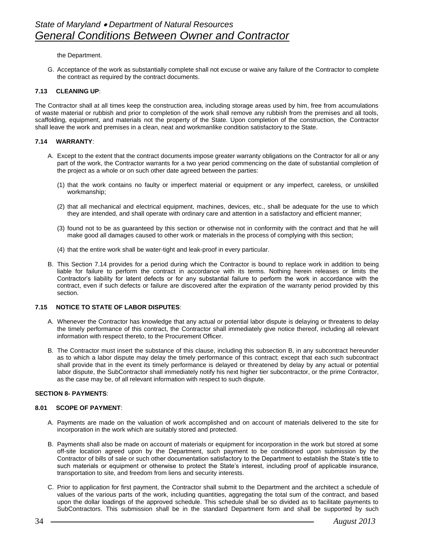the Department.

G. Acceptance of the work as substantially complete shall not excuse or waive any failure of the Contractor to complete the contract as required by the contract documents.

#### **7.13 CLEANING UP**:

The Contractor shall at all times keep the construction area, including storage areas used by him, free from accumulations of waste material or rubbish and prior to completion of the work shall remove any rubbish from the premises and all tools, scaffolding, equipment, and materials not the property of the State. Upon completion of the construction, the Contractor shall leave the work and premises in a clean, neat and workmanlike condition satisfactory to the State.

#### **7.14 WARRANTY**:

- A. Except to the extent that the contract documents impose greater warranty obligations on the Contractor for all or any part of the work, the Contractor warrants for a two year period commencing on the date of substantial completion of the project as a whole or on such other date agreed between the parties:
	- (1) that the work contains no faulty or imperfect material or equipment or any imperfect, careless, or unskilled workmanship;
	- (2) that all mechanical and electrical equipment, machines, devices, etc., shall be adequate for the use to which they are intended, and shall operate with ordinary care and attention in a satisfactory and efficient manner;
	- (3) found not to be as guaranteed by this section or otherwise not in conformity with the contract and that he will make good all damages caused to other work or materials in the process of complying with this section;
	- (4) that the entire work shall be water-tight and leak-proof in every particular.
- B. This Section 7.14 provides for a period during which the Contractor is bound to replace work in addition to being liable for failure to perform the contract in accordance with its terms. Nothing herein releases or limits the Contractor's liability for latent defects or for any substantial failure to perform the work in accordance with the contract, even if such defects or failure are discovered after the expiration of the warranty period provided by this section.

#### **7.15 NOTICE TO STATE OF LABOR DISPUTES**:

- A. Whenever the Contractor has knowledge that any actual or potential labor dispute is delaying or threatens to delay the timely performance of this contract, the Contractor shall immediately give notice thereof, including all relevant information with respect thereto, to the Procurement Officer.
- B. The Contractor must insert the substance of this clause, including this subsection B, in any subcontract hereunder as to which a labor dispute may delay the timely performance of this contract; except that each such subcontract shall provide that in the event its timely performance is delayed or threatened by delay by any actual or potential labor dispute, the SubContractor shall immediately notify his next higher tier subcontractor, or the prime Contractor, as the case may be, of all relevant information with respect to such dispute.

#### **SECTION 8- PAYMENTS**:

#### **8.01 SCOPE OF PAYMENT**:

- A. Payments are made on the valuation of work accomplished and on account of materials delivered to the site for incorporation in the work which are suitably stored and protected.
- B. Payments shall also be made on account of materials or equipment for incorporation in the work but stored at some off-site location agreed upon by the Department, such payment to be conditioned upon submission by the Contractor of bills of sale or such other documentation satisfactory to the Department to establish the State's title to such materials or equipment or otherwise to protect the State's interest, including proof of applicable insurance, transportation to site, and freedom from liens and security interests.
- C. Prior to application for first payment, the Contractor shall submit to the Department and the architect a schedule of values of the various parts of the work, including quantities, aggregating the total sum of the contract, and based upon the dollar loadings of the approved schedule. This schedule shall be so divided as to facilitate payments to SubContractors. This submission shall be in the standard Department form and shall be supported by such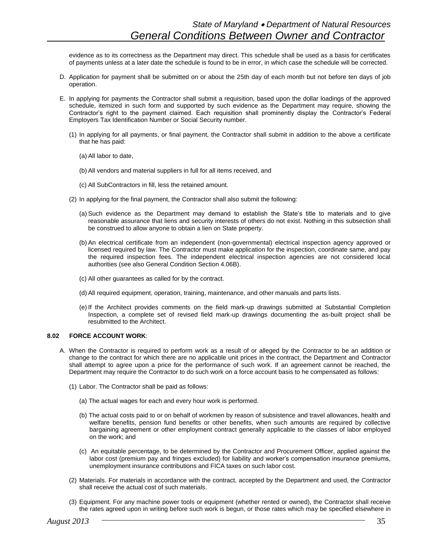evidence as to its correctness as the Department may direct. This schedule shall be used as a basis for certificates of payments unless at a later date the schedule is found to be in error, in which case the schedule will be corrected.

- D. Application for payment shall be submitted on or about the 25th day of each month but not before ten days of job operation.
- E. In applying for payments the Contractor shall submit a requisition, based upon the dollar loadings of the approved schedule, itemized in such form and supported by such evidence as the Department may require, showing the Contractor's right to the payment claimed. Each requisition shall prominently display the Contractor's Federal Employers Tax Identification Number or Social Security number.
	- (1) In applying for all payments, or final payment, the Contractor shall submit in addition to the above a certificate that he has paid:
		- (a) All labor to date,
		- (b) All vendors and material suppliers in full for all items received, and
		- (c) All SubContractors in fill, less the retained amount.
	- (2) In applying for the final payment, the Contractor shall also submit the following:
		- (a) Such evidence as the Department may demand to establish the State's title to materials and to give reasonable assurance that liens and security interests of others do not exist. Nothing in this subsection shall be construed to allow anyone to obtain a lien on State property.
		- (b) An electrical certificate from an independent (non-governmental) electrical inspection agency approved or licensed required by law. The Contractor must make application for the inspection, coordinate same, and pay the required inspection fees. The independent electrical inspection agencies are not considered local authorities (see also General Condition Section 4.06B).
		- (c) All other guarantees as called for by the contract.
		- (d) All required equipment, operation, training, maintenance, and other manuals and parts lists.
		- (e) If the Architect provides comments on the field mark-up drawings submitted at Substantial Completion Inspection, a complete set of revised field mark-up drawings documenting the as-built project shall be resubmitted to the Architect.

#### **8.02 FORCE ACCOUNT WORK**:

- A. When the Contractor is required to perform work as a result of or alleged by the Contractor to be an addition or change to the contract for which there are no applicable unit prices in the contract, the Department and Contractor shall attempt to agree upon a price for the performance of such work. If an agreement cannot be reached, the Department may require the Contractor to do such work on a force account basis to he compensated as follows:
	- (1) Labor. The Contractor shall be paid as follows:
		- (a) The actual wages for each and every hour work is performed.
		- (b) The actual costs paid to or on behalf of workmen by reason of subsistence and travel allowances, health and welfare benefits, pension fund benefits or other benefits, when such amounts are required by collective bargaining agreement or other employment contract generally applicable to the classes of labor employed on the work; and
		- (c) An equitable percentage, to be determined by the Contractor and Procurement Officer, applied against the labor cost (premium pay and fringes excluded) for liability and worker's compensation insurance premiums, unemployment insurance contributions and FICA taxes on such labor cost.
	- (2) Materials. For materials in accordance with the contract, accepted by the Department and used, the Contractor shall receive the actual cost of such materials.
	- (3) Equipment. For any machine power tools or equipment (whether rented or owned), the Contractor shall receive the rates agreed upon in writing before such work is begun, or those rates which may be specified elsewhere in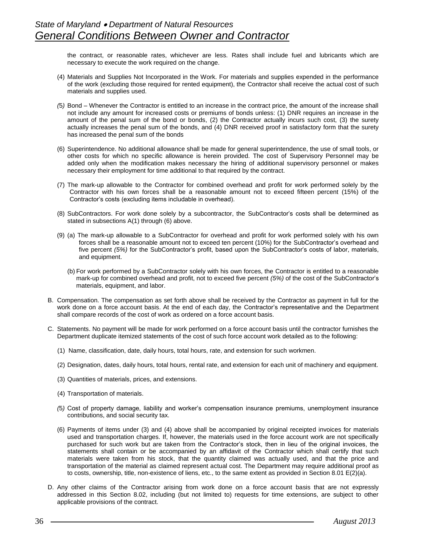the contract, or reasonable rates, whichever are less. Rates shall include fuel and lubricants which are necessary to execute the work required on the change.

- (4) Materials and Supplies Not Incorporated in the Work. For materials and supplies expended in the performance of the work (excluding those required for rented equipment), the Contractor shall receive the actual cost of such materials and supplies used.
- *(*5*)* Bond Whenever the Contractor is entitled to an increase in the contract price, the amount of the increase shall not include any amount for increased costs or premiums of bonds unless: (1) DNR requires an increase in the amount of the penal sum of the bond or bonds, (2) the Contractor actually incurs such cost, (3) the surety actually increases the penal sum of the bonds, and (4) DNR received proof in satisfactory form that the surety has increased the penal sum of the bonds
- (6) Superintendence. No additional allowance shall be made for general superintendence, the use of small tools, or other costs for which no specific allowance is herein provided. The cost of Supervisory Personnel may be added only when the modification makes necessary the hiring of additional supervisory personnel or makes necessary their employment for time additional to that required by the contract.
- (7) The mark-up allowable to the Contractor for combined overhead and profit for work performed solely by the Contractor with his own forces shall be a reasonable amount not to exceed fifteen percent (15%) of the Contractor's costs (excluding items includable in overhead).
- (8) SubContractors. For work done solely by a subcontractor, the SubContractor's costs shall be determined as stated in subsections A(1) through (6) above.
- (9) (a) The mark-up allowable to a SubContractor for overhead and profit for work performed solely with his own forces shall be a reasonable amount not to exceed ten percent (10%) for the SubContractor's overhead and five percent *(5%)* for the SubContractor's profit, based upon the SubContractor's costs of labor, materials, and equipment.
	- (b) For work performed by a SubContractor solely with his own forces, the Contractor is entitled to a reasonable mark-up for combined overhead and profit, not to exceed five percent *(5%)* of the cost of the SubContractor's materials, equipment, and labor.
- B. Compensation. The compensation as set forth above shall be received by the Contractor as payment in full for the work done on a force account basis. At the end of each day, the Contractor's representative and the Department shall compare records of the cost of work as ordered on a force account basis.
- C. Statements. No payment will be made for work performed on a force account basis until the contractor furnishes the Department duplicate itemized statements of the cost of such force account work detailed as to the following:
	- (1) Name, classification, date, daily hours, total hours, rate, and extension for such workmen.
	- (2) Designation, dates, daily hours, total hours, rental rate, and extension for each unit of machinery and equipment.
	- (3) Quantities of materials, prices, and extensions.
	- (4) Transportation of materials.
	- *(*5*)* Cost of property damage, liability and worker's compensation insurance premiums, unemployment insurance contributions, and social security tax.
	- (6) Payments of items under (3) and (4) above shall be accompanied by original receipted invoices for materials used and transportation charges. If, however, the materials used in the force account work are not specifically purchased for such work but are taken from the Contractor's stock, then in lieu of the original invoices, the statements shall contain or be accompanied by an affidavit of the Contractor which shall certify that such materials were taken from his stock, that the quantity claimed was actually used, and that the price and transportation of the material as claimed represent actual cost. The Department may require additional proof as to costs, ownership, title, non-existence of liens, etc., to the same extent as provided in Section 8.01 E(2)(a).
- D. Any other claims of the Contractor arising from work done on a force account basis that are not expressly addressed in this Section 8.02, including (but not limited to) requests for time extensions, are subject to other applicable provisions of the contract.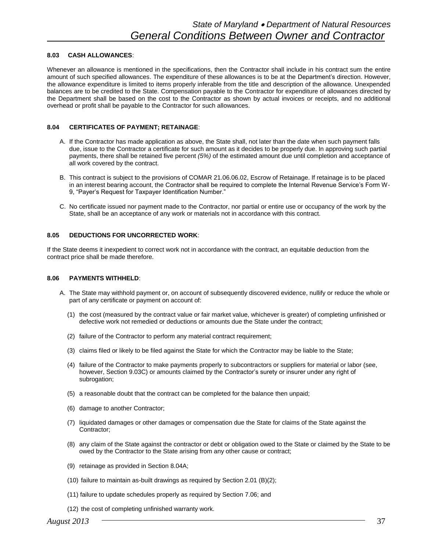#### **8.03 CASH ALLOWANCES**:

Whenever an allowance is mentioned in the specifications, then the Contractor shall include in his contract sum the entire amount of such specified allowances. The expenditure of these allowances is to be at the Department's direction. However, the allowance expenditure is limited to items properly inferable from the title and description of the allowance. Unexpended balances are to be credited to the State. Compensation payable to the Contractor for expenditure of allowances directed by the Department shall be based on the cost to the Contractor as shown by actual invoices or receipts, and no additional overhead or profit shall be payable to the Contractor for such allowances.

# **8.04 CERTIFICATES OF PAYMENT; RETAINAGE**:

- A. If the Contractor has made application as above, the State shall, not later than the date when such payment falls due, issue to the Contractor a certificate for such amount as it decides to be properly due. In approving such partial payments, there shall be retained five percent *(5%)* of the estimated amount due until completion and acceptance of all work covered by the contract.
- B. This contract is subject to the provisions of COMAR 21.06.06.02, Escrow of Retainage. If retainage is to be placed in an interest bearing account, the Contractor shall be required to complete the Internal Revenue Service's Form W-9, "Payer's Request for Taxpayer Identification Number."
- C. No certificate issued nor payment made to the Contractor, nor partial or entire use or occupancy of the work by the State, shall be an acceptance of any work or materials not in accordance with this contract.

#### **8.05 DEDUCTIONS FOR UNCORRECTED WORK**:

If the State deems it inexpedient to correct work not in accordance with the contract, an equitable deduction from the contract price shall be made therefore.

#### **8.06 PAYMENTS WITHHELD**:

- A. The State may withhold payment or, on account of subsequently discovered evidence, nullify or reduce the whole or part of any certificate or payment on account of:
	- (1) the cost (measured by the contract value or fair market value, whichever is greater) of completing unfinished or defective work not remedied or deductions or amounts due the State under the contract;
	- (2) failure of the Contractor to perform any material contract requirement;
	- (3) claims filed or likely to be filed against the State for which the Contractor may be liable to the State;
	- (4) failure of the Contractor to make payments properly to subcontractors or suppliers for material or labor (see, however, Section 9.03C) or amounts claimed by the Contractor's surety or insurer under any right of subrogation;
	- (5) a reasonable doubt that the contract can be completed for the balance then unpaid;
	- (6) damage to another Contractor;
	- (7) liquidated damages or other damages or compensation due the State for claims of the State against the Contractor;
	- (8) any claim of the State against the contractor or debt or obligation owed to the State or claimed by the State to be owed by the Contractor to the State arising from any other cause or contract;
	- (9) retainage as provided in Section 8.04A;
	- (10) failure to maintain as-built drawings as required by Section 2.01 (B)(2);
	- (11) failure to update schedules properly as required by Section 7.06; and
	- (12) the cost of completing unfinished warranty work.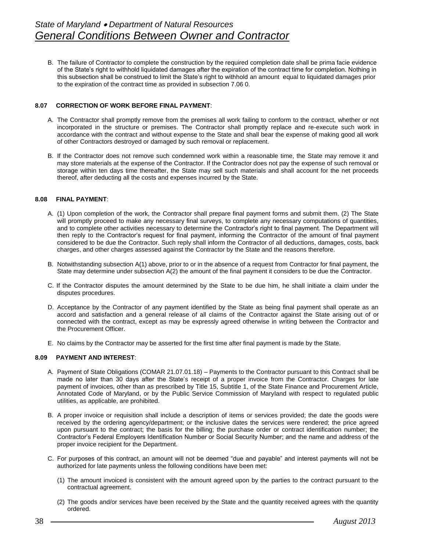B. The failure of Contractor to complete the construction by the required completion date shall be prima facie evidence of the State's right to withhold liquidated damages after the expiration of the contract time for completion. Nothing in this subsection shall be construed to limit the State's right to withhold an amount equal to liquidated damages prior to the expiration of the contract time as provided in subsection 7.06 0.

# **8.07 CORRECTION OF WORK BEFORE FINAL PAYMENT**:

- A. The Contractor shall promptly remove from the premises all work failing to conform to the contract, whether or not incorporated in the structure or premises. The Contractor shall promptly replace and re-execute such work in accordance with the contract and without expense to the State and shall bear the expense of making good all work of other Contractors destroyed or damaged by such removal or replacement.
- B. If the Contractor does not remove such condemned work within a reasonable time, the State may remove it and may store materials at the expense of the Contractor. If the Contractor does not pay the expense of such removal or storage within ten days time thereafter, the State may sell such materials and shall account for the net proceeds thereof, after deducting all the costs and expenses incurred by the State.

#### **8.08 FINAL PAYMENT**:

- A. (1) Upon completion of the work, the Contractor shall prepare final payment forms and submit them. (2) The State will promptly proceed to make any necessary final surveys, to complete any necessary computations of quantities, and to complete other activities necessary to determine the Contractor's right to final payment. The Department will then reply to the Contractor's request for final payment, informing the Contractor of the amount of final payment considered to be due the Contractor. Such reply shall inform the Contractor of all deductions, damages, costs, back charges, and other charges assessed against the Contractor by the State and the reasons therefore.
- B. Notwithstanding subsection A(1) above, prior to or in the absence of a request from Contractor for final payment, the State may determine under subsection A(2) the amount of the final payment it considers to be due the Contractor.
- C. If the Contractor disputes the amount determined by the State to be due him, he shall initiate a claim under the disputes procedures.
- D. Acceptance by the Contractor of any payment identified by the State as being final payment shall operate as an accord and satisfaction and a general release of all claims of the Contractor against the State arising out of or connected with the contract, except as may be expressly agreed otherwise in writing between the Contractor and the Procurement Officer.
- E. No claims by the Contractor may be asserted for the first time after final payment is made by the State.

#### **8.09 PAYMENT AND INTEREST**:

- A. Payment of State Obligations (COMAR 21.07.01.18) Payments to the Contractor pursuant to this Contract shall be made no later than 30 days after the State's receipt of a proper invoice from the Contractor. Charges for late payment of invoices, other than as prescribed by Title 15, Subtitle 1, of the State Finance and Procurement Article, Annotated Code of Maryland, or by the Public Service Commission of Maryland with respect to regulated public utilities, as applicable, are prohibited.
- B. A proper invoice or requisition shall include a description of items or services provided; the date the goods were received by the ordering agency/department; or the inclusive dates the services were rendered; the price agreed upon pursuant to the contract; the basis for the billing; the purchase order or contract identification number; the Contractor's Federal Employers Identification Number or Social Security Number; and the name and address of the proper invoice recipient for the Department.
- C. For purposes of this contract, an amount will not be deemed "due and payable" and interest payments will not be authorized for late payments unless the following conditions have been met:
	- (1) The amount invoiced is consistent with the amount agreed upon by the parties to the contract pursuant to the contractual agreement.
	- (2) The goods and/or services have been received by the State and the quantity received agrees with the quantity ordered.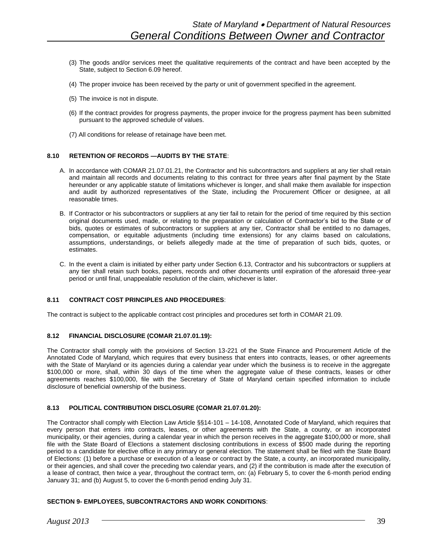- (3) The goods and/or services meet the qualitative requirements of the contract and have been accepted by the State, subject to Section 6.09 hereof.
- (4) The proper invoice has been received by the party or unit of government specified in the agreement.
- (5) The invoice is not in dispute.
- (6) If the contract provides for progress payments, the proper invoice for the progress payment has been submitted pursuant to the approved schedule of values.
- (7) All conditions for release of retainage have been met.

#### **8.10 RETENTION OF RECORDS —AUDITS BY THE STATE**:

- A. In accordance with COMAR 21.07.01.21, the Contractor and his subcontractors and suppliers at any tier shall retain and maintain all records and documents relating to this contract for three years after final payment by the State hereunder or any applicable statute of limitations whichever is longer, and shall make them available for inspection and audit by authorized representatives of the State, including the Procurement Officer or designee, at all reasonable times.
- B. If Contractor or his subcontractors or suppliers at any tier fail to retain for the period of time required by this section original documents used, made, or relating to the preparation or calculation of Contractor's bid to the State or of bids, quotes or estimates of subcontractors or suppliers at any tier, Contractor shall be entitled to no damages, compensation, or equitable adjustments (including time extensions) for any claims based on calculations, assumptions, understandings, or beliefs allegedly made at the time of preparation of such bids, quotes, or estimates.
- C. In the event a claim is initiated by either party under Section 6.13, Contractor and his subcontractors or suppliers at any tier shall retain such books, papers, records and other documents until expiration of the aforesaid three-year period or until final, unappealable resolution of the claim, whichever is later.

#### **8.11 CONTRACT COST PRINCIPLES AND PROCEDURES**:

The contract is subject to the applicable contract cost principles and procedures set forth in COMAR 21.09.

#### **8.12 FINANCIAL DISCLOSURE (COMAR 21.07.01.19):**

The Contractor shall comply with the provisions of Section 13-221 of the State Finance and Procurement Article of the Annotated Code of Maryland, which requires that every business that enters into contracts, leases, or other agreements with the State of Maryland or its agencies during a calendar year under which the business is to receive in the aggregate \$100,000 or more, shall, within 30 days of the time when the aggregate value of these contracts, leases or other agreements reaches \$100,000, file with the Secretary of State of Maryland certain specified information to include disclosure of beneficial ownership of the business.

#### **8.13 POLITICAL CONTRIBUTION DISCLOSURE (COMAR 21.07.01.20):**

The Contractor shall comply with Election Law Article §§14-101 – 14-108, Annotated Code of Maryland, which requires that every person that enters into contracts, leases, or other agreements with the State, a county, or an incorporated municipality, or their agencies, during a calendar year in which the person receives in the aggregate \$100,000 or more, shall file with the State Board of Elections a statement disclosing contributions in excess of \$500 made during the reporting period to a candidate for elective office in any primary or general election. The statement shall be filed with the State Board of Elections: (1) before a purchase or execution of a lease or contract by the State, a county, an incorporated municipality, or their agencies, and shall cover the preceding two calendar years, and (2) if the contribution is made after the execution of a lease of contract, then twice a year, throughout the contract term, on: (a) February 5, to cover the 6-month period ending January 31; and (b) August 5, to cover the 6-month period ending July 31.

#### **SECTION 9- EMPLOYEES, SUBCONTRACTORS AND WORK CONDITIONS**: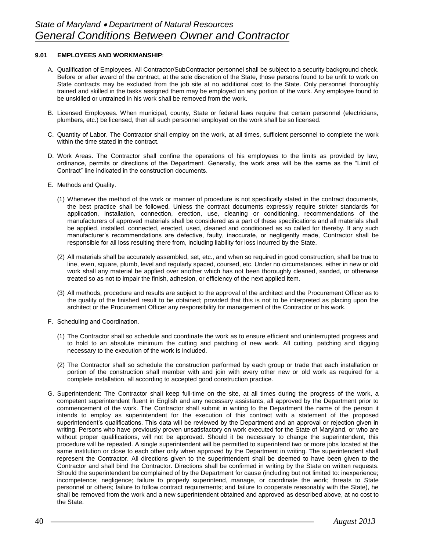#### **9.01 EMPLOYEES AND WORKMANSHIP**:

- A. Qualification of Employees. All Contractor/SubContractor personnel shall be subject to a security background check. Before or after award of the contract, at the sole discretion of the State, those persons found to be unfit to work on State contracts may be excluded from the job site at no additional cost to the State. Only personnel thoroughly trained and skilled in the tasks assigned them may be employed on any portion of the work. Any employee found to be unskilled or untrained in his work shall be removed from the work.
- B. Licensed Employees. When municipal, county, State or federal laws require that certain personnel (electricians, plumbers, etc.) be licensed, then all such personnel employed on the work shall be so licensed.
- C. Quantity of Labor. The Contractor shall employ on the work, at all times, sufficient personnel to complete the work within the time stated in the contract.
- D. Work Areas. The Contractor shall confine the operations of his employees to the limits as provided by law, ordinance, permits or directions of the Department. Generally, the work area will be the same as the "Limit of Contract" line indicated in the construction documents.
- E. Methods and Quality.
	- (1) Whenever the method of the work or manner of procedure is not specifically stated in the contract documents, the best practice shall be followed. Unless the contract documents expressly require stricter standards for application, installation, connection, erection, use, cleaning or conditioning, recommendations of the manufacturers of approved materials shall be considered as a part of these specifications and all materials shall be applied, installed, connected, erected, used, cleaned and conditioned as so called for thereby. If any such manufacturer's recommendations are defective, faulty, inaccurate, or negligently made, Contractor shall be responsible for all loss resulting there from, including liability for loss incurred by the State.
	- (2) All materials shall be accurately assembled, set, etc., and when so required in good construction, shall be true to line, even, square, plumb, level and regularly spaced, coursed, etc. Under no circumstances, either in new or old work shall any material be applied over another which has not been thoroughly cleaned, sanded, or otherwise treated so as not to impair the finish, adhesion, or efficiency of the next applied item.
	- (3) All methods, procedure and results are subject to the approval of the architect and the Procurement Officer as to the quality of the finished result to be obtained; provided that this is not to be interpreted as placing upon the architect or the Procurement Officer any responsibility for management of the Contractor or his work.
- F. Scheduling and Coordination.
	- (1) The Contractor shall so schedule and coordinate the work as to ensure efficient and uninterrupted progress and to hold to an absolute minimum the cutting and patching of new work. All cutting, patching and digging necessary to the execution of the work is included.
	- (2) The Contractor shall so schedule the construction performed by each group or trade that each installation or portion of the construction shall member with and join with every other new or old work as required for a complete installation, all according to accepted good construction practice.
- G. Superintendent: The Contractor shall keep full-time on the site, at all times during the progress of the work, a competent superintendent fluent in English and any necessary assistants, all approved by the Department prior to commencement of the work. The Contractor shall submit in writing to the Department the name of the person it intends to employ as superintendent for the execution of this contract with a statement of the proposed superintendent's qualifications. This data will be reviewed by the Department and an approval or rejection given in writing. Persons who have previously proven unsatisfactory on work executed for the State of Maryland, or who are without proper qualifications, will not be approved. Should it be necessary to change the superintendent, this procedure will be repeated. A single superintendent will be permitted to superintend two or more jobs located at the same institution or close to each other only when approved by the Department in writing. The superintendent shall represent the Contractor. All directions given to the superintendent shall be deemed to have been given to the Contractor and shall bind the Contractor. Directions shall be confirmed in writing by the State on written requests. Should the superintendent be complained of by the Department for cause (including but not limited to: inexperience; incompetence; negligence; failure to properly superintend, manage, or coordinate the work; threats to State personnel or others; failure to follow contract requirements; and failure to cooperate reasonably with the State), he shall be removed from the work and a new superintendent obtained and approved as described above, at no cost to the State.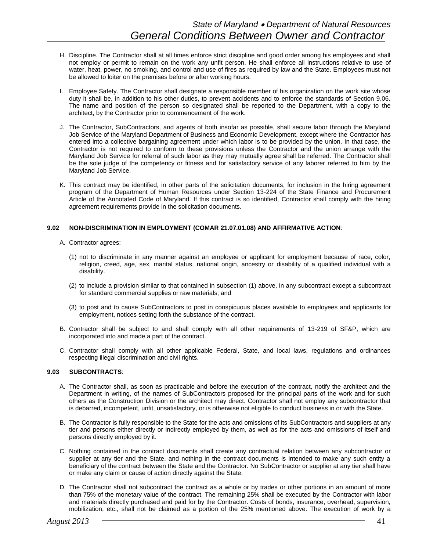- H. Discipline. The Contractor shall at all times enforce strict discipline and good order among his employees and shall not employ or permit to remain on the work any unfit person. He shall enforce all instructions relative to use of water, heat, power, no smoking, and control and use of fires as required by law and the State. Employees must not be allowed to loiter on the premises before or after working hours.
- I. Employee Safety. The Contractor shall designate a responsible member of his organization on the work site whose duty it shall be, in addition to his other duties, to prevent accidents and to enforce the standards of Section 9.06. The name and position of the person so designated shall be reported to the Department, with a copy to the architect, by the Contractor prior to commencement of the work.
- J. The Contractor, SubContractors, and agents of both insofar as possible, shall secure labor through the Maryland Job Service of the Maryland Department of Business and Economic Development, except where the Contractor has entered into a collective bargaining agreement under which labor is to be provided by the union. In that case, the Contractor is not required to conform to these provisions unless the Contractor and the union arrange with the Maryland Job Service for referral of such labor as they may mutually agree shall be referred. The Contractor shall be the sole judge of the competency or fitness and for satisfactory service of any laborer referred to him by the Maryland Job Service.
- K. This contract may be identified, in other parts of the solicitation documents, for inclusion in the hiring agreement program of the Department of Human Resources under Section 13-224 of the State Finance and Procurement Article of the Annotated Code of Maryland. If this contract is so identified, Contractor shall comply with the hiring agreement requirements provide in the solicitation documents.

# **9.02 NON-DISCRIMINATION IN EMPLOYMENT (COMAR 21.07.01.08) AND AFFIRMATIVE ACTION**:

- A. Contractor agrees:
	- (1) not to discriminate in any manner against an employee or applicant for employment because of race, color, religion, creed, age, sex, marital status, national origin, ancestry or disability of a qualified individual with a disability.
	- (2) to include a provision similar to that contained in subsection (1) above, in any subcontract except a subcontract for standard commercial supplies or raw materials; and
	- (3) to post and to cause SubContractors to post in conspicuous places available to employees and applicants for employment, notices setting forth the substance of the contract.
- B. Contractor shall be subject to and shall comply with all other requirements of 13-219 of SF&P, which are incorporated into and made a part of the contract.
- C. Contractor shall comply with all other applicable Federal, State, and local laws, regulations and ordinances respecting illegal discrimination and civil rights.

# **9.03 SUBCONTRACTS**:

- A. The Contractor shall, as soon as practicable and before the execution of the contract, notify the architect and the Department in writing, of the names of SubContractors proposed for the principal parts of the work and for such others as the Construction Division or the architect may direct. Contractor shall not employ any subcontractor that is debarred, incompetent, unfit, unsatisfactory, or is otherwise not eligible to conduct business in or with the State.
- B. The Contractor is fully responsible to the State for the acts and omissions of its SubContractors and suppliers at any tier and persons either directly or indirectly employed by them, as well as for the acts and omissions of itself and persons directly employed by it.
- C. Nothing contained in the contract documents shall create any contractual relation between any subcontractor or supplier at any tier and the State, and nothing in the contract documents is intended to make any such entity a beneficiary of the contract between the State and the Contractor. No SubContractor or supplier at any tier shall have or make any claim or cause of action directly against the State.
- D. The Contractor shall not subcontract the contract as a whole or by trades or other portions in an amount of more than 75% of the monetary value of the contract. The remaining 25% shall be executed by the Contractor with labor and materials directly purchased and paid for by the Contractor. Costs of bonds, insurance, overhead, supervision, mobilization, etc., shall not be claimed as a portion of the 25% mentioned above. The execution of work by a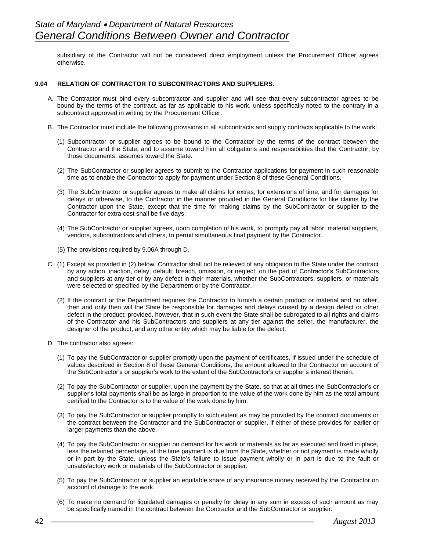subsidiary of the Contractor will not be considered direct employment unless the Procurement Officer agrees otherwise.

# **9.04 RELATION OF CONTRACTOR TO SUBCONTRACTORS AND SUPPLIERS**:

- A. The Contractor must bind every subcontractor and supplier and will see that every subcontractor agrees to be bound by the terms of the contract, as far as applicable to his work, unless specifically noted to the contrary in a subcontract approved in writing by the Procurement Officer.
- B. The Contractor must include the following provisions in all subcontracts and supply contracts applicable to the work:
	- (1) Subcontractor or supplier agrees to be bound to the Contractor by the terms of the contract between the Contractor and the State, and to assume toward him all obligations and responsibilities that the Contractor, by those documents, assumes toward the State.
	- (2) The SubContractor or supplier agrees to submit to the Contractor applications for payment in such reasonable time as to enable the Contractor to apply for payment under Section 8 of these General Conditions.
	- (3) The SubContractor or supplier agrees to make all claims for extras, for extensions of time, and for damages for delays or otherwise, to the Contractor in the manner provided in the General Conditions for like claims by the Contractor upon the State, except that the time for making claims by the SubContractor or supplier to the Contractor for extra cost shall be five days.
	- (4) The SubContractor or supplier agrees, upon completion of his work, to promptly pay all labor, material suppliers, vendors, subcontractors and others, to permit simultaneous final payment by the Contractor.
	- (5) The provisions required by 9.06A through D.
- C. (1) Except as provided in (2) below, Contractor shall not be relieved of any obligation to the State under the contract by any action, inaction, delay, default, breach, omission, or neglect, on the part of Contractor's SubContractors and suppliers at any tier or by any defect in their materials, whether the SubContractors, suppliers, or materials were selected or specified by the Department or by the Contractor.
	- (2) If the contract or the Department requires the Contractor to furnish a certain product or material and no other, then and only then will the State be responsible for damages and delays caused by a design defect or other defect in the product; provided, however, that in such event the State shall be subrogated to all rights and claims of the Contractor and his SubContractors and suppliers at any tier against the seller, the manufacturer, the designer of the product, and any other entity which may be liable for the defect.
- D. The contractor also agrees:
	- (1) To pay the SubContractor or supplier promptly upon the payment of certificates, if issued under the schedule of values described in Section 8 of these General Conditions, the amount allowed to the Contractor on account of the SubContractor's or supplier's work to the extent of the SubContractor's or supplier's interest therein.
	- (2) To pay the SubContractor or supplier, upon the payment by the State, so that at all times the SubContractor's or supplier's total payments shall be as large in proportion to the value of the work done by him as the total amount certified to the Contractor is to the value of the work done by him.
	- (3) To pay the SubContractor or supplier promptly to such extent as may be provided by the contract documents or the contract between the Contractor and the SubContractor or supplier, if either of these provides for earlier or larger payments than the above.
	- (4) To pay the SubContractor or supplier on demand for his work or materials as far as executed and fixed in place, less the retained percentage, at the time payment is due from the State, whether or not payment is made wholly or in part by the State, unless the State's failure to issue payment wholly or in part is due to the fault or unsatisfactory work or materials of the SubContractor or supplier.
	- (5) To pay the SubContractor or supplier an equitable share of any insurance money received by the Contractor on account of damage to the work.
	- (6) To make no demand for liquidated damages or penalty for delay in any sum in excess of such amount as may be specifically named in the contract between the Contractor and the SubContractor or supplier.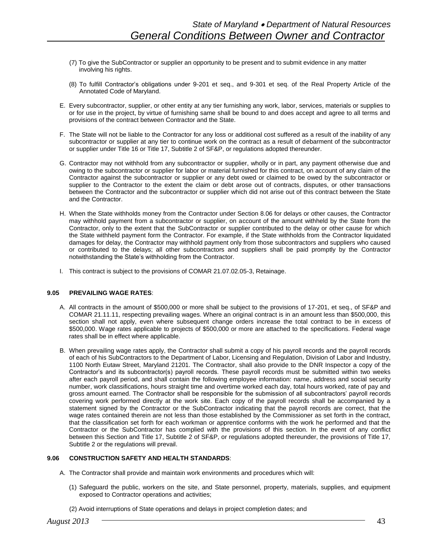- (7) To give the SubContractor or supplier an opportunity to be present and to submit evidence in any matter involving his rights.
- (8) To fulfill Contractor's obligations under 9-201 et seq., and 9-301 et seq. of the Real Property Article of the Annotated Code of Maryland.
- E. Every subcontractor, supplier, or other entity at any tier furnishing any work, labor, services, materials or supplies to or for use in the project, by virtue of furnishing same shall be bound to and does accept and agree to all terms and provisions of the contract between Contractor and the State.
- F. The State will not be liable to the Contractor for any loss or additional cost suffered as a result of the inability of any subcontractor or supplier at any tier to continue work on the contract as a result of debarment of the subcontractor or supplier under Title 16 or Title 17, Subtitle 2 of SF&P, or regulations adopted thereunder.
- G. Contractor may not withhold from any subcontractor or supplier, wholly or in part, any payment otherwise due and owing to the subcontractor or supplier for labor or material furnished for this contract, on account of any claim of the Contractor against the subcontractor or supplier or any debt owed or claimed to be owed by the subcontractor or supplier to the Contractor to the extent the claim or debt arose out of contracts, disputes, or other transactions between the Contractor and the subcontractor or supplier which did not arise out of this contract between the State and the Contractor.
- H. When the State withholds money from the Contractor under Section 8.06 for delays or other causes, the Contractor may withhold payment from a subcontractor or supplier, on account of the amount withheld by the State from the Contractor, only to the extent that the SubContractor or supplier contributed to the delay or other cause for which the State withheld payment form the Contractor. For example, if the State withholds from the Contractor liquidated damages for delay, the Contractor may withhold payment only from those subcontractors and suppliers who caused or contributed to the delays; all other subcontractors and suppliers shall be paid promptly by the Contractor notwithstanding the State's withholding from the Contractor.
- I. This contract is subject to the provisions of COMAR 21.07.02.05-3, Retainage.

#### **9.05 PREVAILING WAGE RATES**:

- A. All contracts in the amount of \$500,000 or more shall be subject to the provisions of 17-201, et seq., of SF&P and COMAR 21.11.11, respecting prevailing wages. Where an original contract is in an amount less than \$500,000, this section shall not apply, even where subsequent change orders increase the total contract to be in excess of \$500,000. Wage rates applicable to projects of \$500,000 or more are attached to the specifications. Federal wage rates shall be in effect where applicable.
- B. When prevailing wage rates apply, the Contractor shall submit a copy of his payroll records and the payroll records of each of his SubContractors to the Department of Labor, Licensing and Regulation, Division of Labor and Industry, 1100 North Eutaw Street, Maryland 21201. The Contractor, shall also provide to the DNR Inspector a copy of the Contractor's and its subcontractor(s) payroll records. These payroll records must be submitted within two weeks after each payroll period, and shall contain the following employee information: name, address and social security number, work classifications, hours straight time and overtime worked each day, total hours worked, rate of pay and gross amount earned. The Contractor shall be responsible for the submission of all subcontractors' payroll records covering work performed directly at the work site. Each copy of the payroll records shall be accompanied by a statement signed by the Contractor or the SubContractor indicating that the payroll records are correct, that the wage rates contained therein are not less than those established by the Commissioner as set forth in the contract, that the classification set forth for each workman or apprentice conforms with the work he performed and that the Contractor or the SubContractor has complied with the provisions of this section. In the event of any conflict between this Section and Title 17, Subtitle 2 of SF&P, or regulations adopted thereunder, the provisions of Title 17, Subtitle 2 or the regulations will prevail.

# **9.06 CONSTRUCTION SAFETY AND HEALTH STANDARDS**:

- A. The Contractor shall provide and maintain work environments and procedures which will:
	- (1) Safeguard the public, workers on the site, and State personnel, property, materials, supplies, and equipment exposed to Contractor operations and activities;
	- (2) Avoid interruptions of State operations and delays in project completion dates; and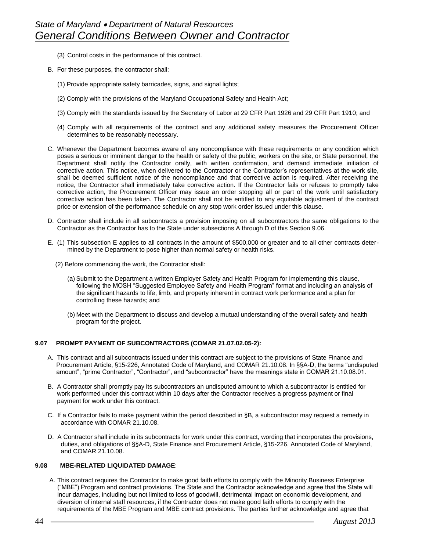- (3) Control costs in the performance of this contract.
- B. For these purposes, the contractor shall:
	- (1) Provide appropriate safety barricades, signs, and signal lights;
	- (2) Comply with the provisions of the Maryland Occupational Safety and Health Act;
	- (3) Comply with the standards issued by the Secretary of Labor at 29 CFR Part 1926 and 29 CFR Part 1910; and
	- (4) Comply with all requirements of the contract and any additional safety measures the Procurement Officer determines to be reasonably necessary.
- C. Whenever the Department becomes aware of any noncompliance with these requirements or any condition which poses a serious or imminent danger to the health or safety of the public, workers on the site, or State personnel, the Department shall notify the Contractor orally, with written confirmation, and demand immediate initiation of corrective action. This notice, when delivered to the Contractor or the Contractor's representatives at the work site, shall be deemed sufficient notice of the noncompliance and that corrective action is required. After receiving the notice, the Contractor shall immediately take corrective action. If the Contractor fails or refuses to promptly take corrective action, the Procurement Officer may issue an order stopping all or part of the work until satisfactory corrective action has been taken. The Contractor shall not be entitled to any equitable adjustment of the contract price or extension of the performance schedule on any stop work order issued under this clause.
- D. Contractor shall include in all subcontracts a provision imposing on all subcontractors the same obligations to the Contractor as the Contractor has to the State under subsections A through D of this Section 9.06.
- E. (1) This subsection E applies to all contracts in the amount of \$500,000 or greater and to all other contracts determined by the Department to pose higher than normal safety or health risks.
	- (2) Before commencing the work, the Contractor shall:
		- (a) Submit to the Department a written Employer Safety and Health Program for implementing this clause, following the MOSH "Suggested Employee Safety and Health Program" format and including an analysis of the significant hazards to life, limb, and property inherent in contract work performance and a plan for controlling these hazards; and
		- (b) Meet with the Department to discuss and develop a mutual understanding of the overall safety and health program for the project.

#### **9.07 PROMPT PAYMENT OF SUBCONTRACTORS (COMAR 21.07.02.05-2):**

- A. This contract and all subcontracts issued under this contract are subject to the provisions of State Finance and Procurement Article, §15-226, Annotated Code of Maryland, and COMAR 21.10.08. In §§A-D, the terms "undisputed amount", "prime Contractor", "Contractor", and "subcontractor" have the meanings state in COMAR 21.10.08.01.
- B. A Contractor shall promptly pay its subcontractors an undisputed amount to which a subcontractor is entitled for work performed under this contract within 10 days after the Contractor receives a progress payment or final payment for work under this contract.
- C. If a Contractor fails to make payment within the period described in §B, a subcontractor may request a remedy in accordance with COMAR 21.10.08.
- D. A Contractor shall include in its subcontracts for work under this contract, wording that incorporates the provisions, duties, and obligations of §§A-D, State Finance and Procurement Article, §15-226, Annotated Code of Maryland, and COMAR 21.10.08.

# **9.08 MBE-RELATED LIQUIDATED DAMAGE**:

A. This contract requires the Contractor to make good faith efforts to comply with the Minority Business Enterprise ("MBE") Program and contract provisions. The State and the Contractor acknowledge and agree that the State will incur damages, including but not limited to loss of goodwill, detrimental impact on economic development, and diversion of internal staff resources, if the Contractor does not make good faith efforts to comply with the requirements of the MBE Program and MBE contract provisions. The parties further acknowledge and agree that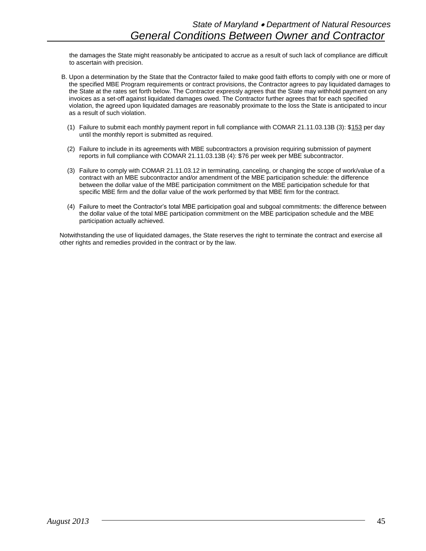the damages the State might reasonably be anticipated to accrue as a result of such lack of compliance are difficult to ascertain with precision.

- B. Upon a determination by the State that the Contractor failed to make good faith efforts to comply with one or more of the specified MBE Program requirements or contract provisions, the Contractor agrees to pay liquidated damages to the State at the rates set forth below. The Contractor expressly agrees that the State may withhold payment on any invoices as a set-off against liquidated damages owed. The Contractor further agrees that for each specified violation, the agreed upon liquidated damages are reasonably proximate to the loss the State is anticipated to incur as a result of such violation.
	- (1) Failure to submit each monthly payment report in full compliance with COMAR 21.11.03.13B (3): \$153 per day until the monthly report is submitted as required.
	- (2) Failure to include in its agreements with MBE subcontractors a provision requiring submission of payment reports in full compliance with COMAR 21.11.03.13B (4): \$76 per week per MBE subcontractor.
	- (3) Failure to comply with COMAR 21.11.03.12 in terminating, canceling, or changing the scope of work/value of a contract with an MBE subcontractor and/or amendment of the MBE participation schedule: the difference between the dollar value of the MBE participation commitment on the MBE participation schedule for that specific MBE firm and the dollar value of the work performed by that MBE firm for the contract.
	- (4) Failure to meet the Contractor's total MBE participation goal and subgoal commitments: the difference between the dollar value of the total MBE participation commitment on the MBE participation schedule and the MBE participation actually achieved.

Notwithstanding the use of liquidated damages, the State reserves the right to terminate the contract and exercise all other rights and remedies provided in the contract or by the law.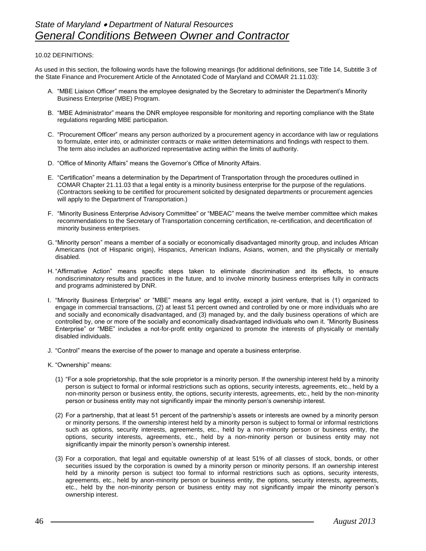#### 10.02 DEFINITIONS:

As used in this section, the following words have the following meanings (for additional definitions, see Title 14, Subtitle 3 of the State Finance and Procurement Article of the Annotated Code of Maryland and COMAR 21.11.03):

- A. "MBE Liaison Officer" means the employee designated by the Secretary to administer the Department's Minority Business Enterprise (MBE) Program.
- B. "MBE Administrator" means the DNR employee responsible for monitoring and reporting compliance with the State regulations regarding MBE participation.
- C. "Procurement Officer" means any person authorized by a procurement agency in accordance with law or regulations to formulate, enter into, or administer contracts or make written determinations and findings with respect to them. The term also includes an authorized representative acting within the limits of authority.
- D. "Office of Minority Affairs" means the Governor's Office of Minority Affairs.
- E. "Certification" means a determination by the Department of Transportation through the procedures outlined in COMAR Chapter 21.11.03 that a legal entity is a minority business enterprise for the purpose of the regulations. (Contractors seeking to be certified for procurement solicited by designated departments or procurement agencies will apply to the Department of Transportation.)
- F. "Minority Business Enterprise Advisory Committee" or "MBEAC" means the twelve member committee which makes recommendations to the Secretary of Transportation concerning certification, re-certification, and decertification of minority business enterprises.
- G. "Minority person" means a member of a socially or economically disadvantaged minority group, and includes African Americans (not of Hispanic origin), Hispanics, American Indians, Asians, women, and the physically or mentally disabled.
- H. "Affirmative Action" means specific steps taken to eliminate discrimination and its effects, to ensure nondiscriminatory results and practices in the future, and to involve minority business enterprises fully in contracts and programs administered by DNR.
- I. "Minority Business Enterprise" or "MBE" means any legal entity, except a joint venture, that is (1) organized to engage in commercial transactions, (2) at least 51 percent owned and controlled by one or more individuals who are and socially and economically disadvantaged, and (3) managed by, and the daily business operations of which are controlled by, one or more of the socially and economically disadvantaged individuals who own it. "Minority Business Enterprise" or "MBE" includes a not-for-profit entity organized to promote the interests of physically or mentally disabled individuals.
- J. "Control" means the exercise of the power to manage and operate a business enterprise.
- K. "Ownership" means:
	- (1) "For a sole proprietorship, that the sole proprietor is a minority person. If the ownership interest held by a minority person is subject to formal or informal restrictions such as options, security interests, agreements, etc., held by a non-minority person or business entity, the options, security interests, agreements, etc., held by the non-minority person or business entity may not significantly impair the minority person's ownership interest.
	- (2) For a partnership, that at least 51 percent of the partnership's assets or interests are owned by a minority person or minority persons. If the ownership interest held by a minority person is subject to formal or informal restrictions such as options, security interests, agreements, etc., held by a non-minority person or business entity, the options, security interests, agreements, etc., held by a non-minority person or business entity may not significantly impair the minority person's ownership interest.
	- (3) For a corporation, that legal and equitable ownership of at least 51% of all classes of stock, bonds, or other securities issued by the corporation is owned by a minority person or minority persons. If an ownership interest held by a minority person is subject too formal to informal restrictions such as options, security interests, agreements, etc., held by anon-minority person or business entity, the options, security interests, agreements, etc., held by the non-minority person or business entity may not significantly impair the minority person's ownership interest.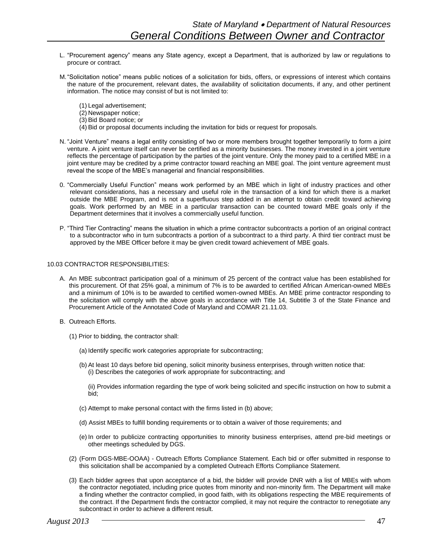- L. "Procurement agency" means any State agency, except a Department, that is authorized by law or regulations to procure or contract.
- M."Solicitation notice" means public notices of a solicitation for bids, offers, or expressions of interest which contains the nature of the procurement, relevant dates, the availability of solicitation documents, if any, and other pertinent information. The notice may consist of but is not limited to:
	- (1) Legal advertisement;
	- (2) Newspaper notice;
	- (3) Bid Board notice; or
	- (4) Bid or proposal documents including the invitation for bids or request for proposals.
- N. "Joint Venture" means a legal entity consisting of two or more members brought together temporarily to form a joint venture. A joint venture itself can never be certified as a minority businesses. The money invested in a joint venture reflects the percentage of participation by the parties of the joint venture. Only the money paid to a certified MBE in a joint venture may be credited by a prime contractor toward reaching an MBE goal. The joint venture agreement must reveal the scope of the MBE's managerial and financial responsibilities.
- 0. "Commercially Useful Function" means work performed by an MBE which in light of industry practices and other relevant considerations, has a necessary and useful role in the transaction of a kind for which there is a market outside the MBE Program, and is not a superfluous step added in an attempt to obtain credit toward achieving goals. Work performed by an MBE in a particular transaction can be counted toward MBE goals only if the Department determines that it involves a commercially useful function.
- P. "Third Tier Contracting" means the situation in which a prime contractor subcontracts a portion of an original contract to a subcontractor who in turn subcontracts a portion of a subcontract to a third party. A third tier contract must be approved by the MBE Officer before it may be given credit toward achievement of MBE goals.

#### 10.03 CONTRACTOR RESPONSIBILITIES:

- A. An MBE subcontract participation goal of a minimum of 25 percent of the contract value has been established for this procurement. Of that 25% goal, a minimum of 7% is to be awarded to certified African American-owned MBEs and a minimum of 10% is to be awarded to certified women-owned MBEs. An MBE prime contractor responding to the solicitation will comply with the above goals in accordance with Title 14, Subtitle 3 of the State Finance and Procurement Article of the Annotated Code of Maryland and COMAR 21.11.03.
- B. Outreach Efforts.
	- (1) Prior to bidding, the contractor shall:
		- (a) Identify specific work categories appropriate for subcontracting;
		- (b) At least 10 days before bid opening, solicit minority business enterprises, through written notice that: (i) Describes the categories of work appropriate for subcontracting; and
			- (ii) Provides information regarding the type of work being solicited and specific instruction on how to submit a bid;
		- (c) Attempt to make personal contact with the firms listed in (b) above;
		- (d) Assist MBEs to fulfill bonding requirements or to obtain a waiver of those requirements; and
		- (e) In order to publicize contracting opportunities to minority business enterprises, attend pre-bid meetings or other meetings scheduled by DGS.
	- (2) (Form DGS-MBE-OOAA) Outreach Efforts Compliance Statement. Each bid or offer submitted in response to this solicitation shall be accompanied by a completed Outreach Efforts Compliance Statement.
	- (3) Each bidder agrees that upon acceptance of a bid, the bidder will provide DNR with a list of MBEs with whom the contractor negotiated, including price quotes from minority and non-minority firm. The Department will make a finding whether the contractor complied, in good faith, with its obligations respecting the MBE requirements of the contract. If the Department finds the contractor complied, it may not require the contractor to renegotiate any subcontract in order to achieve a different result.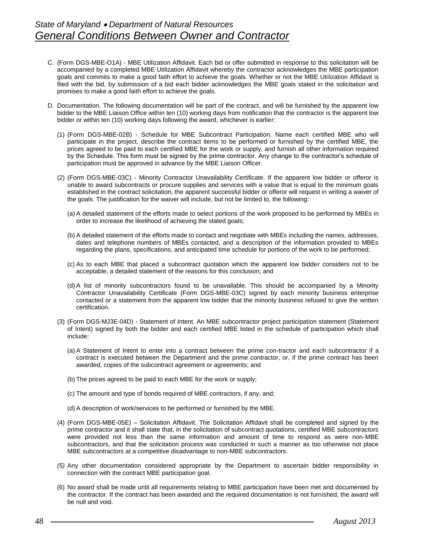- C. (Form DGS-MBE-O1A) MBE Utilization Affidavit. Each bid or offer submitted in response to this solicitation will be accompanied by a completed MBE Utilization Affidavit whereby the contractor acknowledges the MBE participation goals and commits to make a good faith effort to achieve the goals. Whether or not the MBE Utilization Affidavit is filed with the bid, by submission of a bid each bidder acknowledges the MBE goals stated in the solicitation and promises to make a good faith effort to achieve the goals.
- D. Documentation. The following documentation will be part of the contract, and will be furnished by the apparent low bidder to the MBE Liaison Office within ten (10) working days from notification that the contractor is the apparent low bidder or within ten (10) working days following the award, whichever is earlier:
	- (1) (Form DGS-MBE-02B) Schedule for MBE Subcontract Participation. Name each certified MBE who will participate in the project, describe the contract items to be performed or furnished by the certified MBE, the prices agreed to be paid to each certified MBE for the work or supply, and furnish all other information required by the Schedule. This form must be signed by the prime contractor. Any change to the contractor's schedule of participation must be approved in advance by the MBE Liaison Officer.
	- (2) (Form DGS-MBE-03C) Minority Contractor Unavailability Certificate. If the apparent low bidder or offeror is unable to award subcontracts or procure supplies and services with a value that is equal to the minimum goals established in the contract solicitation, the apparent successful bidder or offeror will request in writing a waiver of the goals. The justification for the waiver will include, but not be limited to, the following:
		- (a) A detailed statement of the efforts made to select portions of the work proposed to be performed by MBEs in order to increase the likelihood of achieving the stated goals;
		- (b) A detailed statement of the efforts made to contact and negotiate with MBEs including the names, addresses, dates and telephone numbers of MBEs contacted, and a description of the information provided to MBEs regarding the plans, specifications, and anticipated time schedule for portions of the work to be performed;
		- (c) As to each MBE that placed a subcontract quotation which the apparent low bidder considers not to be acceptable, a detailed statement of the reasons for this conclusion; and
		- (d) A list of minority subcontractors found to be unavailable. This should be accompanied by a Minority Contractor Unavailability Certificate (Form DGS-MBE-03C) signed by each minority business enterprise contacted or a statement from the apparent low bidder that the minority business refused to give the written certification.
	- (3) (Form DGS-MJ3E-04D) Statement of Intent. An MBE subcontractor project participation statement (Statement of Intent) signed by both the bidder and each certified MBE listed in the schedule of participation which shall include:
		- (a) A Statement of Intent to enter into a contract between the prime con-tractor and each subcontractor if a contract is executed between the Department and the prime contractor, or, if the prime contract has been awarded, copies of the subcontract agreement or agreements; and
		- (b) The prices agreed to be paid to each MBE for the work or supply;
		- (c) The amount and type of bonds required of MBE contractors, if any, and;
		- (d) A description of work/services to be performed or furnished by the MBE.
	- (4) (Form DGS-MBE-05E) Solicitation Affidavit. The Solicitation Affidavit shall be completed and signed by the prime contractor and it shall state that, in the solicitation of subcontract quotations, certified MBE subcontractors were provided not less than the same information and amount of time to respond as were non-MBE subcontractors, and that the solicitation process was conducted in such a manner as too otherwise not place MBE subcontractors at a competitive disadvantage to non-MBE subcontractors.
	- *(5)* Any other documentation considered appropriate by the Department to ascertain bidder responsibility in connection with the contract MBE participation goal.
	- (6) No award shall be made until all requirements relating to MBE participation have been met and documented by the contractor. If the contract has been awarded and the required documentation is not furnished, the award will be null and void.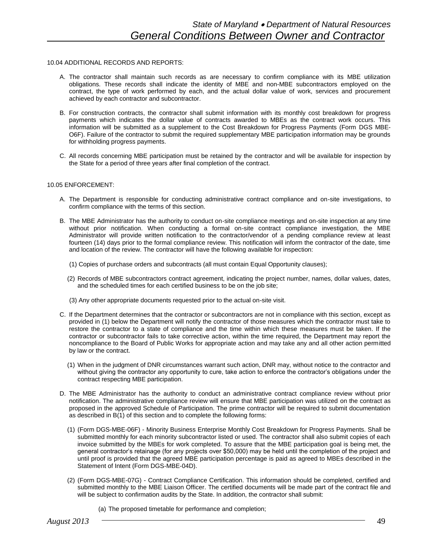#### 10.04 ADDITIONAL RECORDS AND REPORTS:

- A. The contractor shall maintain such records as are necessary to confirm compliance with its MBE utilization obligations. These records shall indicate the identity of MBE and non-MBE subcontractors employed on the contract, the type of work performed by each, and the actual dollar value of work, services and procurement achieved by each contractor and subcontractor.
- B. For construction contracts, the contractor shall submit information with its monthly cost breakdown for progress payments which indicates the dollar value of contracts awarded to MBEs as the contract work occurs. This information will be submitted as a supplement to the Cost Breakdown for Progress Payments (Form DGS MBE-O6F). Failure of the contractor to submit the required supplementary MBE participation information may be grounds for withholding progress payments.
- C. All records concerning MBE participation must be retained by the contractor and will be available for inspection by the State for a period of three years after final completion of the contract.

#### 10.05 ENFORCEMENT:

- A. The Department is responsible for conducting administrative contract compliance and on-site investigations, to confirm compliance with the terms of this section.
- B. The MBE Administrator has the authority to conduct on-site compliance meetings and on-site inspection at any time without prior notification. When conducting a formal on-site contract compliance investigation, the MBE Administrator will provide written notification to the contractor/vendor of a pending compliance review at least fourteen (14) days prior to the formal compliance review. This notification will inform the contractor of the date, time and location of the review. The contractor will have the following available for inspection:
	- (1) Copies of purchase orders and subcontracts (all must contain Equal Opportunity clauses);
	- (2) Records of MBE subcontractors contract agreement, indicating the project number, names, dollar values, dates, and the scheduled times for each certified business to be on the job site;
	- (3) Any other appropriate documents requested prior to the actual on-site visit.
- C. If the Department determines that the contractor or subcontractors are not in compliance with this section, except as provided in (1) below the Department will notify the contractor of those measures which the contractor must take to restore the contractor to a state of compliance and the time within which these measures must be taken. If the contractor or subcontractor fails to take corrective action, within the time required, the Department may report the noncompliance to the Board of Public Works for appropriate action and may take any and all other action permitted by law or the contract.
	- (1) When in the judgment of DNR circumstances warrant such action, DNR may, without notice to the contractor and without giving the contractor any opportunity to cure, take action to enforce the contractor's obligations under the contract respecting MBE participation.
- D. The MBE Administrator has the authority to conduct an administrative contract compliance review without prior notification. The administrative compliance review will ensure that MBE participation was utilized on the contract as proposed in the approved Schedule of Participation. The prime contractor will be required to submit documentation as described in B(1) of this section and to complete the following forms:
	- (1) (Form DGS-MBE-06F) Minority Business Enterprise Monthly Cost Breakdown for Progress Payments. Shall be submitted monthly for each minority subcontractor listed or used. The contractor shall also submit copies of each invoice submitted by the MBEs for work completed. To assure that the MBE participation goal is being met, the general contractor's retainage (for any projects over \$50,000) may be held until the completion of the project and until proof is provided that the agreed MBE participation percentage is paid as agreed to MBEs described in the Statement of Intent (Form DGS-MBE-04D).
	- (2) (Form DGS-MBE-07G) Contract Compliance Certification. This information should be completed, certified and submitted monthly to the MBE Liaison Officer. The certified documents will be made part of the contract file and will be subject to confirmation audits by the State. In addition, the contractor shall submit:
		- (a) The proposed timetable for performance and completion;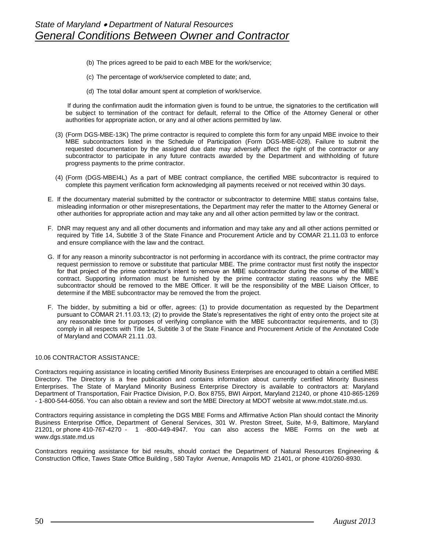- (b) The prices agreed to be paid to each MBE for the work/service;
- (c) The percentage of work/service completed to date; and,
- (d) The total dollar amount spent at completion of work/service.

If during the confirmation audit the information given is found to be untrue, the signatories to the certification will be subject to termination of the contract for default, referral to the Office of the Attorney General or other authorities for appropriate action, or any and al other actions permitted by law.

- (3) (Form DGS-MBE-13K) The prime contractor is required to complete this form for any unpaid MBE invoice to their MBE subcontractors listed in the Schedule of Participation (Form DGS-MBE-028). Failure to submit the requested documentation by the assigned due date may adversely affect the right of the contractor or any subcontractor to participate in any future contracts awarded by the Department and withholding of future progress payments to the prime contractor.
- (4) (Form (DGS-MBEI4L) As a part of MBE contract compliance, the certified MBE subcontractor is required to complete this payment verification form acknowledging all payments received or not received within 30 days.
- E. If the documentary material submitted by the contractor or subcontractor to determine MBE status contains false, misleading information or other misrepresentations, the Department may refer the matter to the Attorney General or other authorities for appropriate action and may take any and all other action permitted by law or the contract.
- F. DNR may request any and all other documents and information and may take any and all other actions permitted or required by Title 14, Subtitle 3 of the State Finance and Procurement Article and by COMAR 21.11.03 to enforce and ensure compliance with the law and the contract.
- G. If for any reason a minority subcontractor is not performing in accordance with its contract, the prime contractor may request permission to remove or substitute that particular MBE. The prime contractor must first notify the inspector for that project of the prime contractor's intent to remove an MBE subcontractor during the course of the MBE's contract. Supporting information must be furnished by the prime contractor stating reasons why the MBE subcontractor should be removed to the MBE Officer. It will be the responsibility of the MBE Liaison Officer, to determine if the MBE subcontractor may be removed the from the project.
- F. The bidder, by submitting a bid or offer, agrees: (1) to provide documentation as requested by the Department pursuant to COMAR 21.11.03.13; (2) to provide the State's representatives the right of entry onto the project site at any reasonable time for purposes of verifying compliance with the MBE subcontractor requirements, and to (3) comply in all respects with Title 14, Subtitle 3 of the State Finance and Procurement Article of the Annotated Code of Maryland and COMAR 21.11 .03.

#### 10.06 CONTRACTOR ASSISTANCE:

Contractors requiring assistance in locating certified Minority Business Enterprises are encouraged to obtain a certified MBE Directory. The Directory is a free publication and contains information about currently certified Minority Business Enterprises. The State of Maryland Minority Business Enterprise Directory is available to contractors at: Maryland Department of Transportation, Fair Practice Division, P.O. Box 8755, BWI Airport, Maryland 21240, or phone 410-865-1269 - 1-800-544-6056. You can also obtain a review and sort the MBE Directory at MDOT website at www.mdot.state.md.us.

Contractors requiring assistance in completing the DGS MBE Forms and Affirmative Action Plan should contact the Minority Business Enterprise Office, Department of General Services, 301 W. Preston Street, Suite, M-9, Baltimore, Maryland 21201, or phone 410-767-4270 - 1 -800-449-4947. You can also access the MBE Forms on the web at www.dgs.state.md.us

Contractors requiring assistance for bid results, should contact the Department of Natural Resources Engineering & Construction Office, Tawes State Office Building , 580 Taylor Avenue, Annapolis MD 21401, or phone 410/260-8930.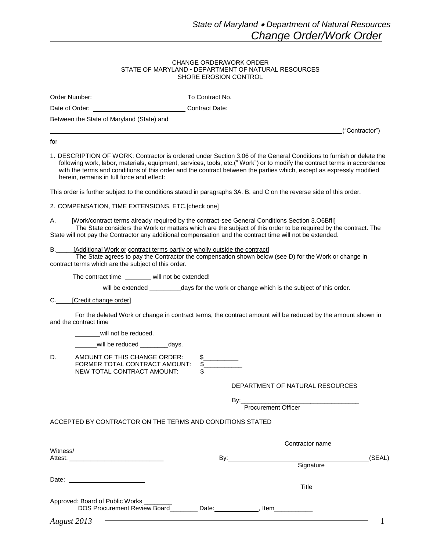("Contractor")

#### CHANGE ORDER/WORK ORDER STATE OF MARYLAND • DEPARTMENT OF NATURAL RESOURCES SHORE EROSION CONTROL

Order Number: To Contract No.

Date of Order: Contract Date:

Between the State of Maryland (State) and

for

1. DESCRIPTION OF WORK: Contractor is ordered under Section 3.06 of the General Conditions to furnish or delete the following work, labor, materials, equipment, services, tools, etc.(" Work") or to modify the contract terms in accordance with the terms and conditions of this order and the contract between the parties which, except as expressly modified herein, remains in full force and effect:

This order is further subject to the conditions stated in paragraphs 3A. B. and C on the reverse side of this order.

2. COMPENSATION, TIME EXTENSIONS. ETC.[check one]

[Work/contract terms already required by the contract-see General Conditions Section 3.06Bffl]

The State considers the Work or matters which are the subject of this order to be required by the contract. The State will not pay the Contractor any additional compensation and the contract time will not be extended.

[Additional Work or contract terms partly or wholly outside the contract]

The State agrees to pay the Contractor the compensation shown below (see D) for the Work or change in contract terms which are the subject of this order.

The contract time will not be extended!

will be extended \_\_\_\_\_\_\_\_\_\_days for the work or change which is the subject of this order.

C. [Credit change order]

For the deleted Work or change in contract terms, the contract amount will be reduced by the amount shown in and the contract time

will not be reduced.

will be reduced \_\_\_\_\_\_\_\_\_days.

D. AMOUNT OF THIS CHANGE ORDER: \$ FORMER TOTAL CONTRACT AMOUNT: \$ NEW TOTAL CONTRACT AMOUNT: \$

DEPARTMENT OF NATURAL RESOURCES

By:\_\_\_\_\_\_\_\_\_\_\_\_\_\_\_\_\_\_\_\_\_\_\_\_\_\_\_\_\_\_\_\_\_\_

Procurement Officer

ACCEPTED BY CONTRACTOR ON THE TERMS AND CONDITIONS STATED

|                                                                                                                            | Contractor name |           |        |
|----------------------------------------------------------------------------------------------------------------------------|-----------------|-----------|--------|
| Witness/<br>Attest: Attention of the state of the state of the state of the state of the state of the state of the state o | By:             |           | (SEAL) |
|                                                                                                                            |                 | Signature |        |
| Date: _________________________                                                                                            |                 |           |        |
|                                                                                                                            |                 | Title     |        |
| Approved: Board of Public Works                                                                                            |                 |           |        |
| <b>DOS Procurement Review Board</b>                                                                                        | Date:           | Item      |        |
| August 2013                                                                                                                |                 |           |        |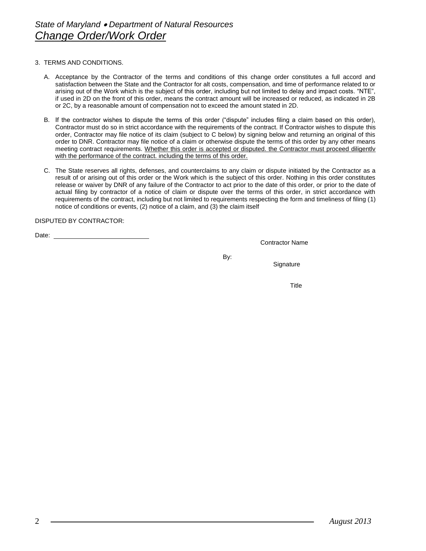# 3. TERMS AND CONDITIONS.

- A. Acceptance by the Contractor of the terms and conditions of this change order constitutes a full accord and satisfaction between the State and the Contractor for alt costs, compensation, and time of performance related to or arising out of the Work which is the subject of this order, including but not limited to delay and impact costs. "NTE", if used in 2D on the front of this order, means the contract amount will be increased or reduced, as indicated in 2B or 2C, by a reasonable amount of compensation not to exceed the amount stated in 2D.
- B. If the contractor wishes to dispute the terms of this order ("dispute" includes filing a claim based on this order), Contractor must do so in strict accordance with the requirements of the contract. If Contractor wishes to dispute this order, Contractor may file notice of its claim (subject to C below) by signing below and returning an original of this order to DNR. Contractor may file notice of a claim or otherwise dispute the terms of this order by any other means meeting contract requirements. Whether this order is accepted or disputed. the Contractor must proceed diligentlv with the performance of the contract. including the terms of this order.
- C. The State reserves all rights, defenses, and counterclaims to any claim or dispute initiated by the Contractor as a result of or arising out of this order or the Work which is the subject of this order. Nothing in this order constitutes release or waiver by DNR of any failure of the Contractor to act prior to the date of this order, or prior to the date of actual filing by contractor of a notice of claim or dispute over the terms of this order, in strict accordance with requirements of the contract, including but not limited to requirements respecting the form and timeliness of filing (1) notice of conditions or events, (2) notice of a claim, and (3) the claim itself

# DISPUTED BY CONTRACTOR:

Date: \_

Contractor Name

By:

**Signature** 

Title